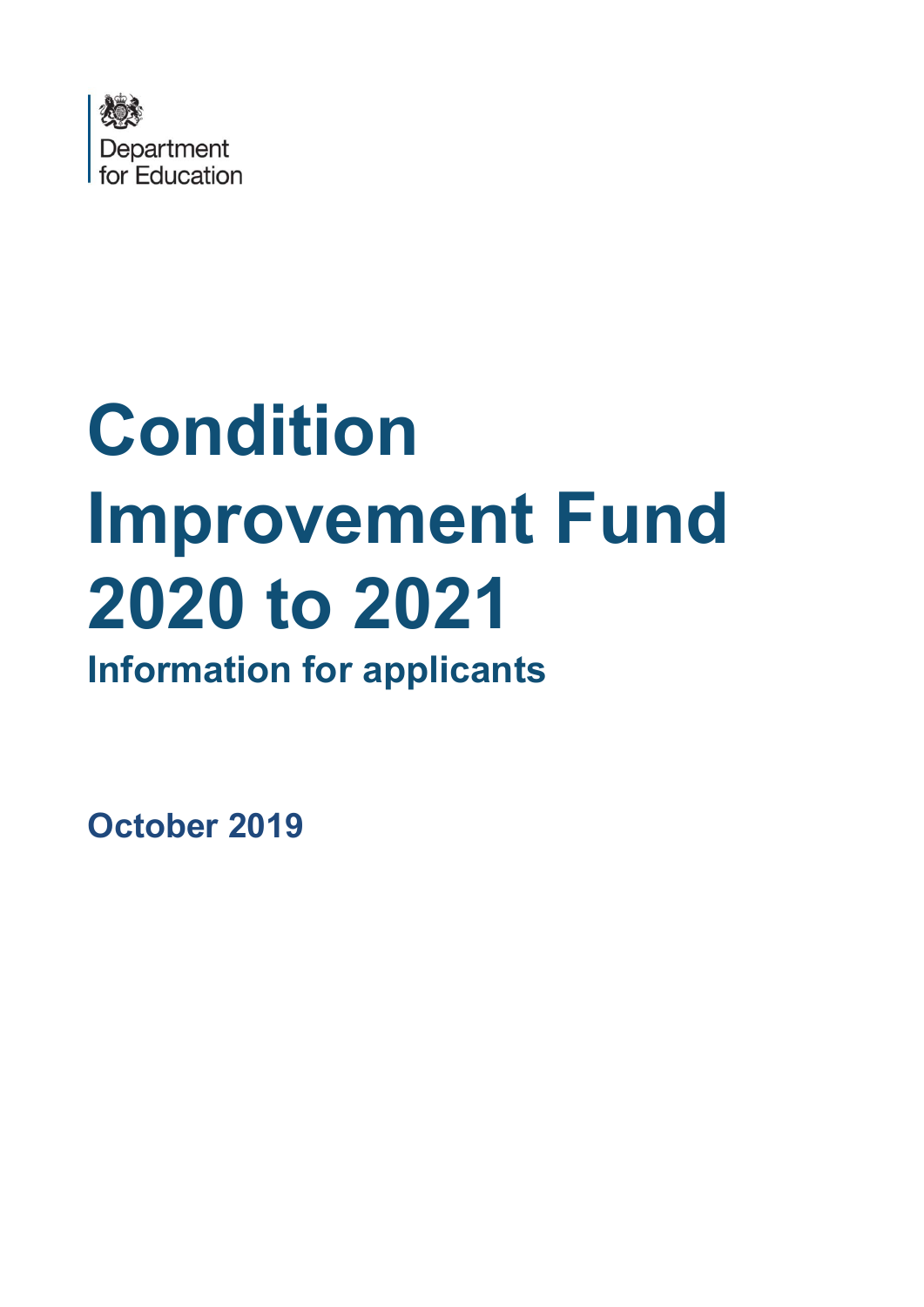

# **Condition Improvement Fund 2020 to 2021 Information for applicants**

**October 2019**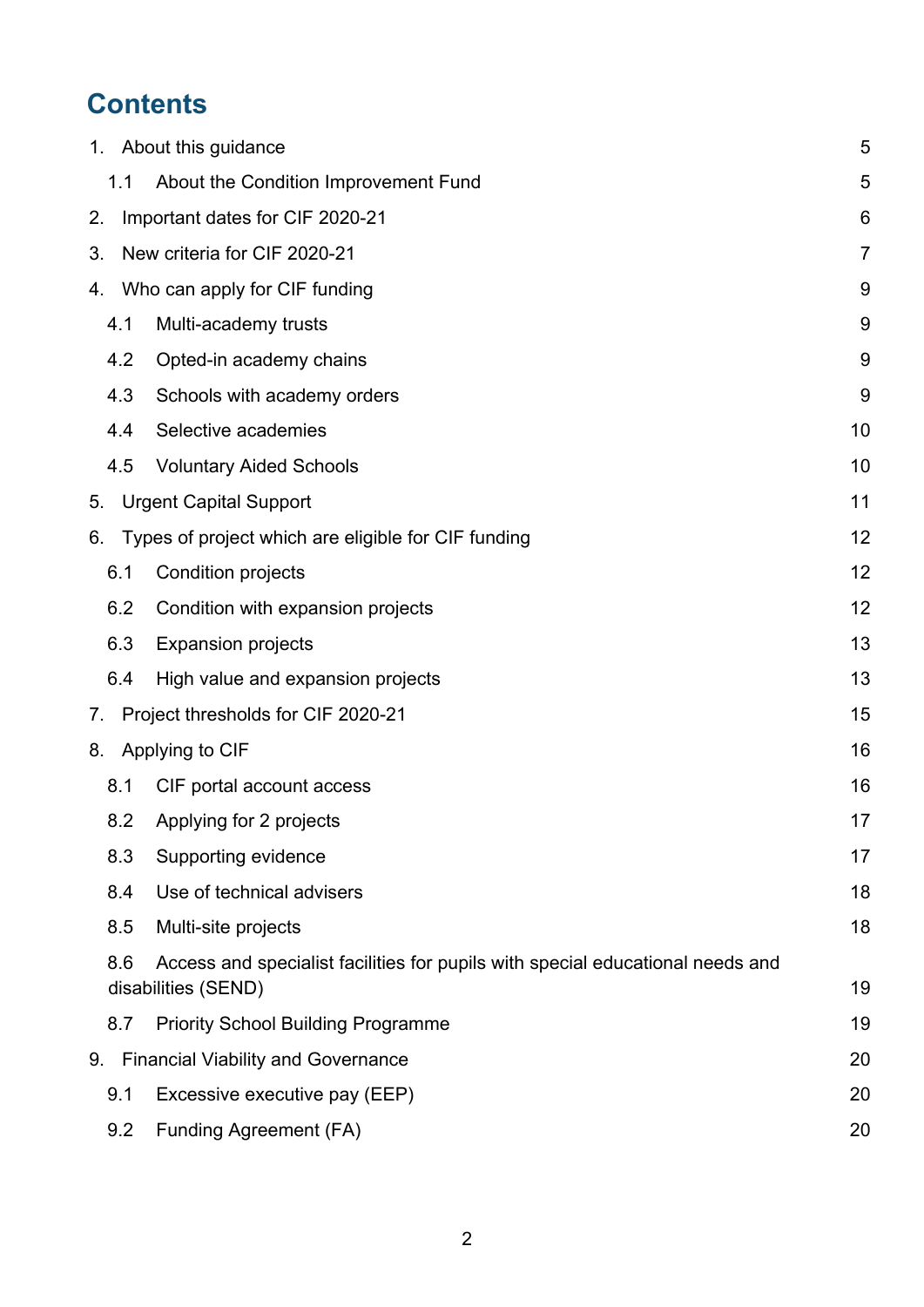# **Contents**

|     | 1. About this guidance                                                                                | 5  |
|-----|-------------------------------------------------------------------------------------------------------|----|
| 1.1 | About the Condition Improvement Fund                                                                  | 5  |
| 2.  | Important dates for CIF 2020-21                                                                       | 6  |
| 3.  | New criteria for CIF 2020-21                                                                          | 7  |
| 4.  | Who can apply for CIF funding                                                                         | 9  |
| 4.1 | Multi-academy trusts                                                                                  | 9  |
| 4.2 | Opted-in academy chains                                                                               | 9  |
| 4.3 | Schools with academy orders                                                                           | 9  |
| 4.4 | Selective academies                                                                                   | 10 |
| 4.5 | <b>Voluntary Aided Schools</b>                                                                        | 10 |
| 5.  | <b>Urgent Capital Support</b>                                                                         | 11 |
| 6.  | Types of project which are eligible for CIF funding                                                   | 12 |
| 6.1 | <b>Condition projects</b>                                                                             | 12 |
| 6.2 | Condition with expansion projects                                                                     | 12 |
| 6.3 | <b>Expansion projects</b>                                                                             | 13 |
| 6.4 | High value and expansion projects                                                                     | 13 |
| 7.  | Project thresholds for CIF 2020-21                                                                    | 15 |
| 8.  | Applying to CIF                                                                                       | 16 |
| 8.1 | CIF portal account access                                                                             | 16 |
| 8.2 | Applying for 2 projects                                                                               | 17 |
| 8.3 | Supporting evidence                                                                                   | 17 |
| 8.4 | Use of technical advisers                                                                             | 18 |
| 8.5 | Multi-site projects                                                                                   | 18 |
| 8.6 | Access and specialist facilities for pupils with special educational needs and<br>disabilities (SEND) | 19 |
| 8.7 | <b>Priority School Building Programme</b>                                                             | 19 |
| 9.  | <b>Financial Viability and Governance</b>                                                             | 20 |
| 9.1 | Excessive executive pay (EEP)                                                                         | 20 |
| 9.2 | <b>Funding Agreement (FA)</b>                                                                         | 20 |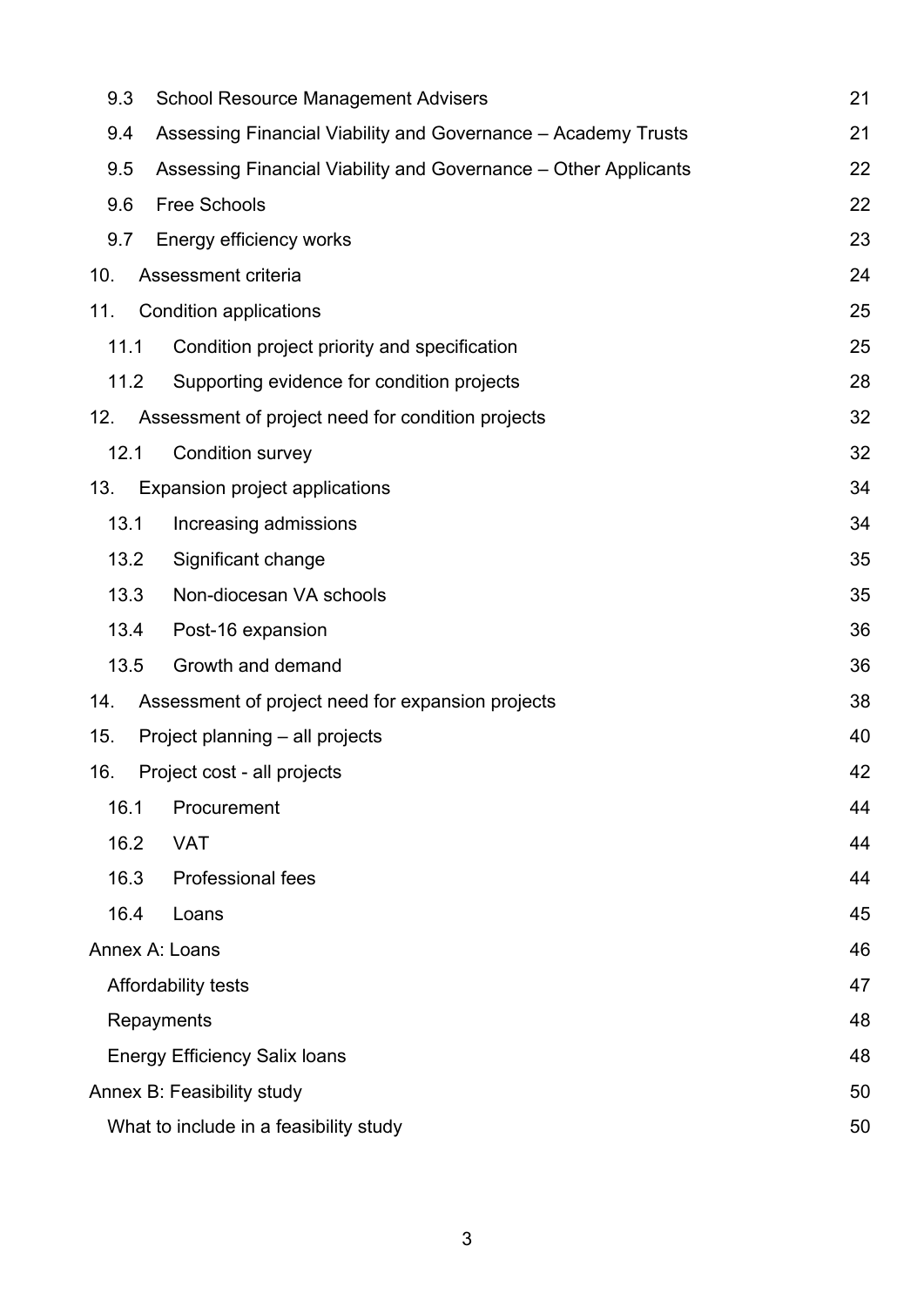|      | 9.3<br><b>School Resource Management Advisers</b><br>21                      |                                                   |    |  |  |  |
|------|------------------------------------------------------------------------------|---------------------------------------------------|----|--|--|--|
|      | 9.4<br>Assessing Financial Viability and Governance - Academy Trusts         |                                                   |    |  |  |  |
|      | 22<br>9.5<br>Assessing Financial Viability and Governance – Other Applicants |                                                   |    |  |  |  |
|      | 22<br>9.6<br><b>Free Schools</b>                                             |                                                   |    |  |  |  |
|      | 23<br>9.7<br>Energy efficiency works                                         |                                                   |    |  |  |  |
| 10.  |                                                                              | Assessment criteria                               | 24 |  |  |  |
| 11.  |                                                                              | <b>Condition applications</b>                     | 25 |  |  |  |
| 11.1 |                                                                              | Condition project priority and specification      | 25 |  |  |  |
| 11.2 |                                                                              | Supporting evidence for condition projects        | 28 |  |  |  |
| 12.  |                                                                              | Assessment of project need for condition projects | 32 |  |  |  |
| 12.1 |                                                                              | Condition survey                                  | 32 |  |  |  |
| 13.  |                                                                              | <b>Expansion project applications</b>             | 34 |  |  |  |
| 13.1 |                                                                              | Increasing admissions                             | 34 |  |  |  |
| 13.2 |                                                                              | Significant change                                | 35 |  |  |  |
| 13.3 |                                                                              | Non-diocesan VA schools                           | 35 |  |  |  |
| 13.4 |                                                                              | Post-16 expansion                                 | 36 |  |  |  |
| 13.5 |                                                                              | Growth and demand                                 | 36 |  |  |  |
| 14.  |                                                                              | Assessment of project need for expansion projects | 38 |  |  |  |
| 15.  |                                                                              | Project planning – all projects                   | 40 |  |  |  |
| 16.  |                                                                              | Project cost - all projects                       | 42 |  |  |  |
| 16.1 |                                                                              | Procurement                                       | 44 |  |  |  |
| 16.2 |                                                                              | <b>VAT</b>                                        | 44 |  |  |  |
| 16.3 |                                                                              | <b>Professional fees</b>                          | 44 |  |  |  |
|      | 16.4<br>Loans                                                                |                                                   | 45 |  |  |  |
|      |                                                                              | Annex A: Loans                                    | 46 |  |  |  |
|      |                                                                              | Affordability tests                               | 47 |  |  |  |
|      |                                                                              | Repayments                                        | 48 |  |  |  |
|      | 48<br><b>Energy Efficiency Salix loans</b>                                   |                                                   |    |  |  |  |
|      | Annex B: Feasibility study<br>50                                             |                                                   |    |  |  |  |
|      | What to include in a feasibility study<br>50                                 |                                                   |    |  |  |  |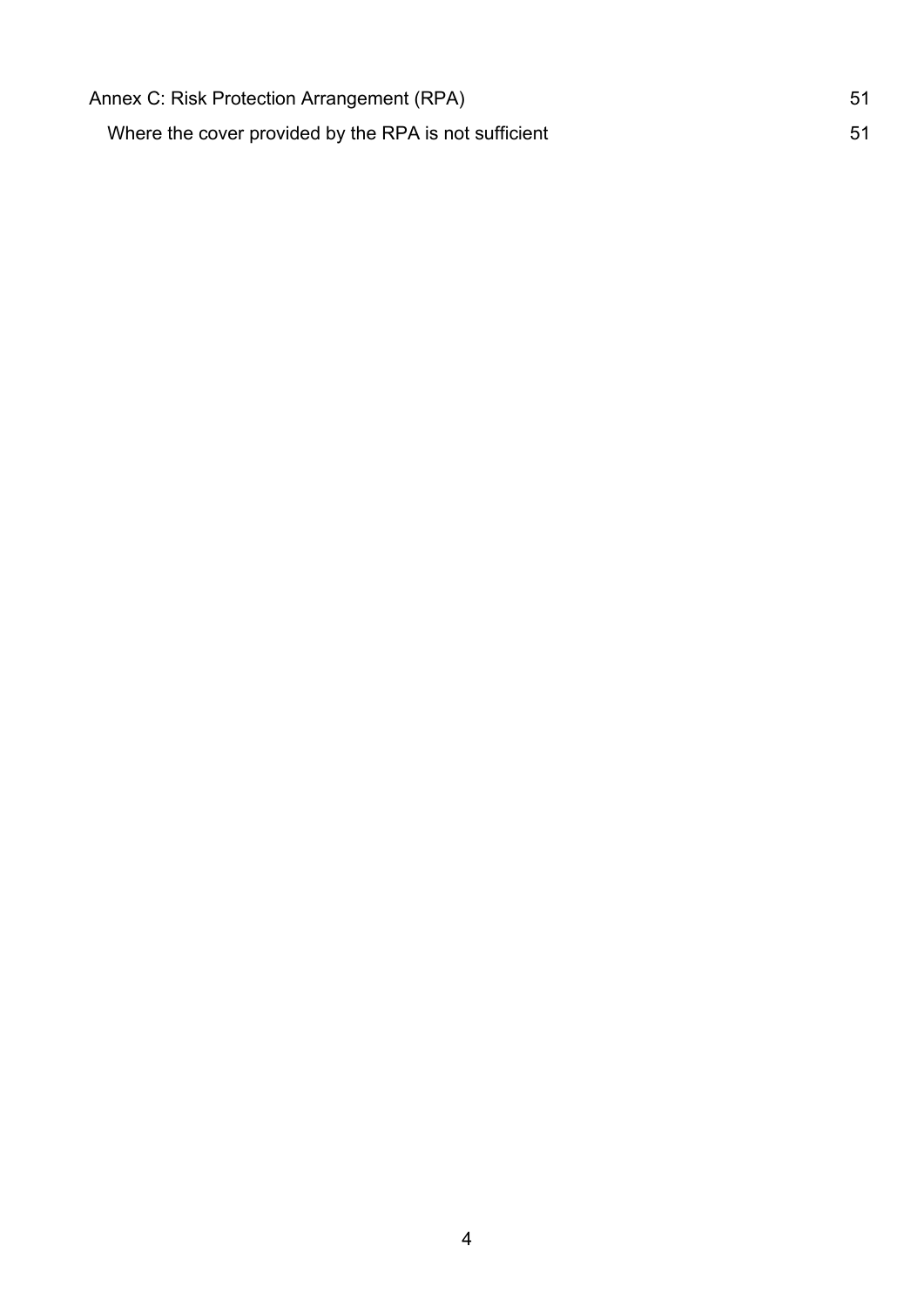| Annex C: Risk Protection Arrangement (RPA)            | 51 |
|-------------------------------------------------------|----|
| Where the cover provided by the RPA is not sufficient | 51 |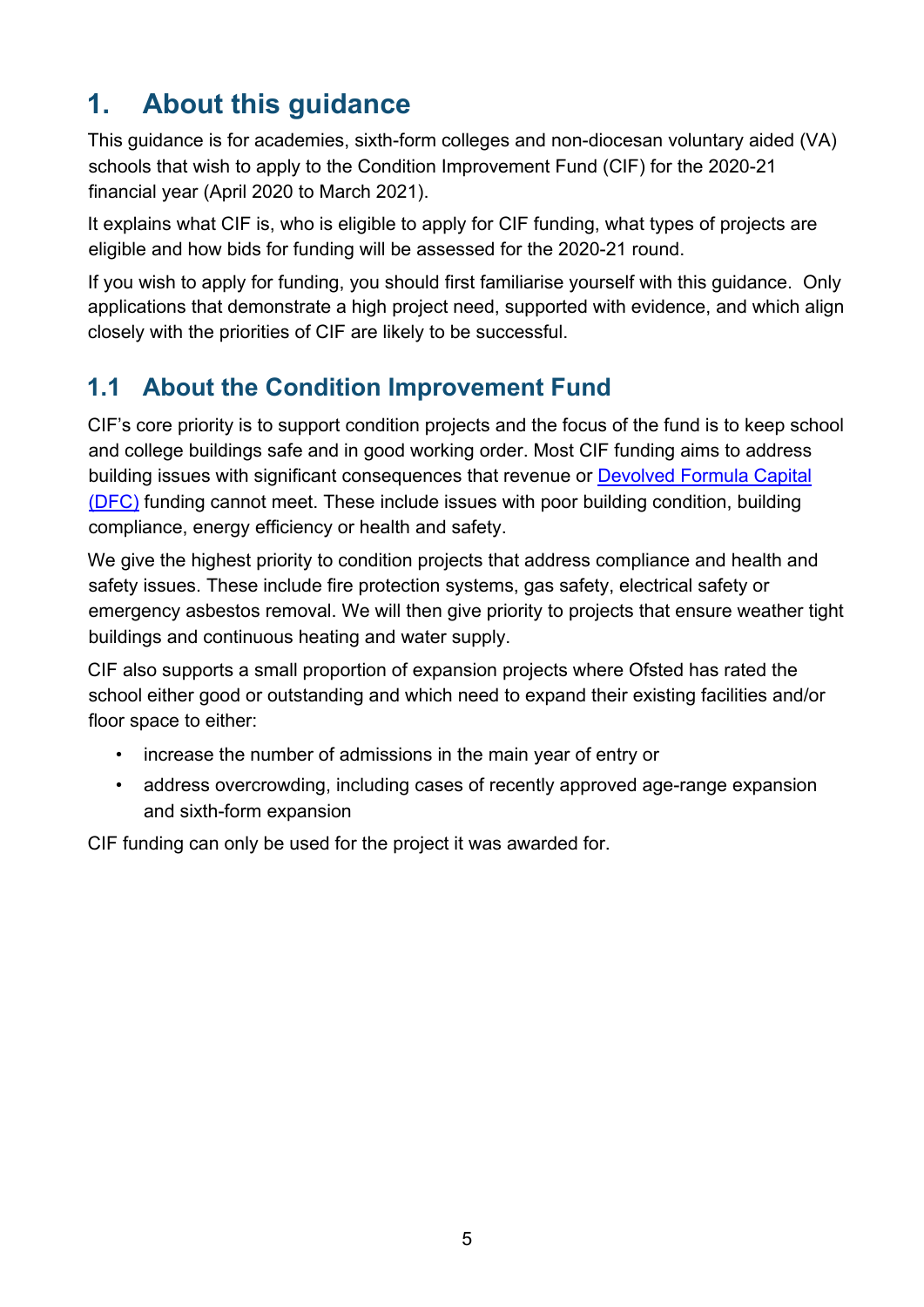# <span id="page-4-0"></span>**1. About this guidance**

This guidance is for academies, sixth-form colleges and non-diocesan voluntary aided (VA) schools that wish to apply to the Condition Improvement Fund (CIF) for the 2020-21 financial year (April 2020 to March 2021).

It explains what CIF is, who is eligible to apply for CIF funding, what types of projects are eligible and how bids for funding will be assessed for the 2020-21 round.

If you wish to apply for funding, you should first familiarise yourself with this guidance. Only applications that demonstrate a high project need, supported with evidence, and which align closely with the priorities of CIF are likely to be successful.

# <span id="page-4-1"></span>**1.1 About the Condition Improvement Fund**

CIF's core priority is to support condition projects and the focus of the fund is to keep school and college buildings safe and in good working order. Most CIF funding aims to address building issues with significant consequences that revenue or [Devolved Formula Capital](https://www.gov.uk/government/publications/capital-allocations) [\(DFC\)](https://www.gov.uk/government/publications/capital-allocations) funding cannot meet. These include issues with poor building condition, building compliance, energy efficiency or health and safety.

We give the highest priority to condition projects that address compliance and health and safety issues. These include fire protection systems, gas safety, electrical safety or emergency asbestos removal. We will then give priority to projects that ensure weather tight buildings and continuous heating and water supply.

CIF also supports a small proportion of expansion projects where Ofsted has rated the school either good or outstanding and which need to expand their existing facilities and/or floor space to either:

- increase the number of admissions in the main year of entry or
- address overcrowding, including cases of recently approved age-range expansion and sixth-form expansion

CIF funding can only be used for the project it was awarded for.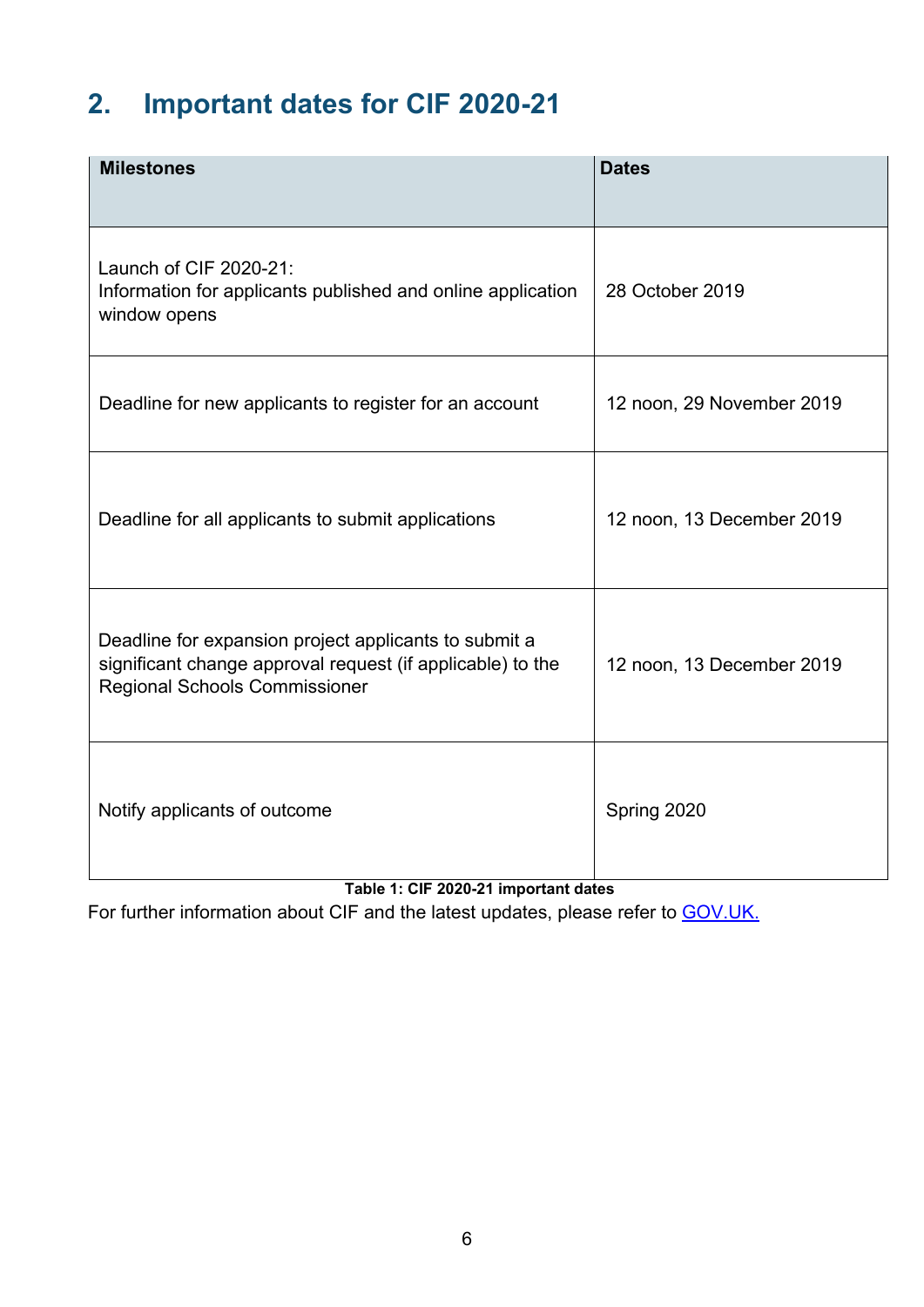# <span id="page-5-0"></span>**2. Important dates for CIF 2020-21**

| <b>Milestones</b>                                                                                                                                           | <b>Dates</b>              |
|-------------------------------------------------------------------------------------------------------------------------------------------------------------|---------------------------|
| Launch of CIF 2020-21:<br>Information for applicants published and online application<br>window opens                                                       | 28 October 2019           |
| Deadline for new applicants to register for an account                                                                                                      | 12 noon, 29 November 2019 |
| Deadline for all applicants to submit applications                                                                                                          | 12 noon, 13 December 2019 |
| Deadline for expansion project applicants to submit a<br>significant change approval request (if applicable) to the<br><b>Regional Schools Commissioner</b> | 12 noon, 13 December 2019 |
| Notify applicants of outcome<br>Table 4: CIF 0000 04 immentant datas                                                                                        | Spring 2020               |

**Table 1: CIF 2020-21 important dates**

For further information about CIF and the latest updates, please refer to **GOV.UK.**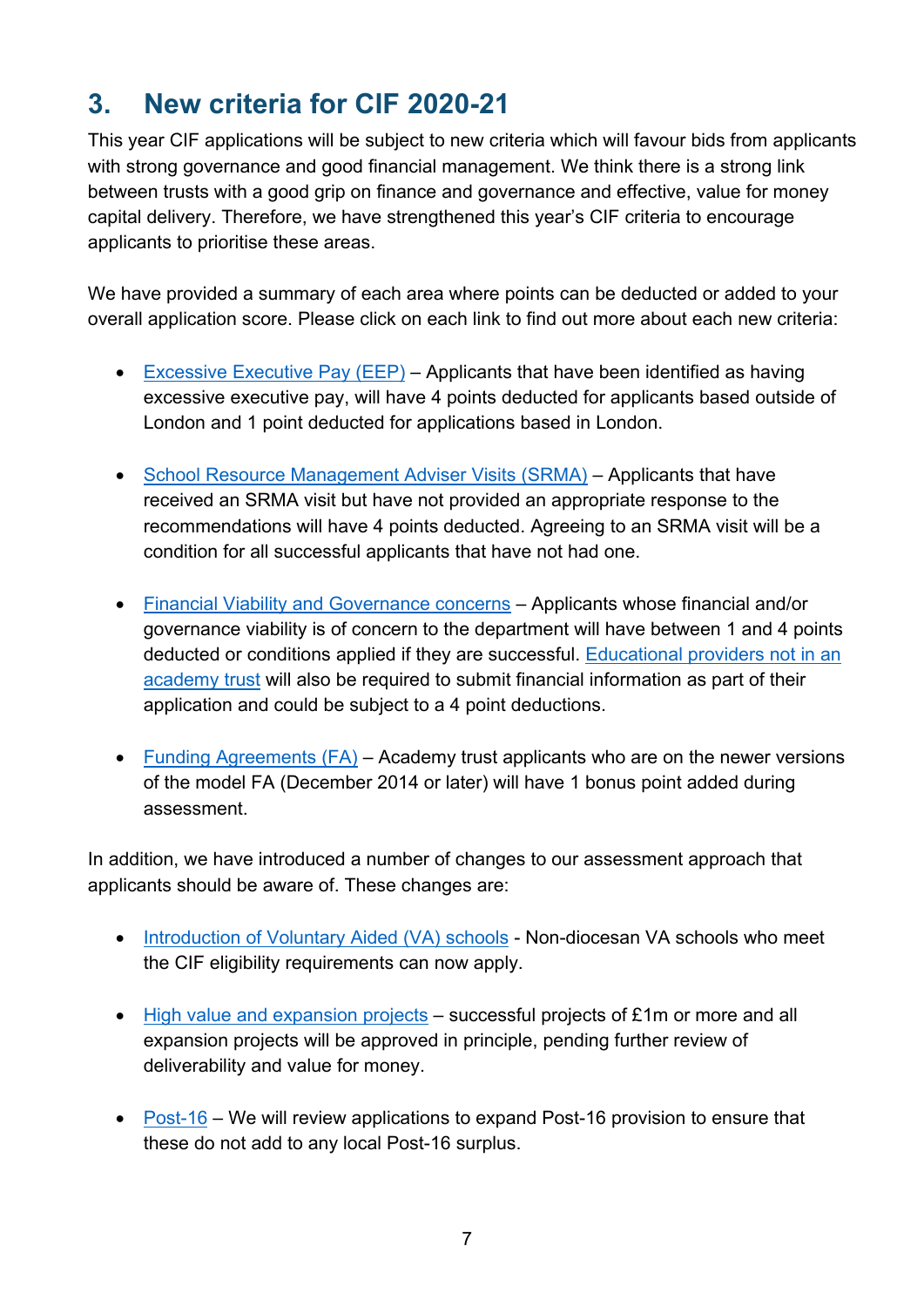# <span id="page-6-0"></span>**3. New criteria for CIF 2020-21**

This year CIF applications will be subject to new criteria which will favour bids from applicants with strong governance and good financial management. We think there is a strong link between trusts with a good grip on finance and governance and effective, value for money capital delivery. Therefore, we have strengthened this year's CIF criteria to encourage applicants to prioritise these areas.

We have provided a summary of each area where points can be deducted or added to your overall application score. Please click on each link to find out more about each new criteria:

- [Excessive Executive Pay](#page-19-1) (EEP) Applicants that have been identified as having excessive executive pay, will have 4 points deducted for applicants based outside of London and 1 point deducted for applications based in London.
- [School Resource Management Adviser Visits \(SRMA\)](#page-20-0)  Applicants that have received an SRMA visit but have not provided an appropriate response to the recommendations will have 4 points deducted. Agreeing to an SRMA visit will be a condition for all successful applicants that have not had one.
- [Financial Viability and Governance concerns](#page-20-1)  Applicants whose financial and/or governance viability is of concern to the department will have between 1 and 4 points deducted or conditions applied if they are successful. [Educational providers not in an](#page-21-0) [academy trust](#page-21-0) will also be required to submit financial information as part of their application and could be subject to a 4 point deductions.
- [Funding Agreements \(FA\)](#page-19-2)  Academy trust applicants who are on the newer versions of the model FA (December 2014 or later) will have 1 bonus point added during assessment.

In addition, we have introduced a number of changes to our assessment approach that applicants should be aware of. These changes are:

- [Introduction of Voluntary Aided \(VA\)](#page-9-1) schools Non-diocesan VA schools who meet the CIF eligibility requirements can now apply.
- [High value and expansion projects](#page-12-1)  successful projects of £1m or more and all expansion projects will be approved in principle, pending further review of deliverability and value for money.
- [Post-16](#page-35-0)  We will review applications to expand Post-16 provision to ensure that these do not add to any local Post-16 surplus.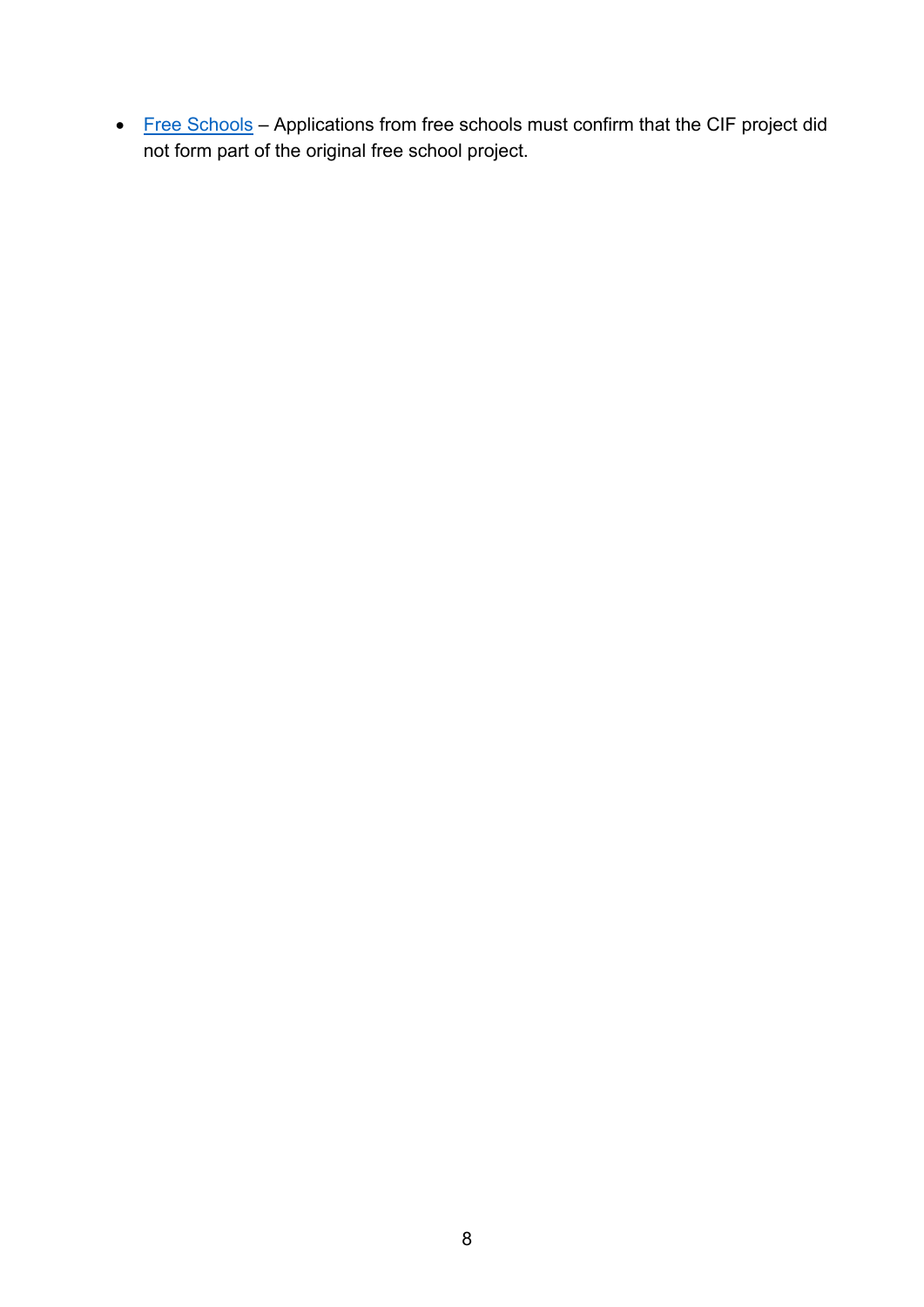• [Free Schools](#page-21-1) - Applications from free schools must confirm that the CIF project did not form part of the original free school project.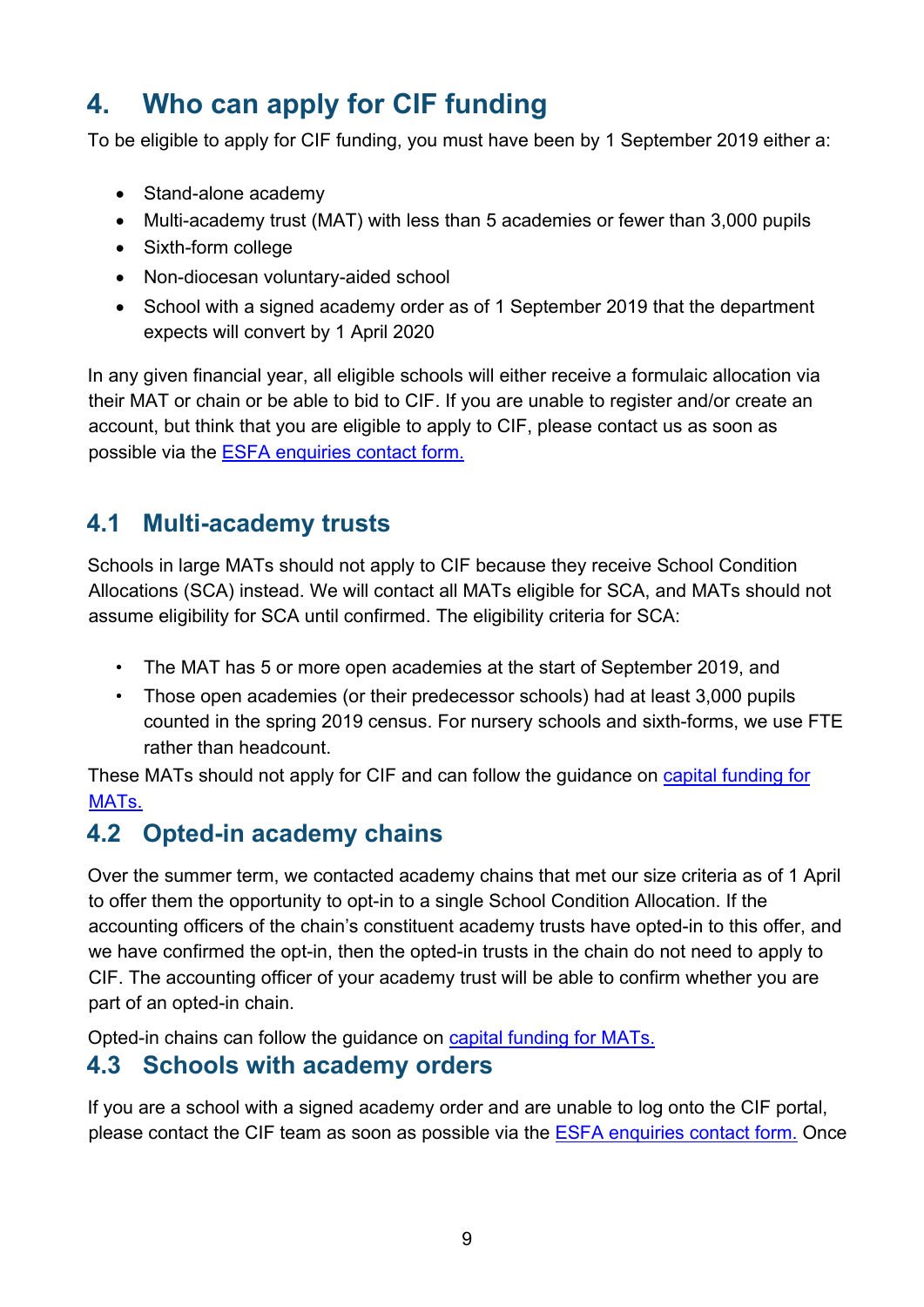# <span id="page-8-0"></span>**4. Who can apply for CIF funding**

To be eligible to apply for CIF funding, you must have been by 1 September 2019 either a:

- Stand-alone academy
- Multi-academy trust (MAT) with less than 5 academies or fewer than 3,000 pupils
- Sixth-form college
- Non-diocesan voluntary-aided school
- School with a signed academy order as of 1 September 2019 that the department expects will convert by 1 April 2020

In any given financial year, all eligible schools will either receive a formulaic allocation via their MAT or chain or be able to bid to CIF. If you are unable to register and/or create an account, but think that you are eligible to apply to CIF, please contact us as soon as possible via the [ESFA enquiries contact form.](https://form.education.gov.uk/en/AchieveForms/?form_uri=sandbox-publish://AF-Process-f9f4f5a1-936f-448b-bbeb-9dcdd595f468/AF-Stage-8aa41278-3cdd-45a3-ad87-80cbffb8b992/definition.json&redirectlink=%2Fen&cancelRedirectLink=%2Fen)

# <span id="page-8-1"></span>**4.1 Multi-academy trusts**

Schools in large MATs should not apply to CIF because they receive School Condition Allocations (SCA) instead. We will contact all MATs eligible for SCA, and MATs should not assume eligibility for SCA until confirmed. The eligibility criteria for SCA:

- The MAT has 5 or more open academies at the start of September 2019, and
- Those open academies (or their predecessor schools) had at least 3,000 pupils counted in the spring 2019 census. For nursery schools and sixth-forms, we use FTE rather than headcount.

These MATs should not apply for CIF and can follow the guidance on [capital funding for](https://www.gov.uk/guidance/capital-funding-for-multi-academy-trusts-mats)  MAT<sub>s.</sub>

# <span id="page-8-2"></span>**4.2 Opted-in academy chains**

Over the summer term, we contacted academy chains that met our size criteria as of 1 April to offer them the opportunity to opt-in to a single School Condition Allocation. If the accounting officers of the chain's constituent academy trusts have opted-in to this offer, and we have confirmed the opt-in, then the opted-in trusts in the chain do not need to apply to CIF. The accounting officer of your academy trust will be able to confirm whether you are part of an opted-in chain.

Opted-in chains can follow the guidance on [capital funding for MATs.](https://www.gov.uk/guidance/capital-funding-for-multi-academy-trusts-mats)

#### <span id="page-8-3"></span>**4.3 Schools with academy orders**

If you are a school with a signed academy order and are unable to log onto the CIF portal, please contact the CIF team as soon as possible via the [ESFA enquiries contact form.](https://form.education.gov.uk/en/AchieveForms/?form_uri=sandbox-publish://AF-Process-f9f4f5a1-936f-448b-bbeb-9dcdd595f468/AF-Stage-8aa41278-3cdd-45a3-ad87-80cbffb8b992/definition.json&redirectlink=%2Fen&cancelRedirectLink=%2Fen) Once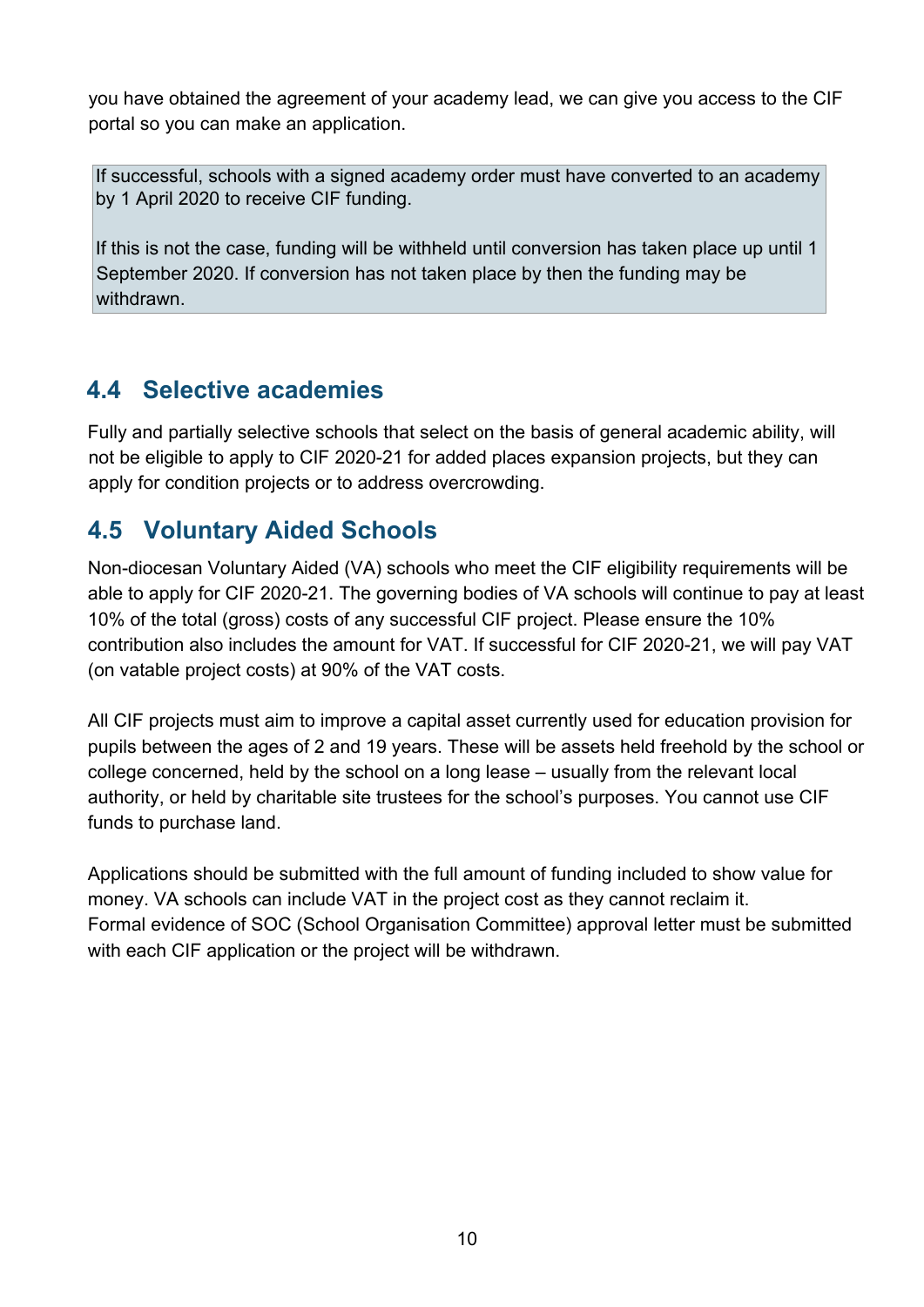you have obtained the agreement of your academy lead, we can give you access to the CIF portal so you can make an application.

If successful, schools with a signed academy order must have converted to an academy by 1 April 2020 to receive CIF funding.

If this is not the case, funding will be withheld until conversion has taken place up until 1 September 2020. If conversion has not taken place by then the funding may be withdrawn.

# <span id="page-9-0"></span>**4.4 Selective academies**

Fully and partially selective schools that select on the basis of general academic ability, will not be eligible to apply to CIF 2020-21 for added places expansion projects, but they can apply for condition projects or to address overcrowding.

# <span id="page-9-1"></span>**4.5 Voluntary Aided Schools**

Non-diocesan Voluntary Aided (VA) schools who meet the CIF eligibility requirements will be able to apply for CIF 2020-21. The governing bodies of VA schools will continue to pay at least 10% of the total (gross) costs of any successful CIF project. Please ensure the 10% contribution also includes the amount for VAT. If successful for CIF 2020-21, we will pay VAT (on vatable project costs) at 90% of the VAT costs.

All CIF projects must aim to improve a capital asset currently used for education provision for pupils between the ages of 2 and 19 years. These will be assets held freehold by the school or college concerned, held by the school on a long lease – usually from the relevant local authority, or held by charitable site trustees for the school's purposes. You cannot use CIF funds to purchase land.

Applications should be submitted with the full amount of funding included to show value for money. VA schools can include VAT in the project cost as they cannot reclaim it. Formal evidence of SOC (School Organisation Committee) approval letter must be submitted with each CIF application or the project will be withdrawn.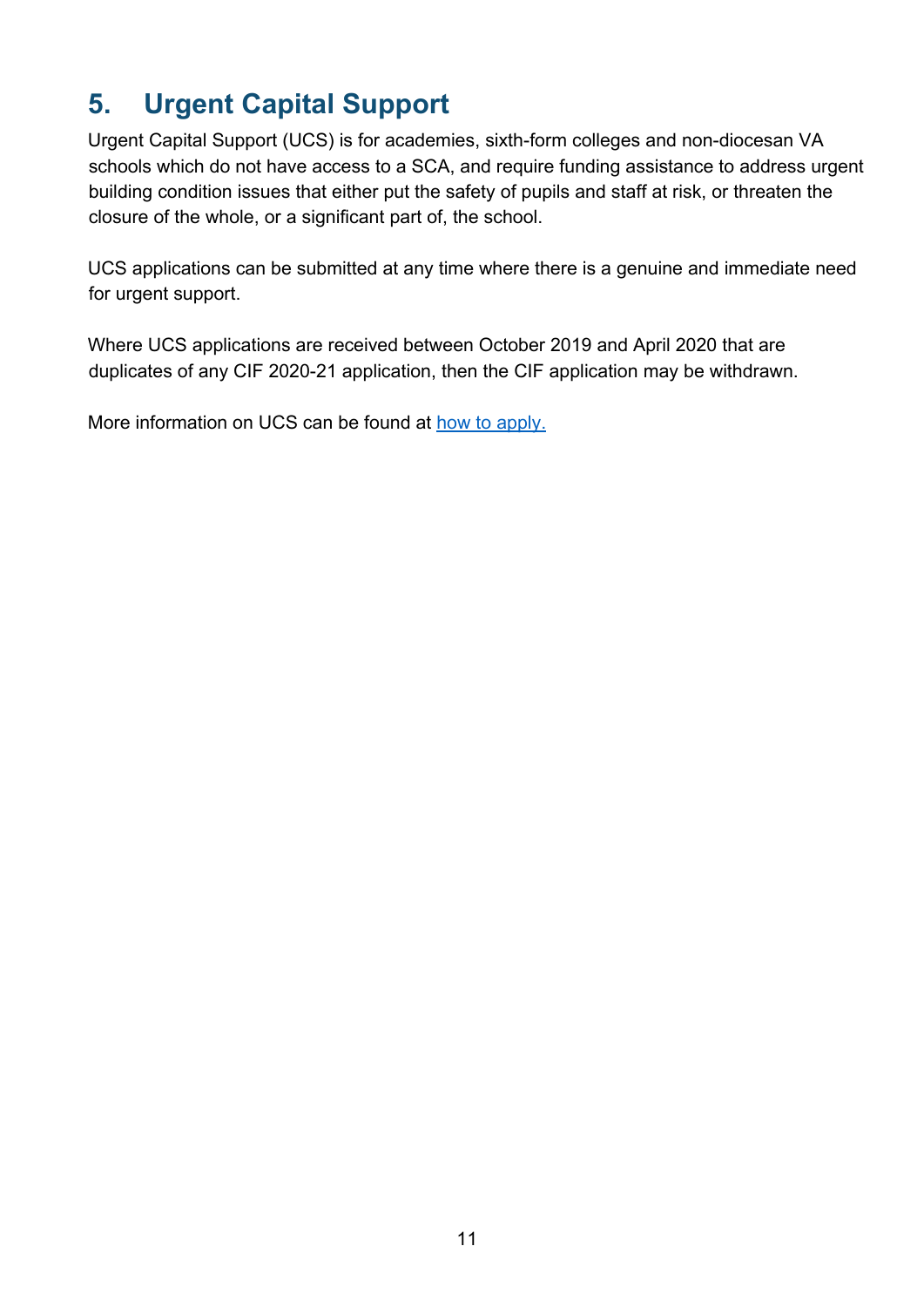# <span id="page-10-0"></span>**5. Urgent Capital Support**

Urgent Capital Support (UCS) is for academies, sixth-form colleges and non-diocesan VA schools which do not have access to a SCA, and require funding assistance to address urgent building condition issues that either put the safety of pupils and staff at risk, or threaten the closure of the whole, or a significant part of, the school.

UCS applications can be submitted at any time where there is a genuine and immediate need for urgent support.

Where UCS applications are received between October 2019 and April 2020 that are duplicates of any CIF 2020-21 application, then the CIF application may be withdrawn.

More information on UCS can be found at [how to apply.](https://www.gov.uk/guidance/condition-improvement-fund)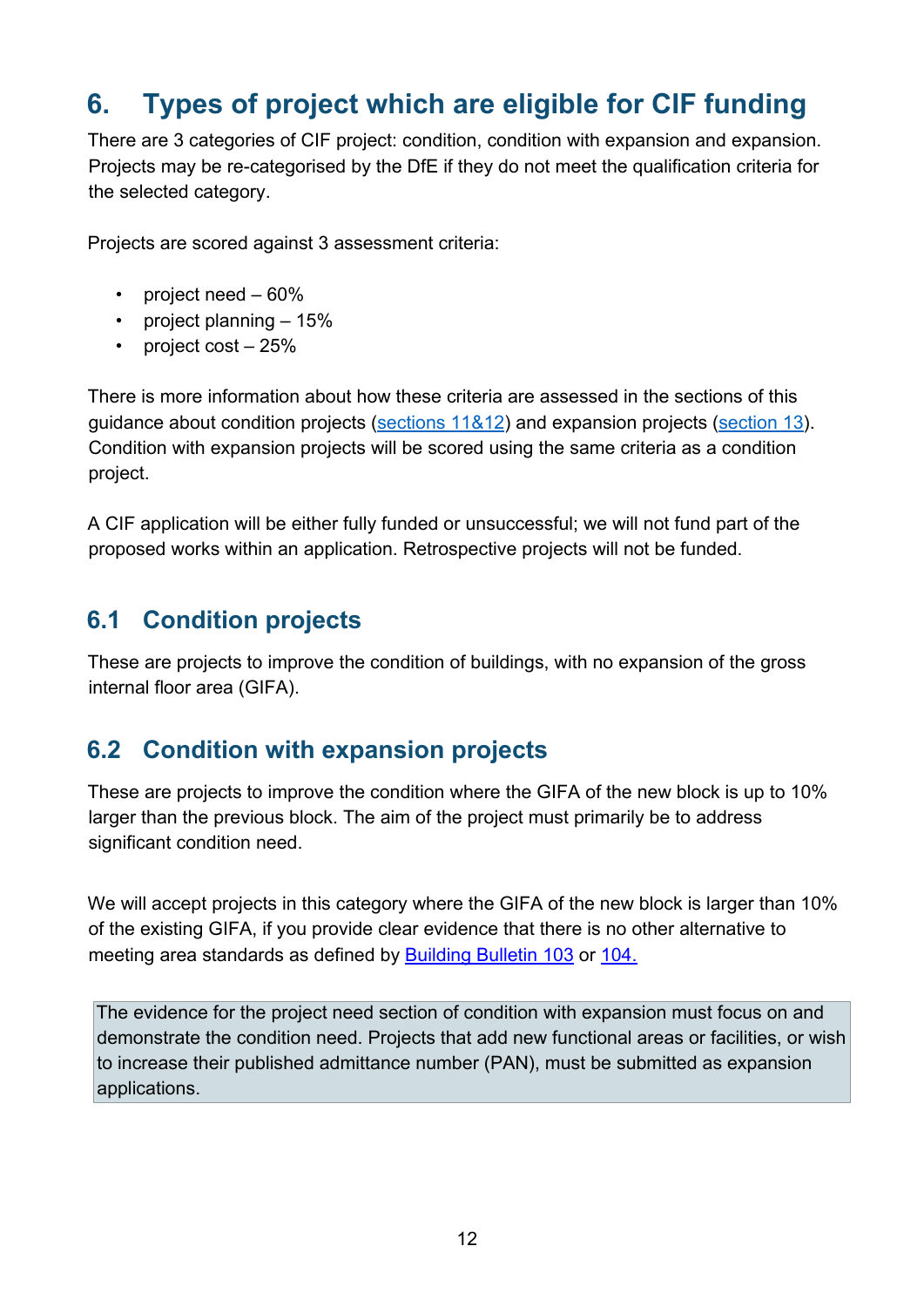# <span id="page-11-0"></span>**6. Types of project which are eligible for CIF funding**

There are 3 categories of CIF project: condition, condition with expansion and expansion. Projects may be re-categorised by the DfE if they do not meet the qualification criteria for the selected category.

Projects are scored against 3 assessment criteria:

- project need 60%
- project planning 15%
- project cost 25%

There is more information about how these criteria are assessed in the sections of this guidance about condition projects [\(sections 11&12\)](#page-24-0) and expansion projects [\(section](#page-33-0) 13). Condition with expansion projects will be scored using the same criteria as a condition project.

A CIF application will be either fully funded or unsuccessful; we will not fund part of the proposed works within an application. Retrospective projects will not be funded.

# <span id="page-11-1"></span>**6.1 Condition projects**

These are projects to improve the condition of buildings, with no expansion of the gross internal floor area (GIFA).

### <span id="page-11-2"></span>**6.2 Condition with expansion projects**

These are projects to improve the condition where the GIFA of the new block is up to 10% larger than the previous block. The aim of the project must primarily be to address significant condition need.

We will accept projects in this category where the GIFA of the new block is larger than 10% of the existing GIFA, if you provide clear evidence that there is no other alternative to meeting area standards as defined by **Building Bulletin 103** or [104.](https://www.gov.uk/government/publications/send-and-alternative-provision-area-guidelines)

The evidence for the project need section of condition with expansion must focus on and demonstrate the condition need. Projects that add new functional areas or facilities, or wish to increase their published admittance number (PAN), must be submitted as expansion applications.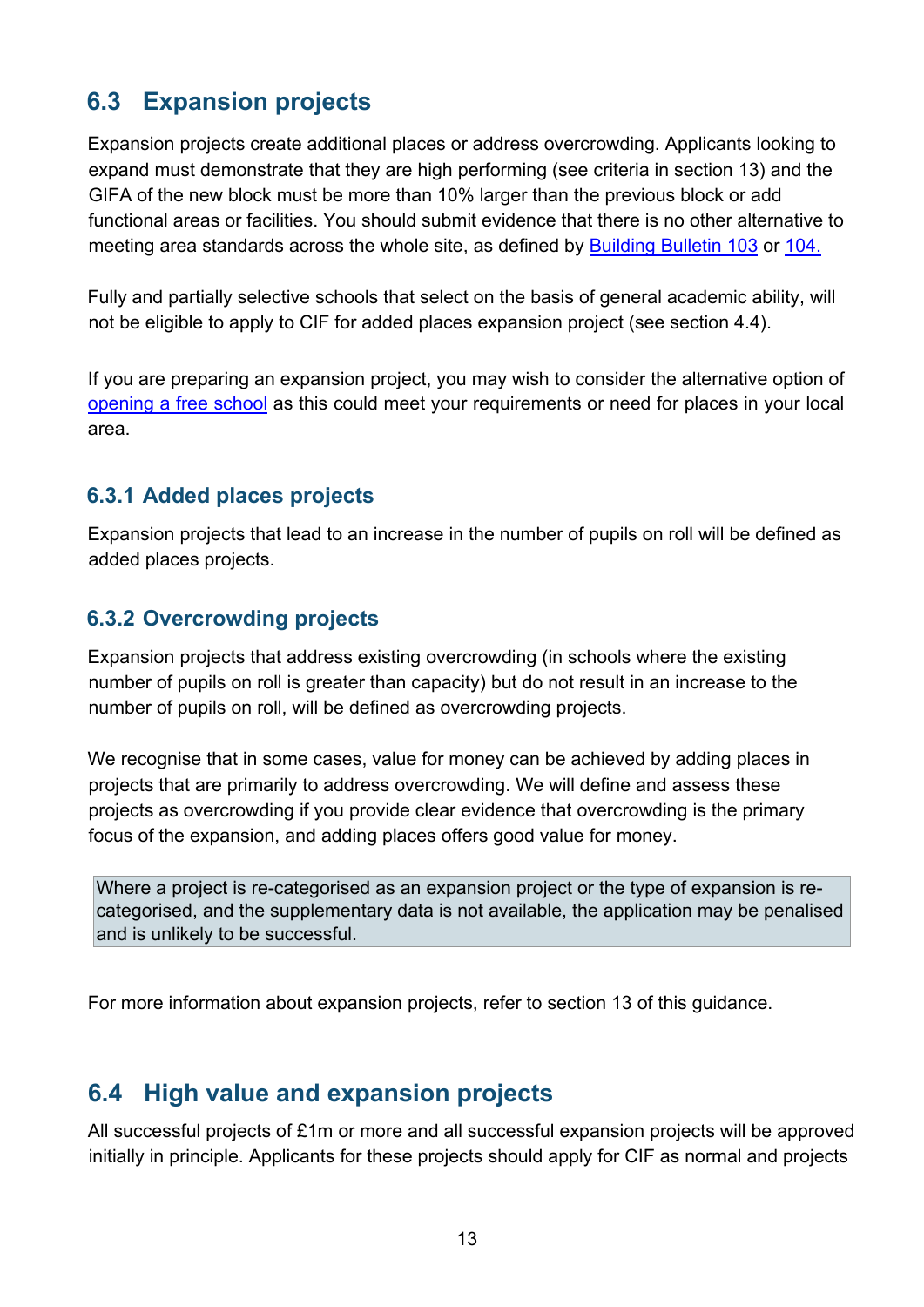# <span id="page-12-0"></span>**6.3 Expansion projects**

Expansion projects create additional places or address overcrowding. Applicants looking to expand must demonstrate that they are high performing (see criteria in section 13) and the GIFA of the new block must be more than 10% larger than the previous block or add functional areas or facilities. You should submit evidence that there is no other alternative to meeting area standards across the whole site, as defined by [Building Bulletin 103](https://www.gov.uk/government/publications/mainstream-schools-area-guidelines) or [104.](https://www.gov.uk/government/publications/send-and-alternative-provision-area-guidelines)

Fully and partially selective schools that select on the basis of general academic ability, will not be eligible to apply to CIF for added places expansion project (see section 4.4).

If you are preparing an expansion project, you may wish to consider the alternative option of [opening a free school](https://www.gov.uk/government/collections/opening-a-free-school) as this could meet your requirements or need for places in your local area.

#### **6.3.1 Added places projects**

Expansion projects that lead to an increase in the number of pupils on roll will be defined as added places projects.

#### **6.3.2 Overcrowding projects**

Expansion projects that address existing overcrowding (in schools where the existing number of pupils on roll is greater than capacity) but do not result in an increase to the number of pupils on roll, will be defined as overcrowding projects.

We recognise that in some cases, value for money can be achieved by adding places in projects that are primarily to address overcrowding. We will define and assess these projects as overcrowding if you provide clear evidence that overcrowding is the primary focus of the expansion, and adding places offers good value for money.

Where a project is re-categorised as an expansion project or the type of expansion is recategorised, and the supplementary data is not available, the application may be penalised and is unlikely to be successful.

For more information about expansion projects, refer to section 13 of this guidance.

#### <span id="page-12-1"></span>**6.4 High value and expansion projects**

All successful projects of £1m or more and all successful expansion projects will be approved initially in principle. Applicants for these projects should apply for CIF as normal and projects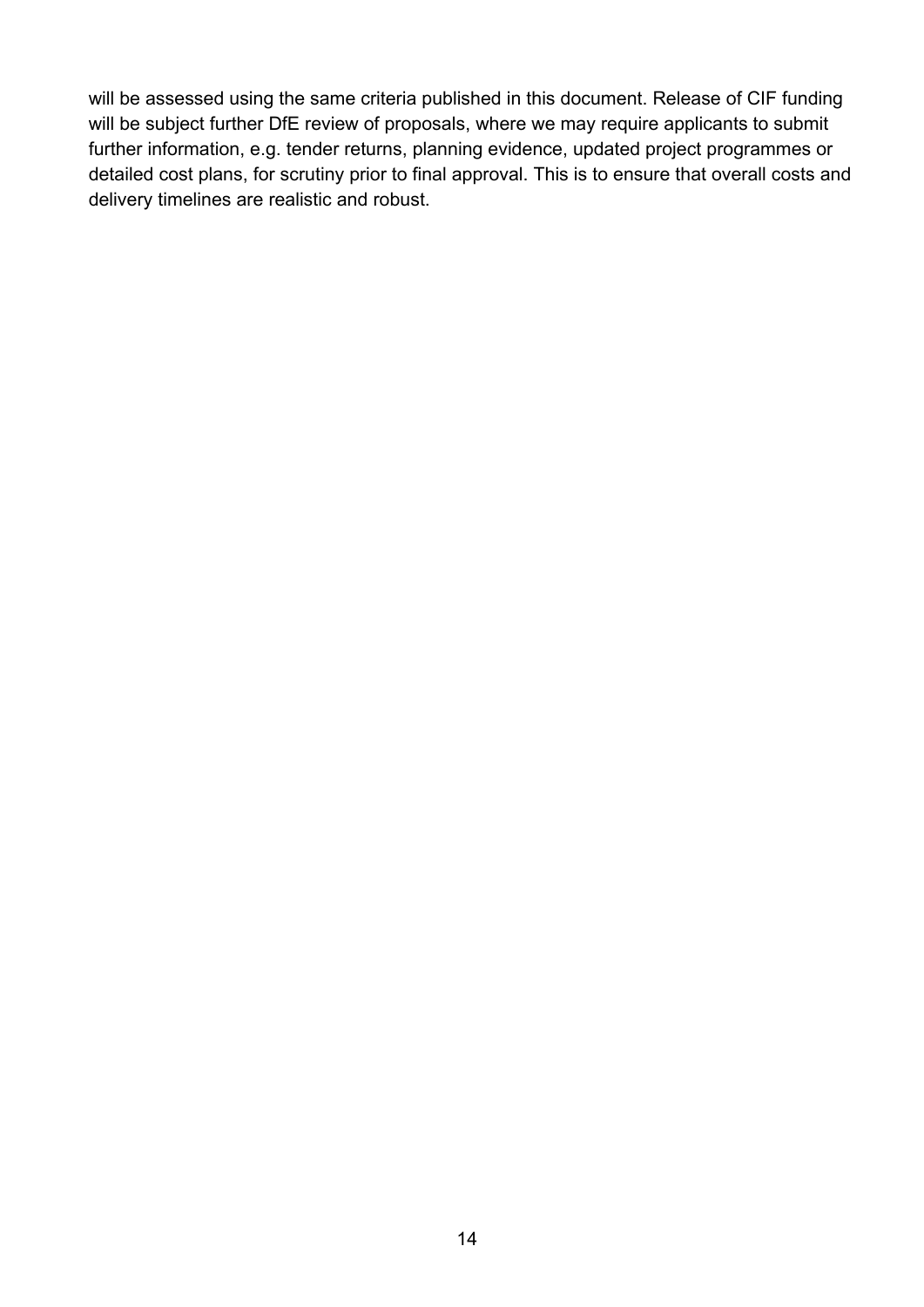will be assessed using the same criteria published in this document. Release of CIF funding will be subject further DfE review of proposals, where we may require applicants to submit further information, e.g. tender returns, planning evidence, updated project programmes or detailed cost plans, for scrutiny prior to final approval. This is to ensure that overall costs and delivery timelines are realistic and robust.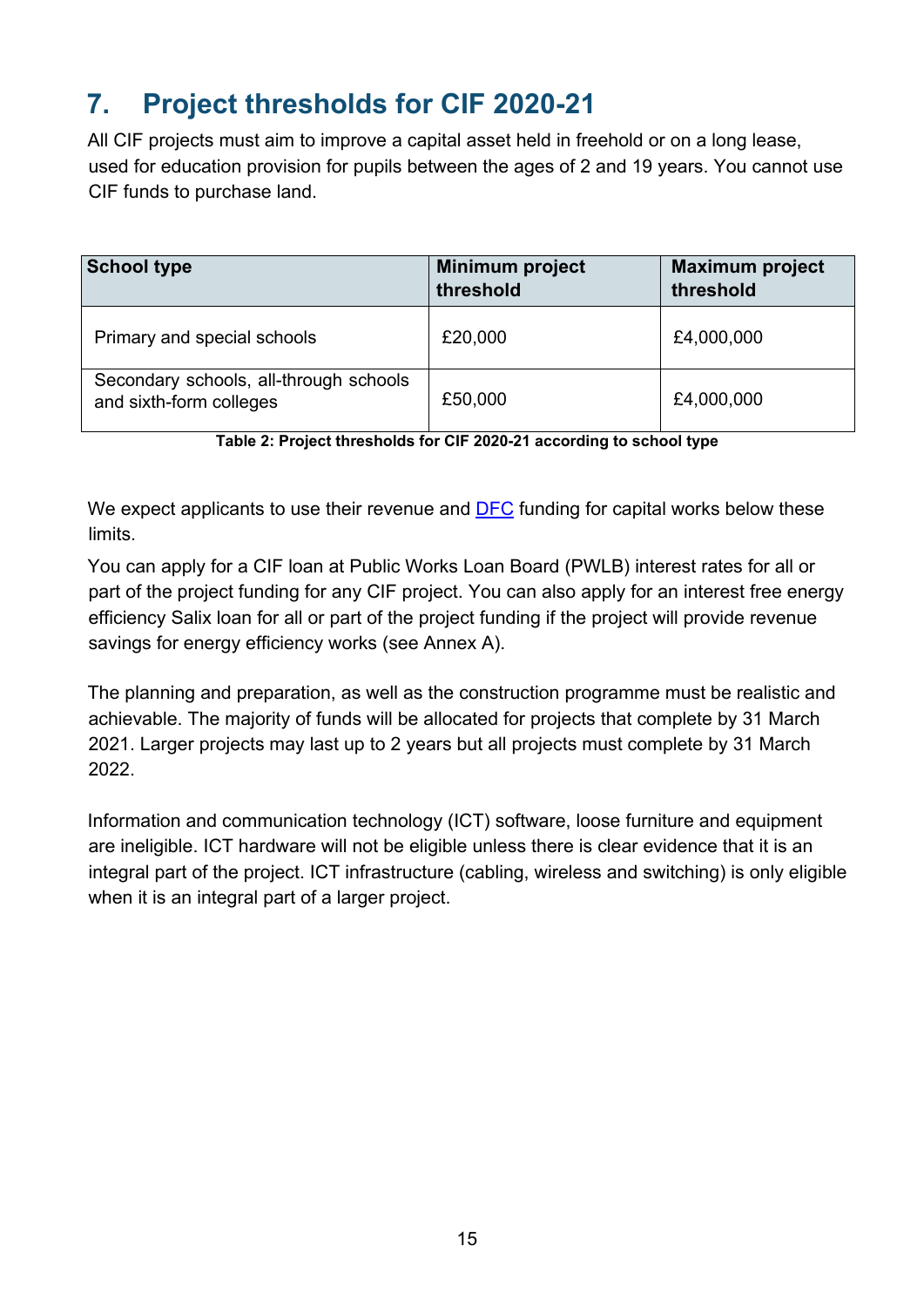# <span id="page-14-0"></span>**7. Project thresholds for CIF 2020-21**

All CIF projects must aim to improve a capital asset held in freehold or on a long lease, used for education provision for pupils between the ages of 2 and 19 years. You cannot use CIF funds to purchase land.

| <b>School type</b>                                                | <b>Minimum project</b><br>threshold | <b>Maximum project</b><br>threshold |
|-------------------------------------------------------------------|-------------------------------------|-------------------------------------|
| Primary and special schools                                       | £20,000                             | £4,000,000                          |
| Secondary schools, all-through schools<br>and sixth-form colleges | £50,000                             | £4,000,000                          |

**Table 2: Project thresholds for CIF 2020-21 according to school type** 

We expect applicants to use their revenue and [DFC](https://www.gov.uk/government/publications/capital-allocations) [f](https://www.gov.uk/government/publications/capital-allocations)unding for capital works below these limits.

You can apply for a CIF loan at Public Works Loan Board (PWLB) interest rates for all or part of the project funding for any CIF project. You can also apply for an interest free energy efficiency Salix loan for all or part of the project funding if the project will provide revenue savings for energy efficiency works (see Annex A).

The planning and preparation, as well as the construction programme must be realistic and achievable. The majority of funds will be allocated for projects that complete by 31 March 2021. Larger projects may last up to 2 years but all projects must complete by 31 March 2022.

Information and communication technology (ICT) software, loose furniture and equipment are ineligible. ICT hardware will not be eligible unless there is clear evidence that it is an integral part of the project. ICT infrastructure (cabling, wireless and switching) is only eligible when it is an integral part of a larger project.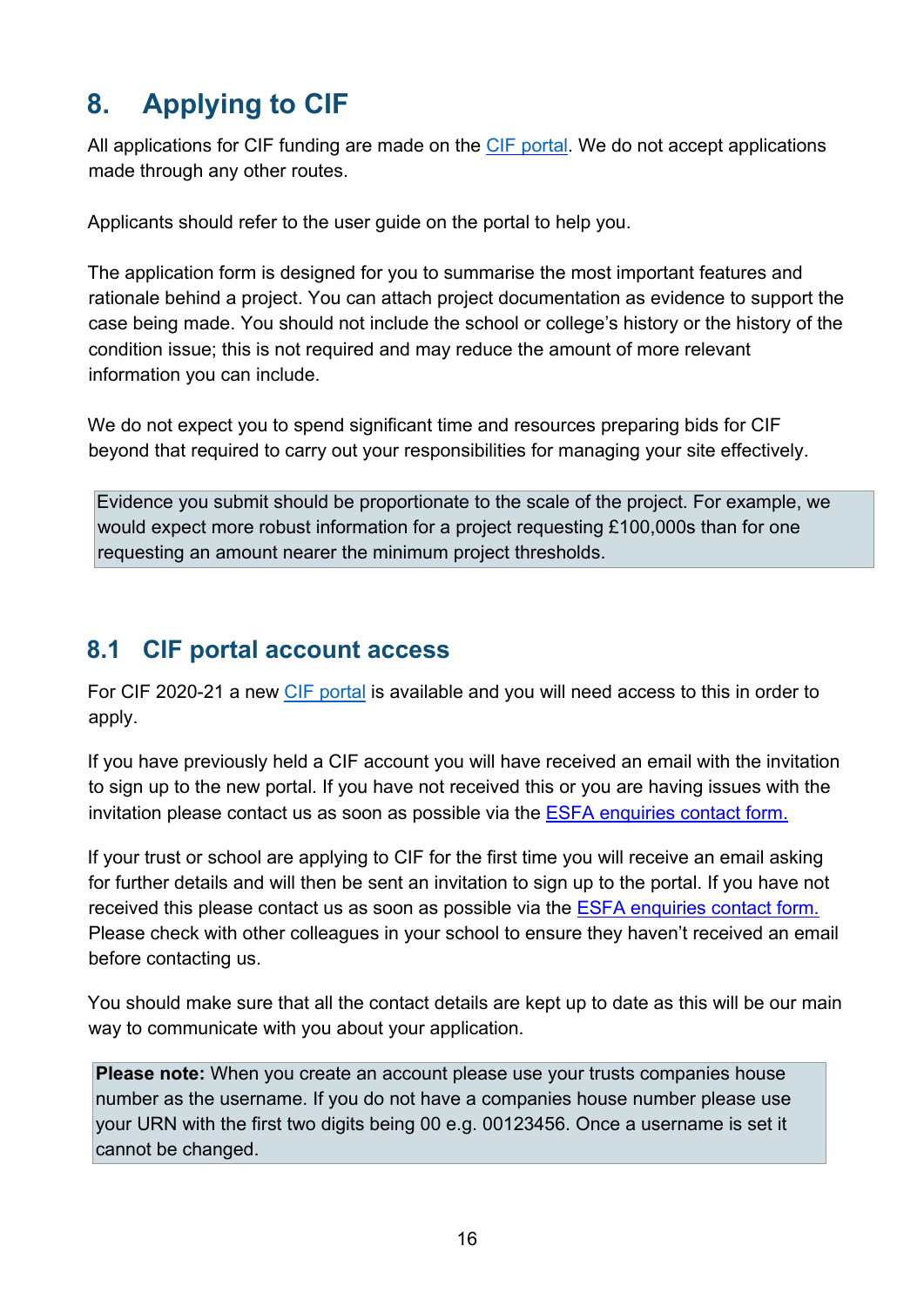# <span id="page-15-0"></span>**8. Applying to CIF**

All applications for CIF funding are made on the [CIF portal.](https://dfe-capital.microsoftcrmportals.com/) We do not accept applications made through any other routes.

Applicants should refer to the user guide on the portal to help you.

The application form is designed for you to summarise the most important features and rationale behind a project. You can attach project documentation as evidence to support the case being made. You should not include the school or college's history or the history of the condition issue; this is not required and may reduce the amount of more relevant information you can include.

We do not expect you to spend significant time and resources preparing bids for CIF beyond that required to carry out your responsibilities for managing your site effectively.

Evidence you submit should be proportionate to the scale of the project. For example, we would expect more robust information for a project requesting £100,000s than for one requesting an amount nearer the minimum project thresholds.

### <span id="page-15-1"></span>**8.1 CIF portal account access**

For CIF 2020-21 a new [CIF portal](https://dfe-capital.microsoftcrmportals.com/) is available and you will need access to this in order to apply.

If you have previously held a CIF account you will have received an email with the invitation to sign up to the new portal. If you have not received this or you are having issues with the invitation please contact us as soon as possible via the [ESFA enquiries contact form.](https://form.education.gov.uk/en/AchieveForms/?form_uri=sandbox-publish://AF-Process-f9f4f5a1-936f-448b-bbeb-9dcdd595f468/AF-Stage-8aa41278-3cdd-45a3-ad87-80cbffb8b992/definition.json&redirectlink=%2Fen&cancelRedirectLink=%2Fen)

If your trust or school are applying to CIF for the first time you will receive an email asking for further details and will then be sent an invitation to sign up to the portal. If you have not received this please contact us as soon as possible via the [ESFA enquiries contact form.](https://form.education.gov.uk/en/AchieveForms/?form_uri=sandbox-publish://AF-Process-f9f4f5a1-936f-448b-bbeb-9dcdd595f468/AF-Stage-8aa41278-3cdd-45a3-ad87-80cbffb8b992/definition.json&redirectlink=%2Fen&cancelRedirectLink=%2Fen) Please check with other colleagues in your school to ensure they haven't received an email before contacting us.

You should make sure that all the contact details are kept up to date as this will be our main way to communicate with you about your application.

**Please note:** When you create an account please use your trusts companies house number as the username. If you do not have a companies house number please use your URN with the first two digits being 00 e.g. 00123456. Once a username is set it cannot be changed.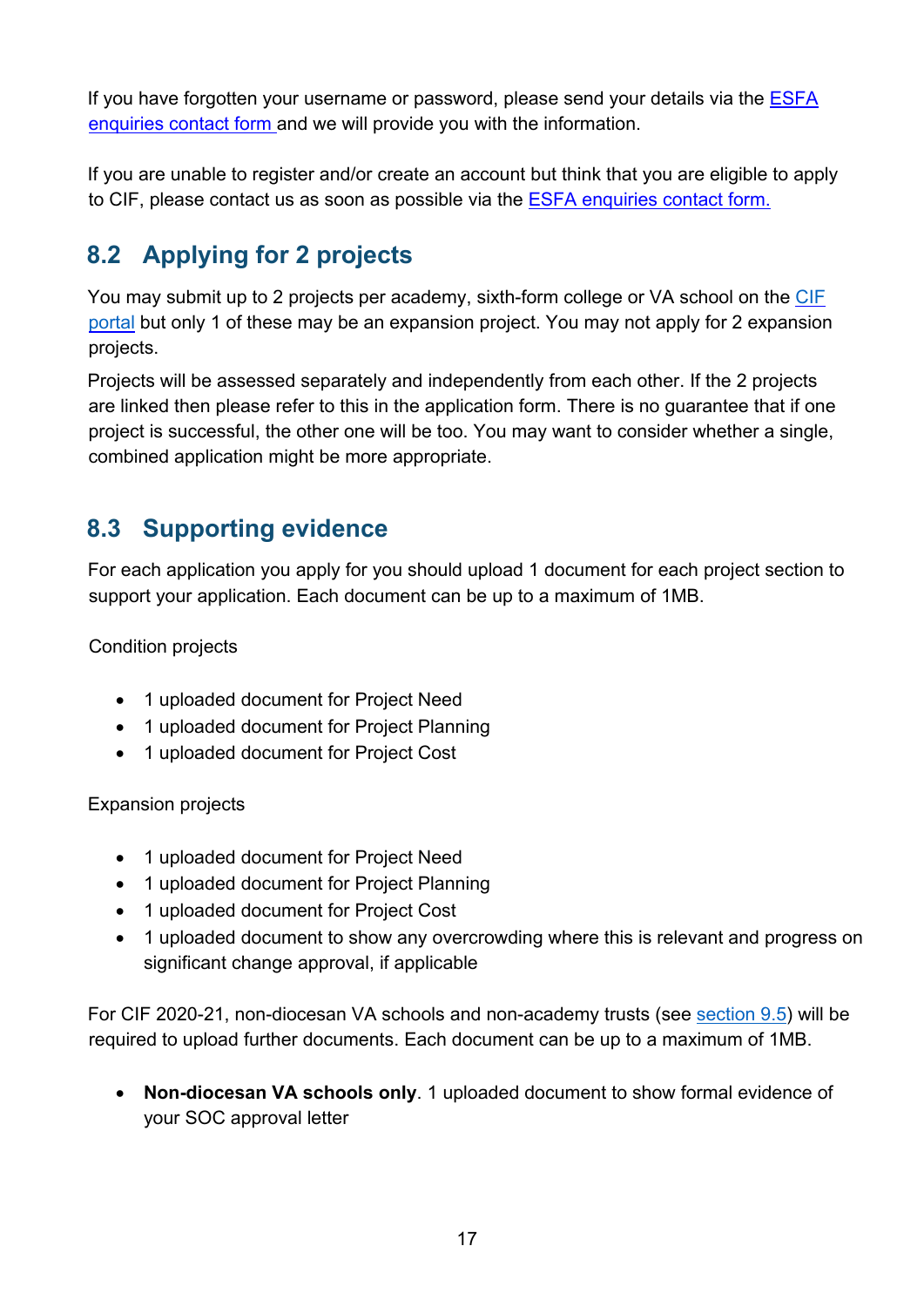If you have forgotten your username or password, please send your details via the ESFA enquiries contact form and we will provide you with the information.

If you are unable to register and/or create an account but think that you are eligible to apply to CIF, please contact us as soon as possible via the [ESFA enquiries contact form.](https://form.education.gov.uk/en/AchieveForms/?form_uri=sandbox-publish://AF-Process-f9f4f5a1-936f-448b-bbeb-9dcdd595f468/AF-Stage-8aa41278-3cdd-45a3-ad87-80cbffb8b992/definition.json&redirectlink=%2Fen&cancelRedirectLink=%2Fen)

# <span id="page-16-0"></span>**8.2 Applying for 2 projects**

You may submit up to 2 projects per academy, sixth-form college or VA school on th[e](https://efadatacollections.education.gov.uk/sites/cif/Pages/welcome.aspx) [CIF](https://efadatacollections.education.gov.uk/sites/cif/Pages/welcome.aspx)  [portal](https://dfe-capital.microsoftcrmportals.com/) [b](https://dfe-capital.microsoftcrmportals.com/)ut only 1 of these may be an expansion project. You may not apply for 2 expansion projects.

Projects will be assessed separately and independently from each other. If the 2 projects are linked then please refer to this in the application form. There is no guarantee that if one project is successful, the other one will be too. You may want to consider whether a single, combined application might be more appropriate.

### <span id="page-16-1"></span>**8.3 Supporting evidence**

For each application you apply for you should upload 1 document for each project section to support your application. Each document can be up to a maximum of 1MB.

Condition projects

- 1 uploaded document for Project Need
- 1 uploaded document for Project Planning
- 1 uploaded document for Project Cost

Expansion projects

- 1 uploaded document for Project Need
- 1 uploaded document for Project Planning
- 1 uploaded document for Project Cost
- 1 uploaded document to show any overcrowding where this is relevant and progress on significant change approval, if applicable

For CIF 2020-21, non-diocesan VA schools and non-academy trusts (see [section 9.5\)](#page-21-0) will be required to upload further documents. Each document can be up to a maximum of 1MB.

• **Non-diocesan VA schools only**. 1 uploaded document to show formal evidence of your SOC approval letter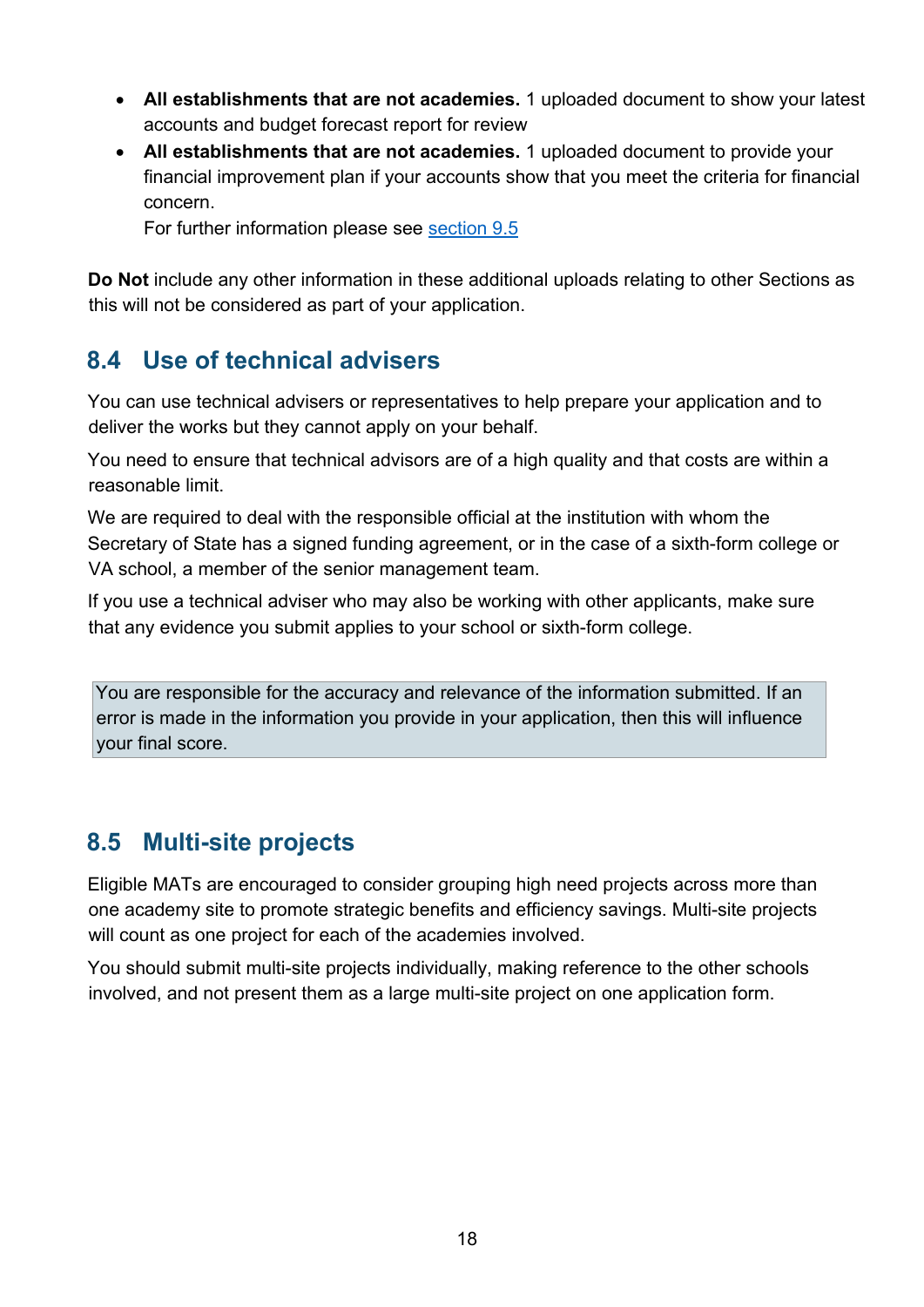- **All establishments that are not academies.** 1 uploaded document to show your latest accounts and budget forecast report for review
- **All establishments that are not academies.** 1 uploaded document to provide your financial improvement plan if your accounts show that you meet the criteria for financial concern.

For further information please see [section 9.5](#page-21-0)

**Do Not** include any other information in these additional uploads relating to other Sections as this will not be considered as part of your application.

### <span id="page-17-0"></span>**8.4 Use of technical advisers**

You can use technical advisers or representatives to help prepare your application and to deliver the works but they cannot apply on your behalf.

You need to ensure that technical advisors are of a high quality and that costs are within a reasonable limit.

We are required to deal with the responsible official at the institution with whom the Secretary of State has a signed funding agreement, or in the case of a sixth-form college or VA school, a member of the senior management team.

If you use a technical adviser who may also be working with other applicants, make sure that any evidence you submit applies to your school or sixth-form college.

You are responsible for the accuracy and relevance of the information submitted. If an error is made in the information you provide in your application, then this will influence your final score.

#### <span id="page-17-1"></span>**8.5 Multi-site projects**

Eligible MATs are encouraged to consider grouping high need projects across more than one academy site to promote strategic benefits and efficiency savings. Multi-site projects will count as one project for each of the academies involved.

You should submit multi-site projects individually, making reference to the other schools involved, and not present them as a large multi-site project on one application form.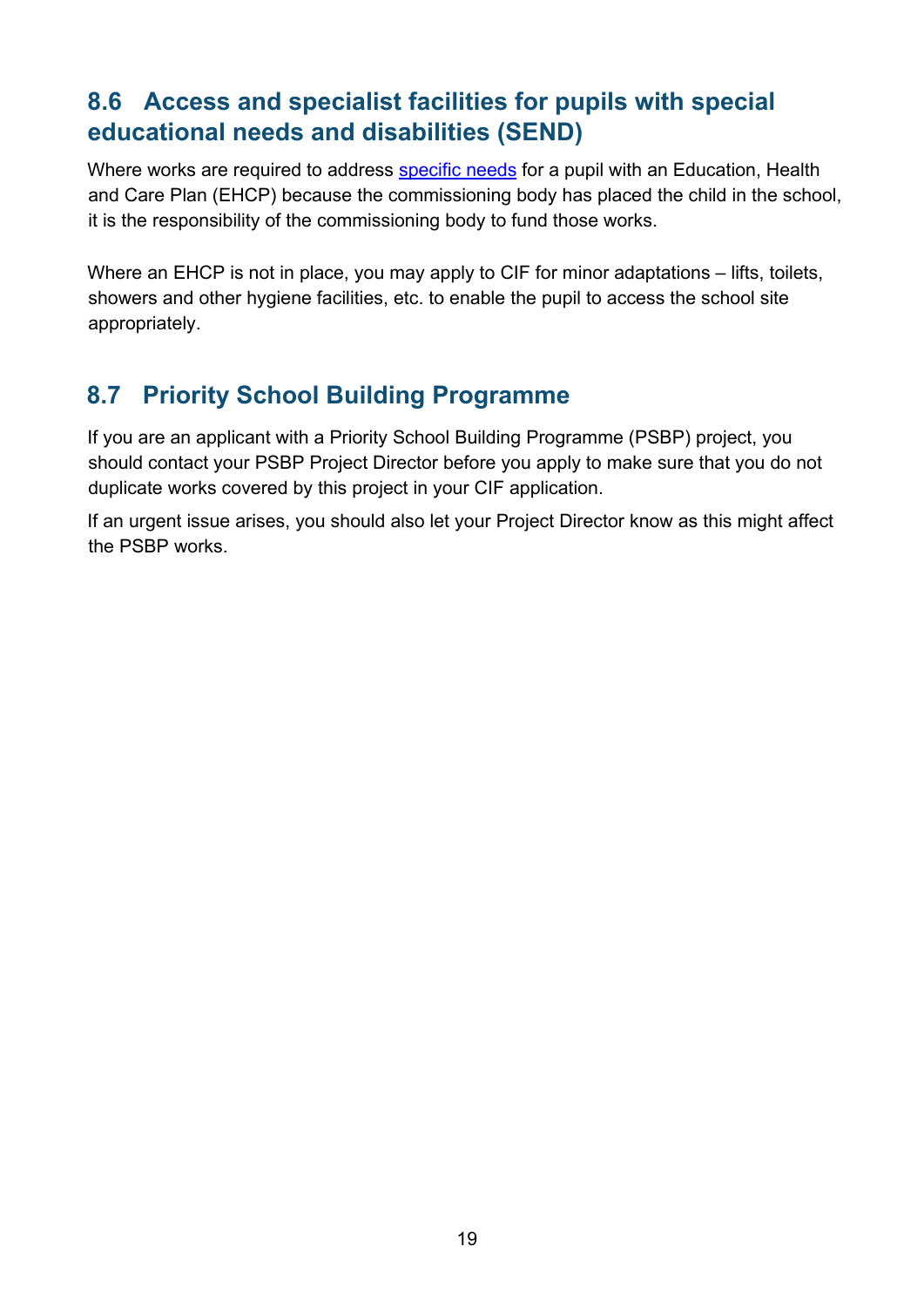# <span id="page-18-0"></span>**8.6 Access and specialist facilities for pupils with special educational needs and disabilities (SEND)**

Where works are required to address [specific needs](https://www.gov.uk/government/publications/send-code-of-practice-0-to-25) [f](https://www.gov.uk/government/publications/send-code-of-practice-0-to-25)or a pupil with an Education. Health and Care Plan (EHCP) because the commissioning body has placed the child in the school, it is the responsibility of the commissioning body to fund those works.

Where an EHCP is not in place, you may apply to CIF for minor adaptations – lifts, toilets, showers and other hygiene facilities, etc. to enable the pupil to access the school site appropriately.

# <span id="page-18-1"></span>**8.7 Priority School Building Programme**

If you are an applicant with a Priority School Building Programme (PSBP) project, you should contact your PSBP Project Director before you apply to make sure that you do not duplicate works covered by this project in your CIF application.

If an urgent issue arises, you should also let your Project Director know as this might affect the PSBP works.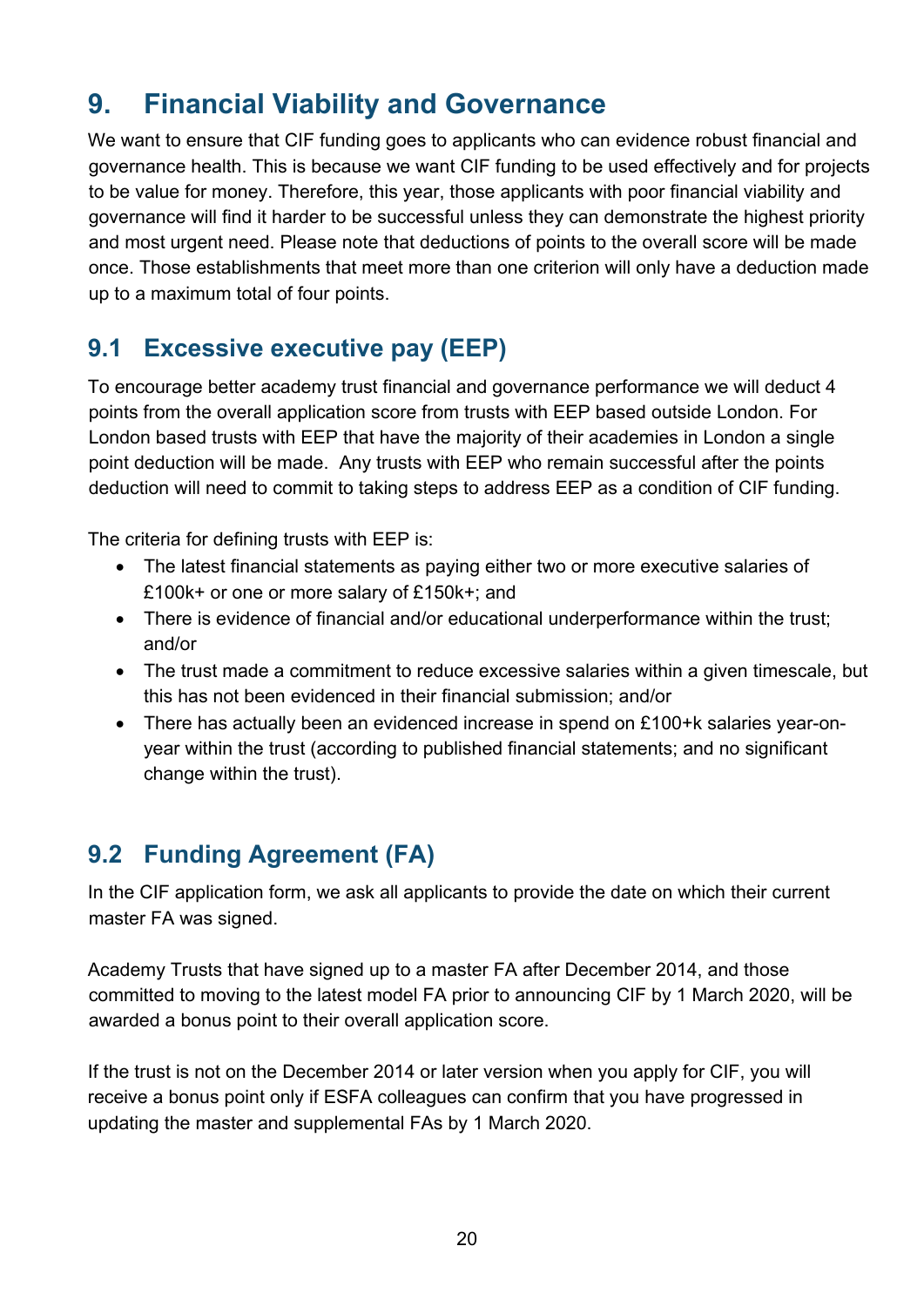# <span id="page-19-0"></span>**9. Financial Viability and Governance**

We want to ensure that CIF funding goes to applicants who can evidence robust financial and governance health. This is because we want CIF funding to be used effectively and for projects to be value for money. Therefore, this year, those applicants with poor financial viability and governance will find it harder to be successful unless they can demonstrate the highest priority and most urgent need. Please note that deductions of points to the overall score will be made once. Those establishments that meet more than one criterion will only have a deduction made up to a maximum total of four points.

# <span id="page-19-1"></span>**9.1 Excessive executive pay (EEP)**

To encourage better academy trust financial and governance performance we will deduct 4 points from the overall application score from trusts with EEP based outside London. For London based trusts with EEP that have the majority of their academies in London a single point deduction will be made. Any trusts with EEP who remain successful after the points deduction will need to commit to taking steps to address EEP as a condition of CIF funding.

The criteria for defining trusts with EEP is:

- The latest financial statements as paying either two or more executive salaries of £100k+ or one or more salary of £150k+; and
- There is evidence of financial and/or educational underperformance within the trust; and/or
- The trust made a commitment to reduce excessive salaries within a given timescale, but this has not been evidenced in their financial submission; and/or
- There has actually been an evidenced increase in spend on £100+k salaries year-onyear within the trust (according to published financial statements; and no significant change within the trust).

# <span id="page-19-2"></span>**9.2 Funding Agreement (FA)**

In the CIF application form, we ask all applicants to provide the date on which their current master FA was signed.

Academy Trusts that have signed up to a master FA after December 2014, and those committed to moving to the latest model FA prior to announcing CIF by 1 March 2020, will be awarded a bonus point to their overall application score.

If the trust is not on the December 2014 or later version when you apply for CIF, you will receive a bonus point only if ESFA colleagues can confirm that you have progressed in updating the master and supplemental FAs by 1 March 2020.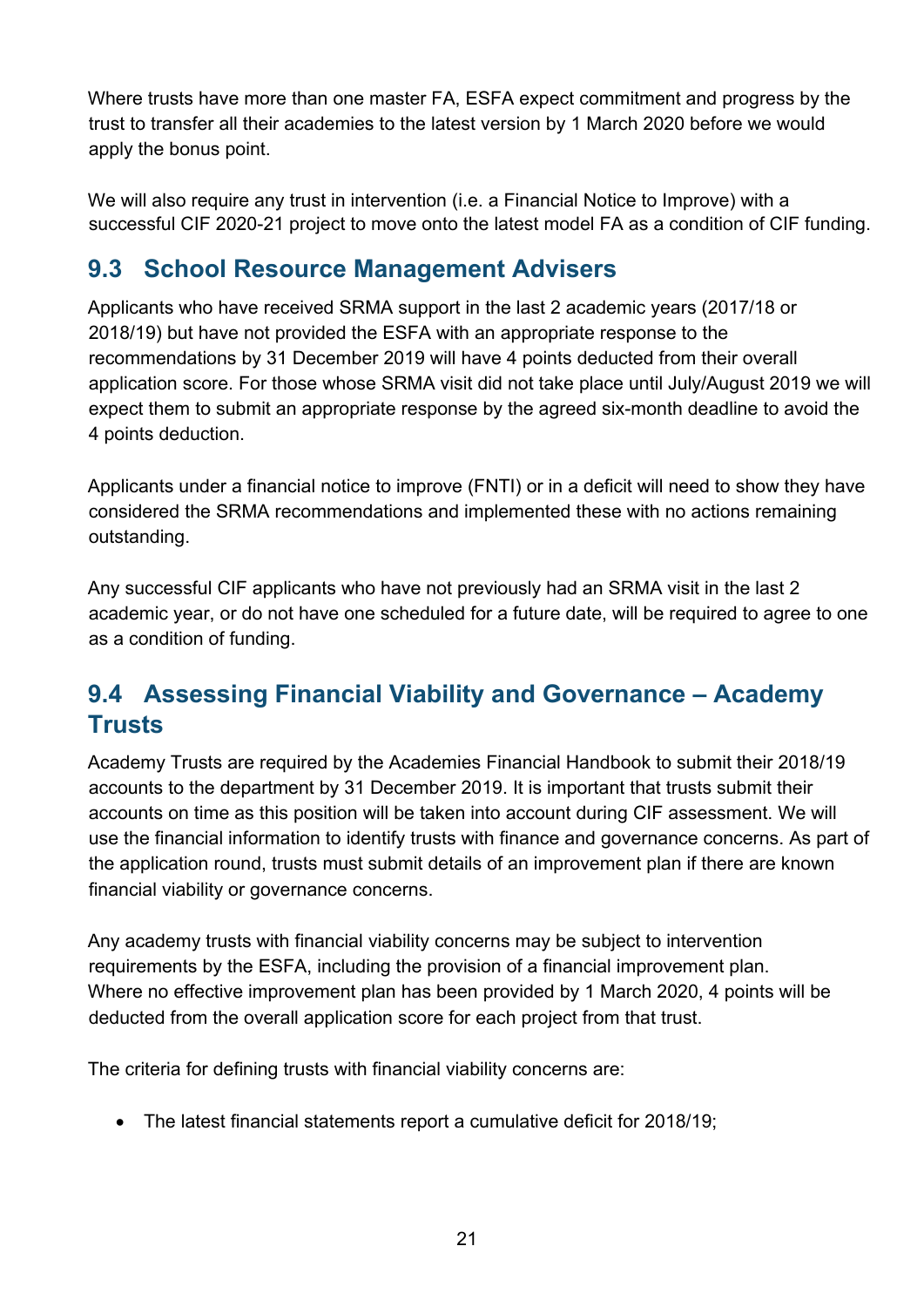Where trusts have more than one master FA, ESFA expect commitment and progress by the trust to transfer all their academies to the latest version by 1 March 2020 before we would apply the bonus point.

We will also require any trust in intervention (i.e. a Financial Notice to Improve) with a successful CIF 2020-21 project to move onto the latest model FA as a condition of CIF funding.

### <span id="page-20-0"></span>**9.3 School Resource Management Advisers**

Applicants who have received SRMA support in the last 2 academic years (2017/18 or 2018/19) but have not provided the ESFA with an appropriate response to the recommendations by 31 December 2019 will have 4 points deducted from their overall application score. For those whose SRMA visit did not take place until July/August 2019 we will expect them to submit an appropriate response by the agreed six-month deadline to avoid the 4 points deduction.

Applicants under a financial notice to improve (FNTI) or in a deficit will need to show they have considered the SRMA recommendations and implemented these with no actions remaining outstanding.

Any successful CIF applicants who have not previously had an SRMA visit in the last 2 academic year, or do not have one scheduled for a future date, will be required to agree to one as a condition of funding.

# <span id="page-20-1"></span>**9.4 Assessing Financial Viability and Governance – Academy Trusts**

Academy Trusts are required by the Academies Financial Handbook to submit their 2018/19 accounts to the department by 31 December 2019. It is important that trusts submit their accounts on time as this position will be taken into account during CIF assessment. We will use the financial information to identify trusts with finance and governance concerns. As part of the application round, trusts must submit details of an improvement plan if there are known financial viability or governance concerns.

Any academy trusts with financial viability concerns may be subject to intervention requirements by the ESFA, including the provision of a financial improvement plan. Where no effective improvement plan has been provided by 1 March 2020, 4 points will be deducted from the overall application score for each project from that trust.

The criteria for defining trusts with financial viability concerns are:

• The latest financial statements report a cumulative deficit for 2018/19;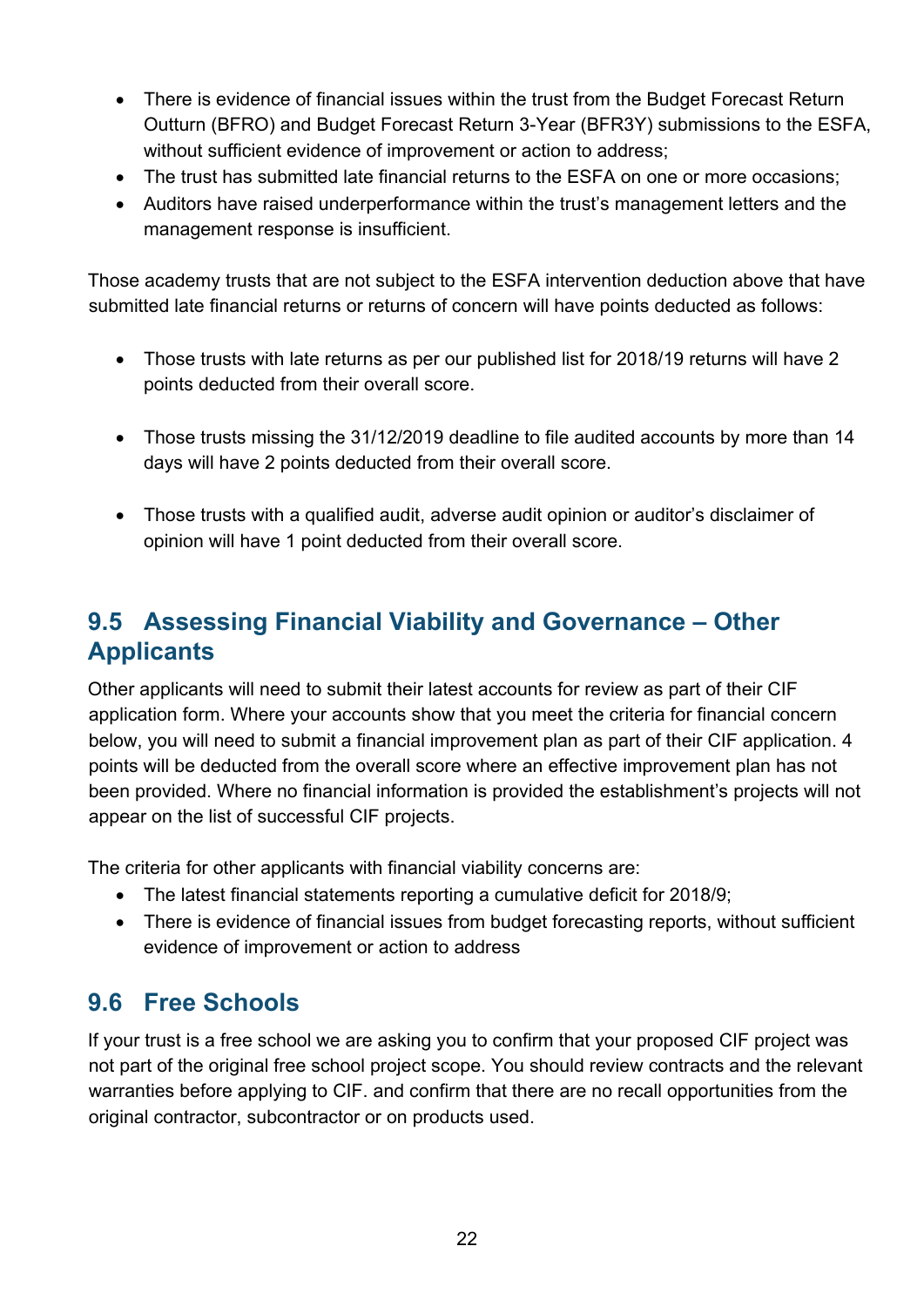- There is evidence of financial issues within the trust from the Budget Forecast Return Outturn (BFRO) and Budget Forecast Return 3-Year (BFR3Y) submissions to the ESFA, without sufficient evidence of improvement or action to address;
- The trust has submitted late financial returns to the ESFA on one or more occasions;
- Auditors have raised underperformance within the trust's management letters and the management response is insufficient.

Those academy trusts that are not subject to the ESFA intervention deduction above that have submitted late financial returns or returns of concern will have points deducted as follows:

- Those trusts with late returns as per our published list for 2018/19 returns will have 2 points deducted from their overall score.
- Those trusts missing the 31/12/2019 deadline to file audited accounts by more than 14 days will have 2 points deducted from their overall score.
- Those trusts with a qualified audit, adverse audit opinion or auditor's disclaimer of opinion will have 1 point deducted from their overall score.

# <span id="page-21-0"></span>**9.5 Assessing Financial Viability and Governance – Other Applicants**

Other applicants will need to submit their latest accounts for review as part of their CIF application form. Where your accounts show that you meet the criteria for financial concern below, you will need to submit a financial improvement plan as part of their CIF application. 4 points will be deducted from the overall score where an effective improvement plan has not been provided. Where no financial information is provided the establishment's projects will not appear on the list of successful CIF projects.

The criteria for other applicants with financial viability concerns are:

- The latest financial statements reporting a cumulative deficit for 2018/9;
- There is evidence of financial issues from budget forecasting reports, without sufficient evidence of improvement or action to address

# <span id="page-21-1"></span>**9.6 Free Schools**

If your trust is a free school we are asking you to confirm that your proposed CIF project was not part of the original free school project scope. You should review contracts and the relevant warranties before applying to CIF. and confirm that there are no recall opportunities from the original contractor, subcontractor or on products used.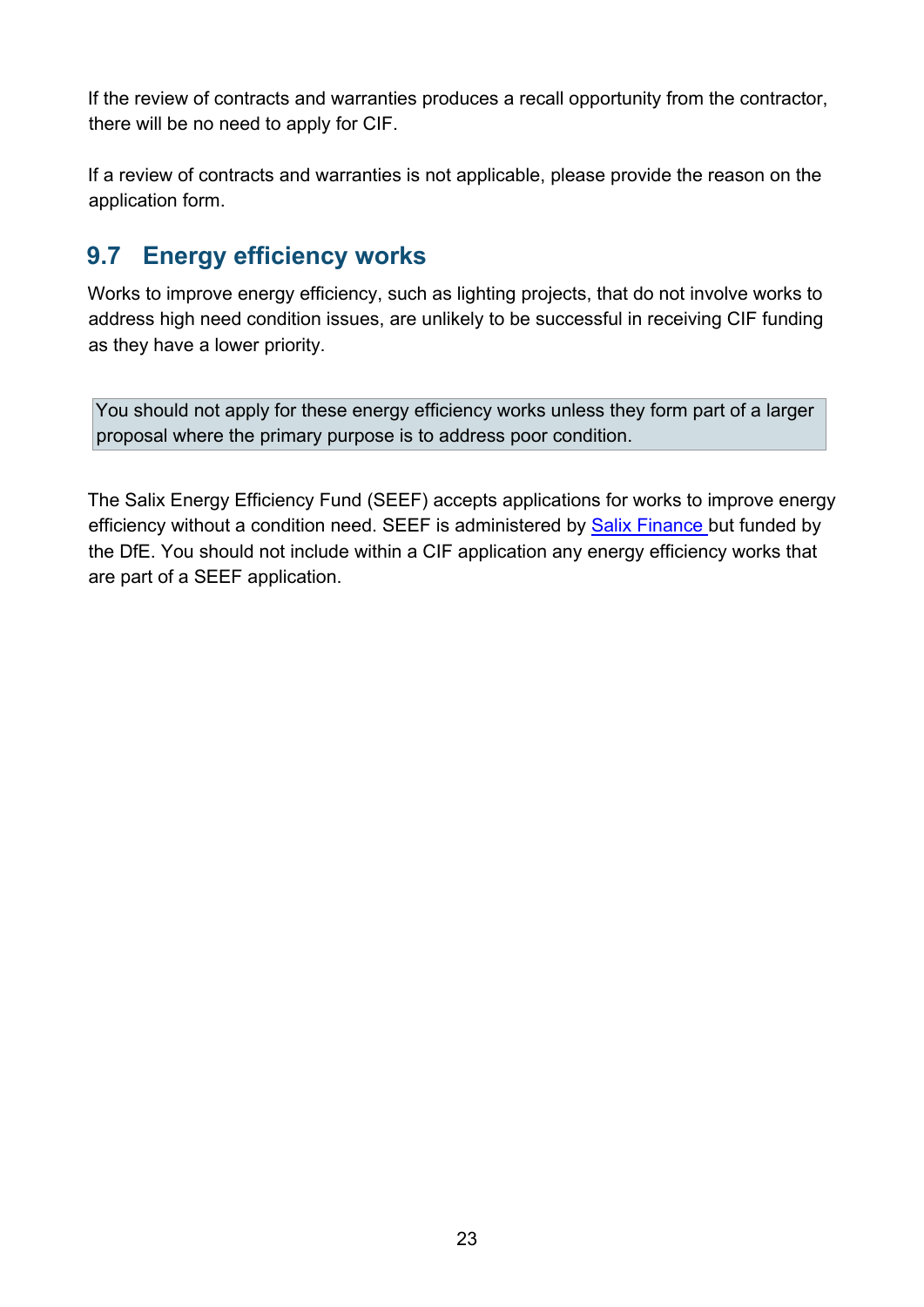If the review of contracts and warranties produces a recall opportunity from the contractor, there will be no need to apply for CIF.

If a review of contracts and warranties is not applicable, please provide the reason on the application form.

### <span id="page-22-0"></span>**9.7 Energy efficiency works**

Works to improve energy efficiency, such as lighting projects, that do not involve works to address high need condition issues, are unlikely to be successful in receiving CIF funding as they have a lower priority.

You should not apply for these energy efficiency works unless they form part of a larger proposal where the primary purpose is to address poor condition.

The Salix Energy Efficiency Fund (SEEF) accepts applications for works to improve energy efficiency without a condition need. SEEF is administered by [Salix Finance](http://www.salixfinance.co.uk/loans/SEEF) [b](http://www.salixfinance.co.uk/loans/SEEF)ut funded by the DfE. You should not include within a CIF application any energy efficiency works that are part of a SEEF application.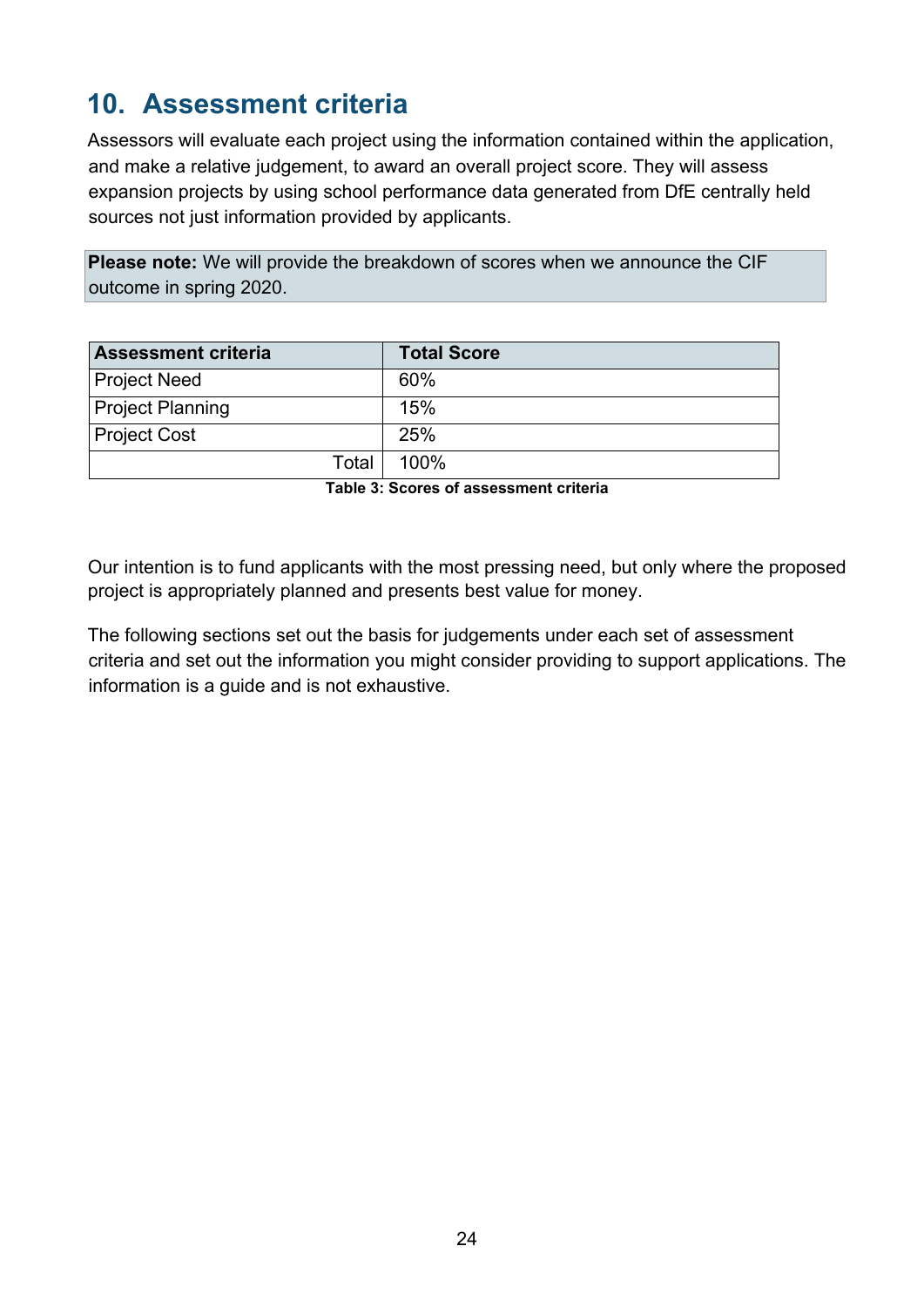# <span id="page-23-0"></span>**10. Assessment criteria**

Assessors will evaluate each project using the information contained within the application, and make a relative judgement, to award an overall project score. They will assess expansion projects by using school performance data generated from DfE centrally held sources not just information provided by applicants.

**Please note:** We will provide the breakdown of scores when we announce the CIF outcome in spring 2020.

| <b>Assessment criteria</b> | <b>Total Score</b> |
|----------------------------|--------------------|
| <b>Project Need</b>        | 60%                |
| <b>Project Planning</b>    | 15%                |
| <b>Project Cost</b>        | 25%                |
| Total                      | 100%               |

**Table 3: Scores of assessment criteria** 

Our intention is to fund applicants with the most pressing need, but only where the proposed project is appropriately planned and presents best value for money.

The following sections set out the basis for judgements under each set of assessment criteria and set out the information you might consider providing to support applications. The information is a guide and is not exhaustive.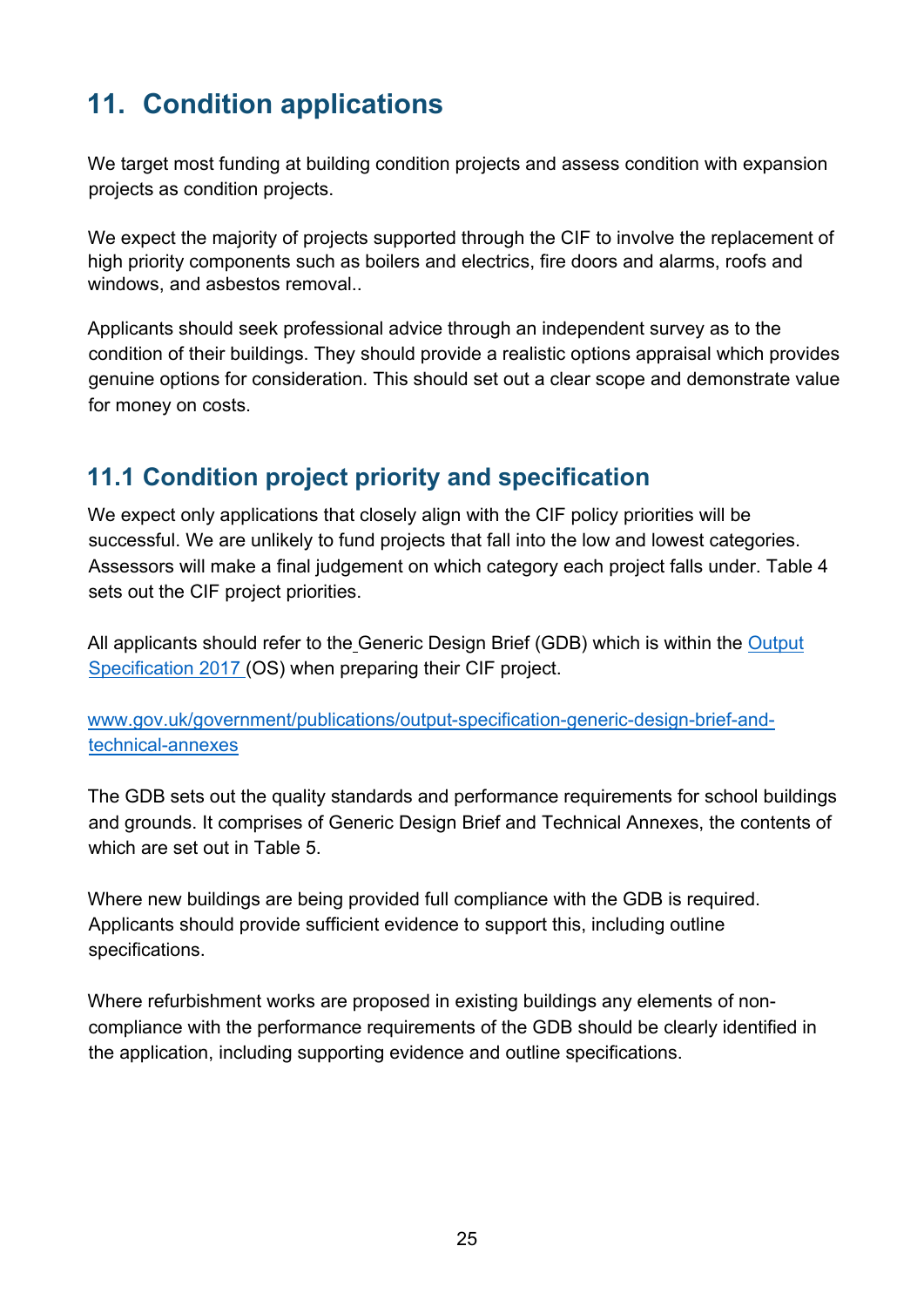# <span id="page-24-0"></span>**11. Condition applications**

We target most funding at building condition projects and assess condition with expansion projects as condition projects.

We expect the majority of projects supported through the CIF to involve the replacement of high priority components such as boilers and electrics, fire doors and alarms, roofs and windows, and asbestos removal..

Applicants should seek professional advice through an independent survey as to the condition of their buildings. They should provide a realistic options appraisal which provides genuine options for consideration. This should set out a clear scope and demonstrate value for money on costs.

# <span id="page-24-1"></span>**11.1 Condition project priority and specification**

We expect only applications that closely align with the CIF policy priorities will be successful. We are unlikely to fund projects that fall into the low and lowest categories. Assessors will make a final judgement on which category each project falls under. Table 4 sets out the CIF project priorities.

All applicants should refer to the Generic Design Brief (GDB) which is within the [Output](https://www.gov.uk/government/publications/output-specification-2017-esfa-employers-requirements-part-b)  [Specification 2017](https://www.gov.uk/government/publications/output-specification-2017-esfa-employers-requirements-part-b) [\(](https://www.gov.uk/government/publications/output-specification-2017-esfa-employers-requirements-part-b)OS) when preparing their CIF project.

[www.gov.uk/government/publications/output-specification-generic-design-brief-and](http://www.gov.uk/government/publications/output-specification-generic-design-brief-and-technical-annexes)[technical-annexes](http://www.gov.uk/government/publications/output-specification-generic-design-brief-and-technical-annexes)

The GDB sets out the quality standards and performance requirements for school buildings and grounds. It comprises of Generic Design Brief and Technical Annexes, the contents of which are set out in Table 5.

Where new buildings are being provided full compliance with the GDB is required. Applicants should provide sufficient evidence to support this, including outline specifications.

Where refurbishment works are proposed in existing buildings any elements of noncompliance with the performance requirements of the GDB should be clearly identified in the application, including supporting evidence and outline specifications.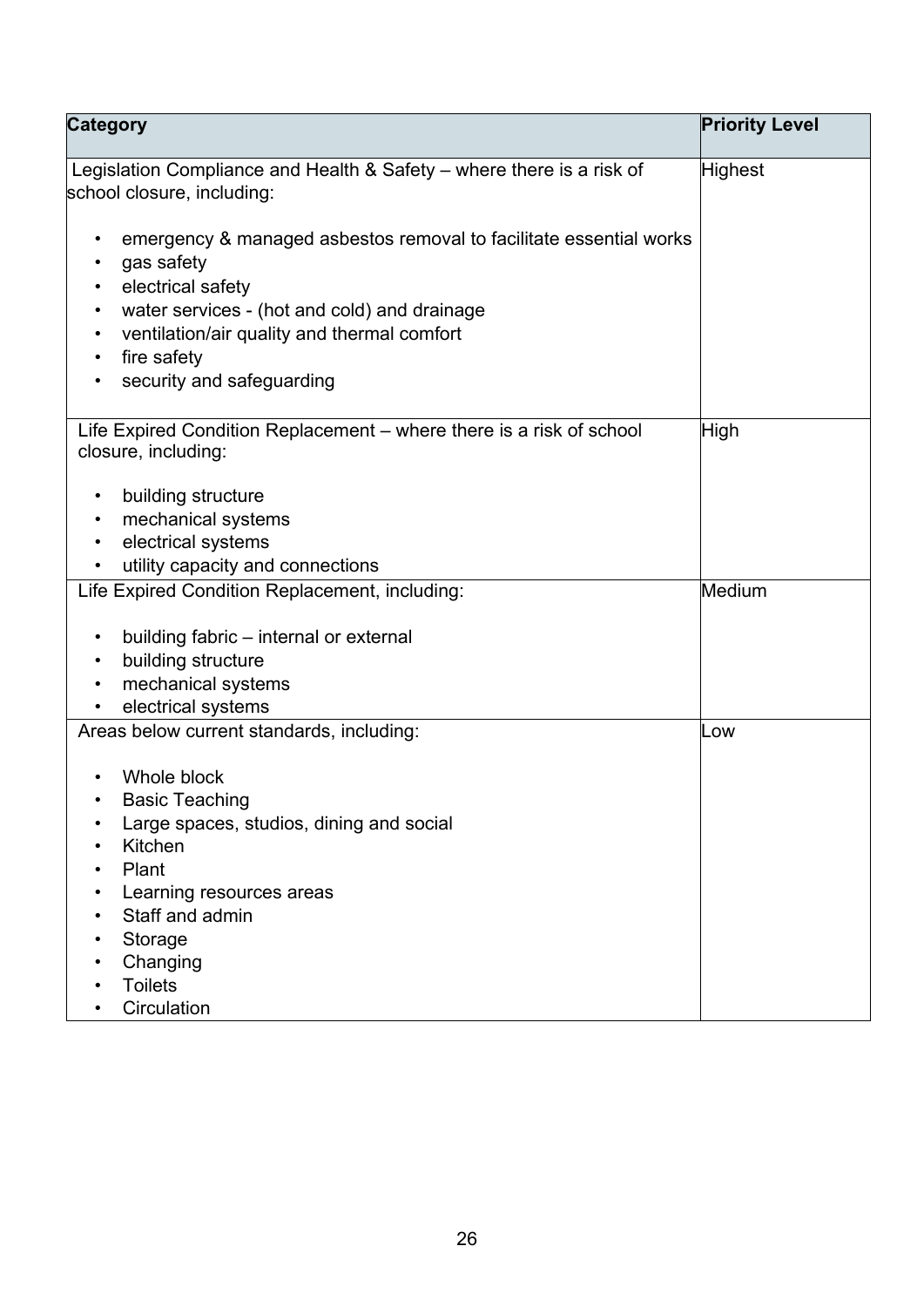| <b>Category</b>                                                                                     | <b>Priority Level</b> |
|-----------------------------------------------------------------------------------------------------|-----------------------|
| Legislation Compliance and Health & Safety – where there is a risk of<br>school closure, including: | Highest               |
|                                                                                                     |                       |
| emergency & managed asbestos removal to facilitate essential works                                  |                       |
| gas safety                                                                                          |                       |
| electrical safety                                                                                   |                       |
| water services - (hot and cold) and drainage                                                        |                       |
| ventilation/air quality and thermal comfort                                                         |                       |
| fire safety                                                                                         |                       |
| security and safeguarding                                                                           |                       |
| Life Expired Condition Replacement - where there is a risk of school                                | High                  |
| closure, including:                                                                                 |                       |
|                                                                                                     |                       |
| building structure<br>$\bullet$                                                                     |                       |
| mechanical systems<br>electrical systems                                                            |                       |
| utility capacity and connections                                                                    |                       |
| Life Expired Condition Replacement, including:                                                      | Medium                |
|                                                                                                     |                       |
| building fabric – internal or external<br>$\bullet$                                                 |                       |
| building structure                                                                                  |                       |
| mechanical systems                                                                                  |                       |
| electrical systems                                                                                  |                       |
| Areas below current standards, including:                                                           | Low                   |
| Whole block                                                                                         |                       |
| <b>Basic Teaching</b>                                                                               |                       |
| Large spaces, studios, dining and social                                                            |                       |
| Kitchen                                                                                             |                       |
| Plant                                                                                               |                       |
| Learning resources areas                                                                            |                       |
| Staff and admin                                                                                     |                       |
| Storage                                                                                             |                       |
| Changing                                                                                            |                       |
| <b>Toilets</b><br>Circulation                                                                       |                       |
|                                                                                                     |                       |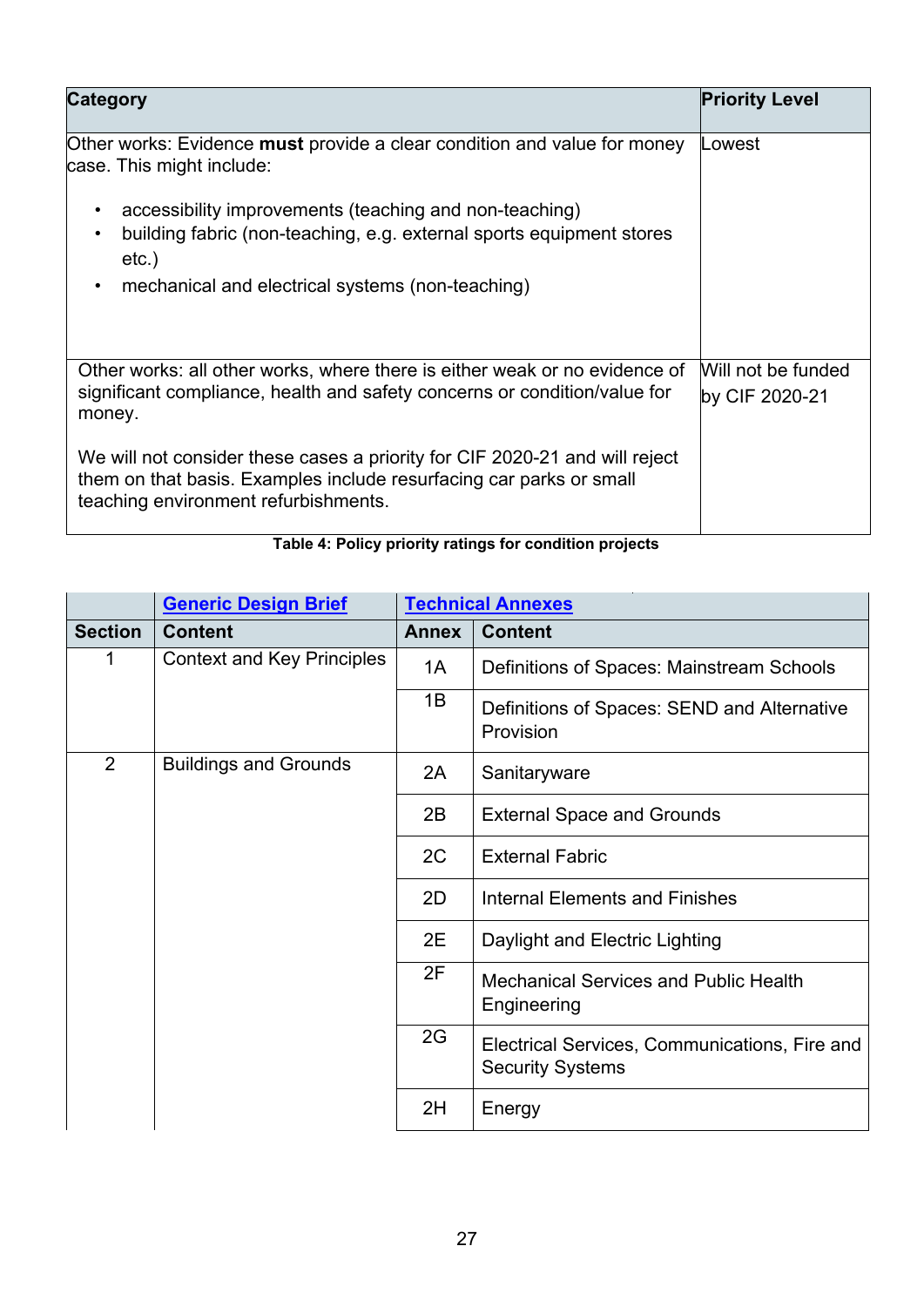| <b>Category</b>                                                                                                                                                                            | <b>Priority Level</b>                |
|--------------------------------------------------------------------------------------------------------------------------------------------------------------------------------------------|--------------------------------------|
| Other works: Evidence <b>must</b> provide a clear condition and value for money<br>case. This might include:                                                                               | Lowest                               |
| accessibility improvements (teaching and non-teaching)<br>building fabric (non-teaching, e.g. external sports equipment stores<br>$etc.$ )                                                 |                                      |
| mechanical and electrical systems (non-teaching)<br>$\bullet$                                                                                                                              |                                      |
| Other works: all other works, where there is either weak or no evidence of<br>significant compliance, health and safety concerns or condition/value for<br>money.                          | Will not be funded<br>by CIF 2020-21 |
| We will not consider these cases a priority for CIF 2020-21 and will reject<br>them on that basis. Examples include resurfacing car parks or small<br>teaching environment refurbishments. |                                      |

### **Table 4: Policy priority ratings for condition projects**

|                | <b>Generic Design Brief</b>       | <b>Technical Annexes</b> |                                                                          |
|----------------|-----------------------------------|--------------------------|--------------------------------------------------------------------------|
| <b>Section</b> | <b>Content</b>                    | <b>Annex</b>             | <b>Content</b>                                                           |
| 1              | <b>Context and Key Principles</b> | 1A                       | Definitions of Spaces: Mainstream Schools                                |
|                |                                   | 1B                       | Definitions of Spaces: SEND and Alternative<br>Provision                 |
| $\overline{2}$ | <b>Buildings and Grounds</b>      | 2A                       | Sanitaryware                                                             |
|                |                                   | 2B                       | <b>External Space and Grounds</b>                                        |
|                |                                   | 2C                       | <b>External Fabric</b>                                                   |
|                |                                   | 2D                       | <b>Internal Elements and Finishes</b>                                    |
|                |                                   | 2E                       | Daylight and Electric Lighting                                           |
|                |                                   | 2F                       | <b>Mechanical Services and Public Health</b><br>Engineering              |
|                |                                   | 2G                       | Electrical Services, Communications, Fire and<br><b>Security Systems</b> |
|                |                                   | 2H                       | Energy                                                                   |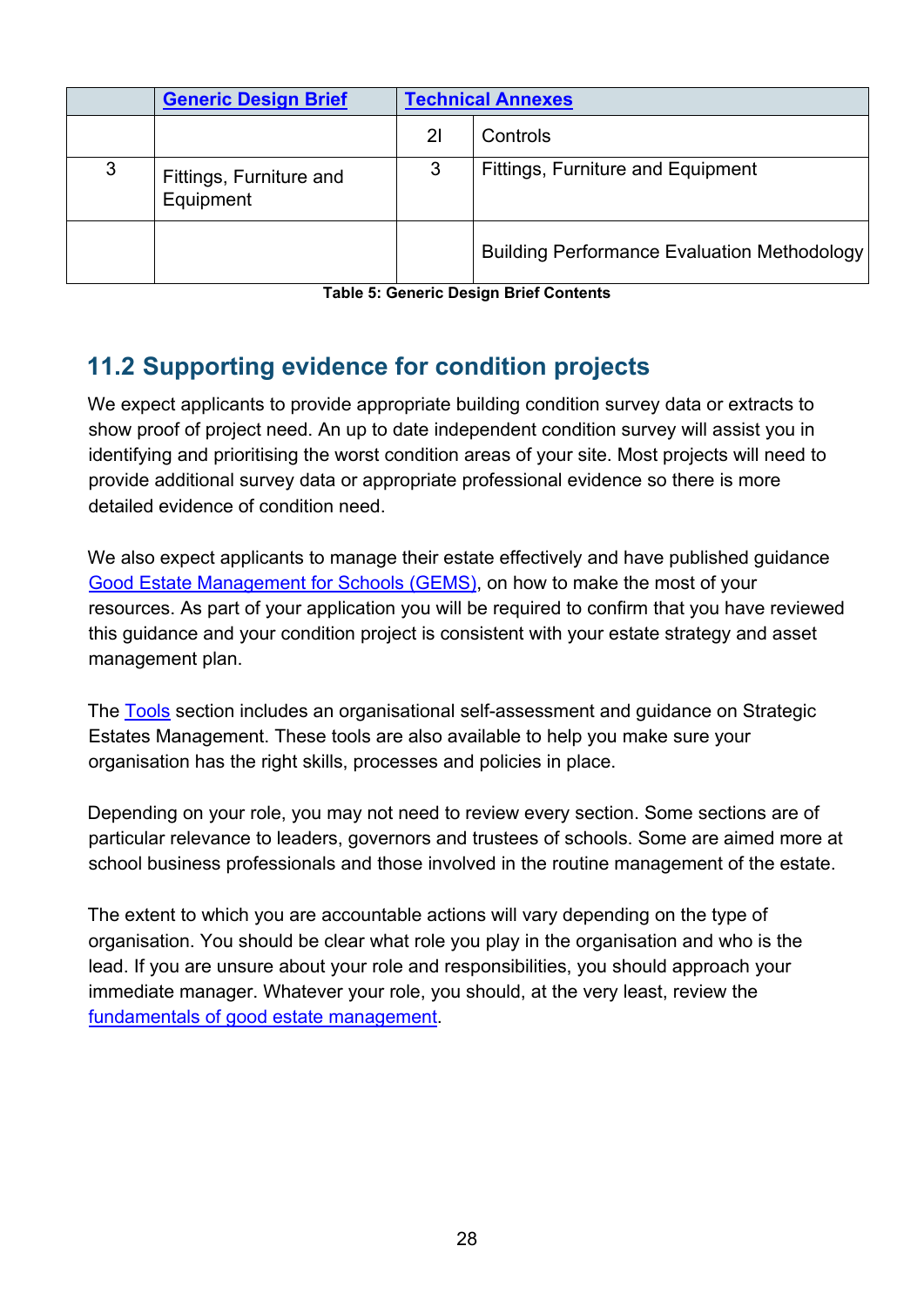|   | <b>Generic Design Brief</b>          | <b>Technical Annexes</b> |                                                    |
|---|--------------------------------------|--------------------------|----------------------------------------------------|
|   |                                      | 2 <sup>1</sup>           | Controls                                           |
| 3 | Fittings, Furniture and<br>Equipment | 3                        | <b>Fittings, Furniture and Equipment</b>           |
|   |                                      |                          | <b>Building Performance Evaluation Methodology</b> |

**Table 5: Generic Design Brief Contents** 

# <span id="page-27-0"></span>**11.2 Supporting evidence for condition projects**

We expect applicants to provide appropriate building condition survey data or extracts to show proof of project need. An up to date independent condition survey will assist you in identifying and prioritising the worst condition areas of your site. Most projects will need to provide additional survey data or appropriate professional evidence so there is more detailed evidence of condition need.

We also expect applicants to manage their estate effectively and have published guidance [Good Estate Management for Schools \(GEMS\),](https://www.gov.uk/guidance/good-estate-management-for-schools) on how to make the most of your resources. As part of your application you will be required to confirm that you have reviewed this guidance and your condition project is consistent with your estate strategy and asset management plan.

The [Tools](https://www.gov.uk/government/publications/good-estate-management-for-schools-tools) section includes an organisational self-assessment and guidance on Strategic Estates Management. These tools are also available to help you make sure your organisation has the right skills, processes and policies in place.

Depending on your role, you may not need to review every section. Some sections are of particular relevance to leaders, governors and trustees of schools. Some are aimed more at school business professionals and those involved in the routine management of the estate.

The extent to which you are accountable actions will vary depending on the type of organisation. You should be clear what role you play in the organisation and who is the lead. If you are unsure about your role and responsibilities, you should approach your immediate manager. Whatever your role, you should, at the very least, review the [fundamentals of good estate management.](https://www.gov.uk/guidance/good-estate-management-for-schools/the-fundamentals-of-good-estate-management)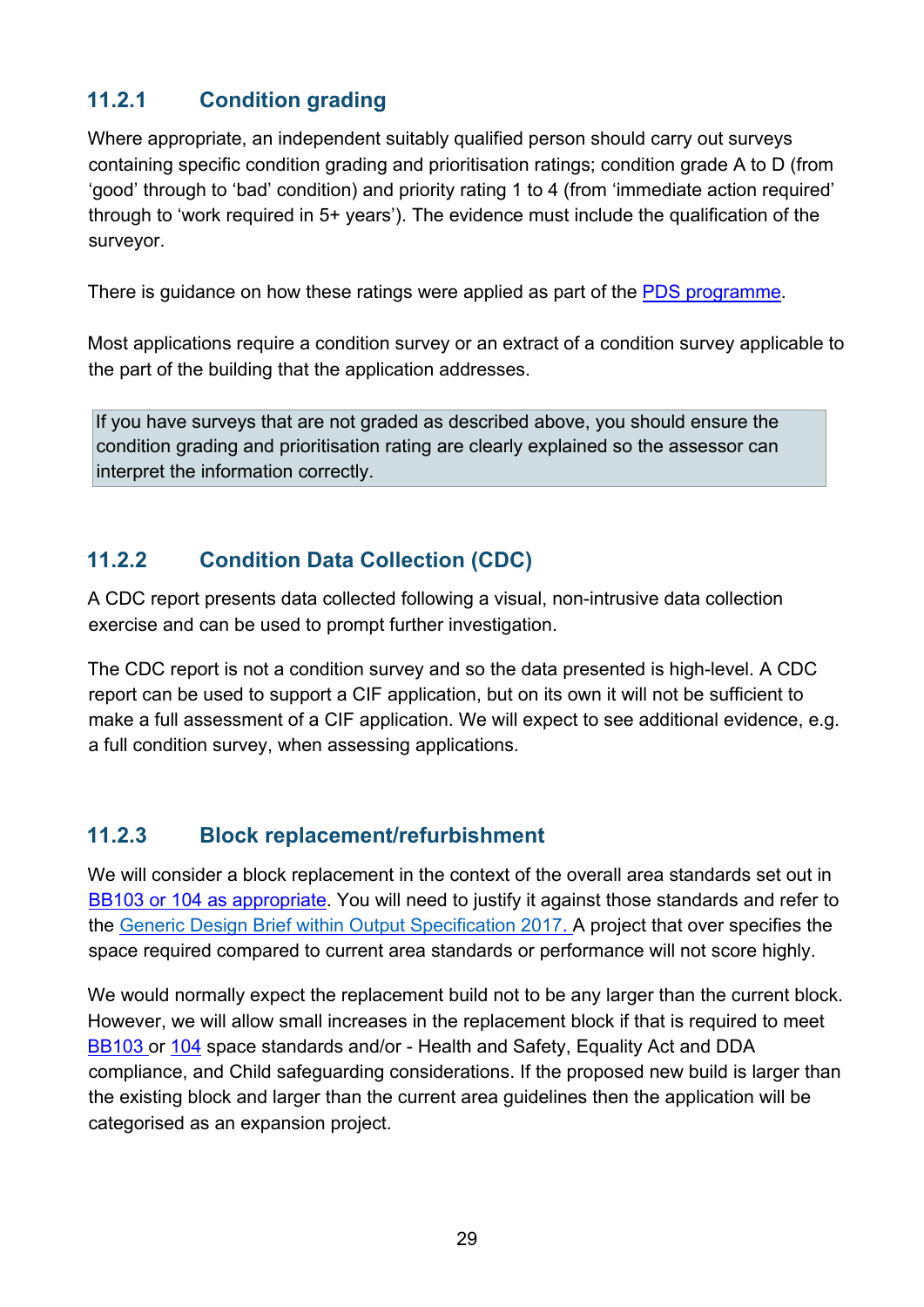#### **11.2.1 Condition grading**

Where appropriate, an independent suitably qualified person should carry out surveys containing specific condition grading and prioritisation ratings; condition grade A to D (from 'good' through to 'bad' condition) and priority rating 1 to 4 (from 'immediate action required' through to 'work required in 5+ years'). The evidence must include the qualification of the surveyor.

There is guidance on how these ratings were applied as part of the **PDS** programme.

Most applications require a condition survey or an extract of a condition survey applicable to the part of the building that the application addresses.

If you have surveys that are not graded as described above, you should ensure the condition grading and prioritisation rating are clearly explained so the assessor can interpret the information correctly.

#### **11.2.2 Condition Data Collection (CDC)**

A CDC report presents data collected following a visual, non-intrusive data collection exercise and can be used to prompt further investigation.

The CDC report is not a condition survey and so the data presented is high-level. A CDC report can be used to support a CIF application, but on its own it will not be sufficient to make a full assessment of a CIF application. We will expect to see additional evidence, e.g. a full condition survey, when assessing applications.

#### **11.2.3 Block replacement/refurbishment**

We will consider a block replacement in the context of the overall area standards set out in [BB103 o](https://www.gov.uk/government/publications/mainstream-schools-area-guidelines)r [104 a](https://www.gov.uk/government/publications/send-and-alternative-provision-area-guidelines)s appropriate. You will need to justify it against those standards and refer to the [Generic Design Brief within Output Specification 2017.](https://www.gov.uk/government/publications/output-specification-2017-esfa-employers-requirements-part-b) A project that over specifies the space required compared to current area standards or performance will not score highly.

We would normally expect the replacement build not to be any larger than the current block. However, we will allow small increases in the replacement block if that is required to meet [BB103 o](https://www.gov.uk/government/publications/mainstream-schools-area-guidelines)r [104](https://www.gov.uk/government/publications/send-and-alternative-provision-area-guidelines) space standards and/or - Health and Safety, Equality Act and DDA compliance, and Child safeguarding considerations. If the proposed new build is larger than the existing block and larger than the current area guidelines then the application will be categorised as an expansion project.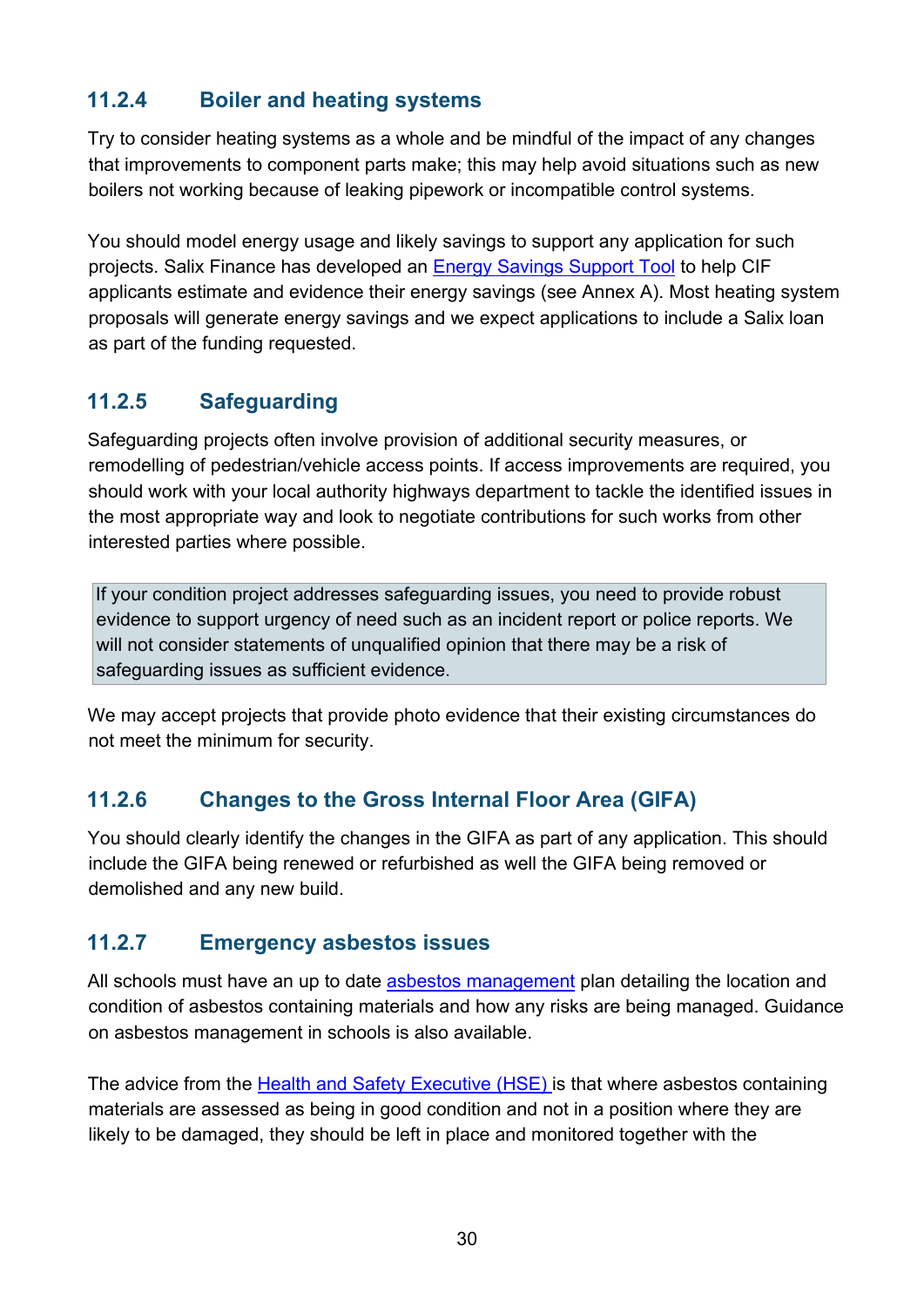#### **11.2.4 Boiler and heating systems**

Try to consider heating systems as a whole and be mindful of the impact of any changes that improvements to component parts make; this may help avoid situations such as new boilers not working because of leaking pipework or incompatible control systems.

You should model energy usage and likely savings to support any application for such projects. Salix Finance has developed an [Energy Savings Support Tool](https://www.salixfinance.co.uk/loans/CIF) [t](https://www.salixfinance.co.uk/loans/CIF)o help CIF applicants estimate and evidence their energy savings (see Annex A). Most heating system proposals will generate energy savings and we expect applications to include a Salix loan as part of the funding requested.

#### **11.2.5 Safeguarding**

Safeguarding projects often involve provision of additional security measures, or remodelling of pedestrian/vehicle access points. If access improvements are required, you should work with your local authority highways department to tackle the identified issues in the most appropriate way and look to negotiate contributions for such works from other interested parties where possible.

If your condition project addresses safeguarding issues, you need to provide robust evidence to support urgency of need such as an incident report or police reports. We will not consider statements of unqualified opinion that there may be a risk of safeguarding issues as sufficient evidence.

We may accept projects that provide photo evidence that their existing circumstances do not meet the minimum for security.

#### **11.2.6 Changes to the Gross Internal Floor Area (GIFA)**

You should clearly identify the changes in the GIFA as part of any application. This should include the GIFA being renewed or refurbished as well the GIFA being removed or demolished and any new build.

#### **11.2.7 Emergency asbestos issues**

All schools must have an up to date [asbestos management](https://www.gov.uk/government/publications/asbestos-in-schools-policy-review) plan detailing the location and condition of asbestos containing materials and how any risks are being managed. Guidance on [asbestos management in schools i](https://www.gov.uk/government/publications/asbestos-management-in-schools--2)s also available.

The advice from the [Health and Safety Executive \(HSE\) is](http://www.hse.gov.uk/) that where asbestos containing materials are assessed as being in good condition and not in a position where they are likely to be damaged, they should be left in place and monitored together with the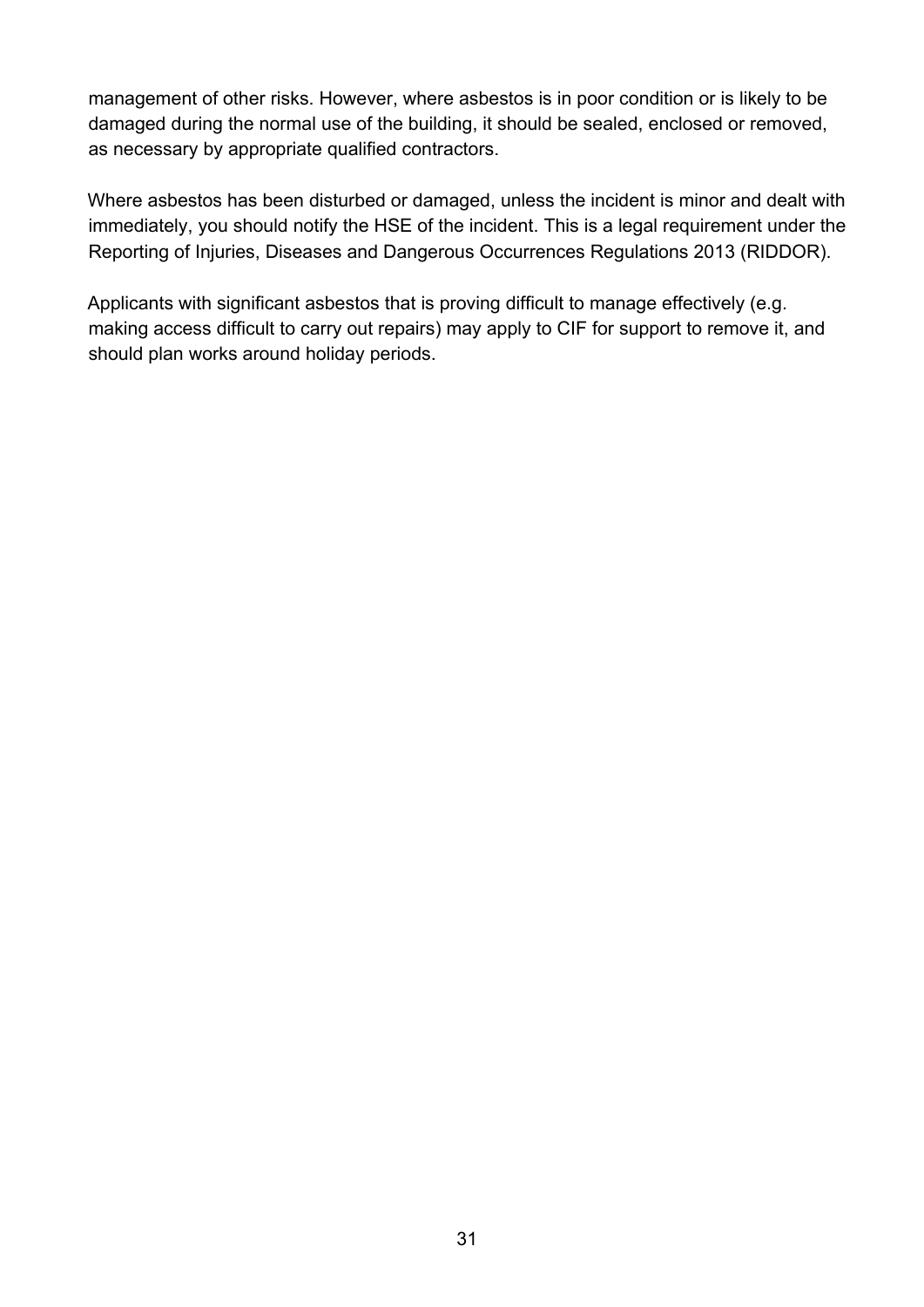management of other risks. However, where asbestos is in poor condition or is likely to be damaged during the normal use of the building, it should be sealed, enclosed or removed, as necessary by appropriate qualified contractors.

Where asbestos has been disturbed or damaged, unless the incident is minor and dealt with immediately, you should notify the HSE of the incident. This is a legal requirement under the Reporting of Injuries, Diseases and Dangerous Occurrences Regulations 2013 (RIDDOR).

Applicants with significant asbestos that is proving difficult to manage effectively (e.g. making access difficult to carry out repairs) may apply to CIF for support to remove it, and should plan works around holiday periods.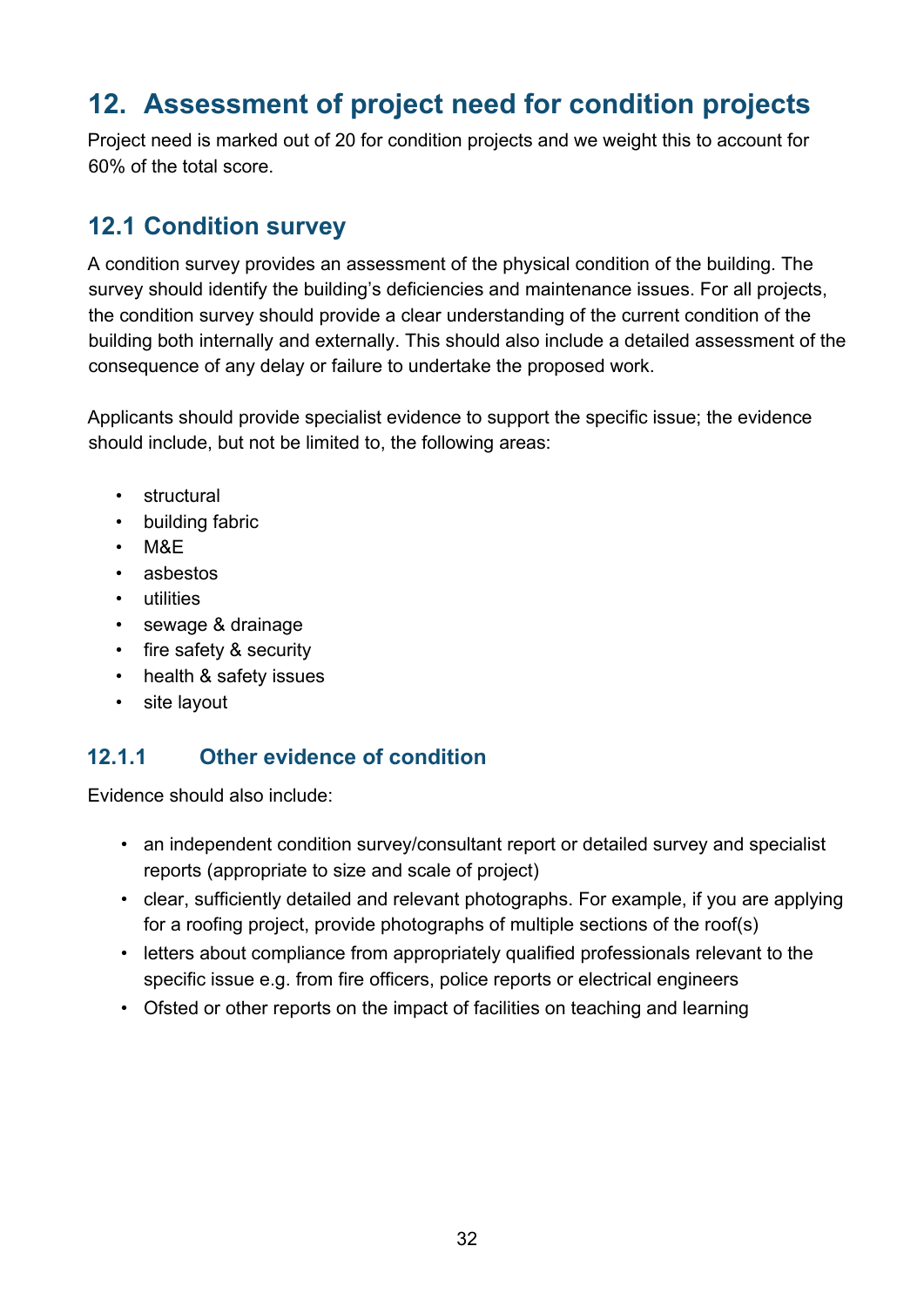# <span id="page-31-0"></span>**12. Assessment of project need for condition projects**

Project need is marked out of 20 for condition projects and we weight this to account for 60% of the total score.

# <span id="page-31-1"></span>**12.1 Condition survey**

A condition survey provides an assessment of the physical condition of the building. The survey should identify the building's deficiencies and maintenance issues. For all projects, the condition survey should provide a clear understanding of the current condition of the building both internally and externally. This should also include a detailed assessment of the consequence of any delay or failure to undertake the proposed work.

Applicants should provide specialist evidence to support the specific issue; the evidence should include, but not be limited to, the following areas:

- structural
- building fabric
- M&E
- asbestos
- utilities
- sewage & drainage
- fire safety & security
- health & safety issues
- site layout

#### **12.1.1 Other evidence of condition**

Evidence should also include:

- an independent condition survey/consultant report or detailed survey and specialist reports (appropriate to size and scale of project)
- clear, sufficiently detailed and relevant photographs. For example, if you are applying for a roofing project, provide photographs of multiple sections of the roof(s)
- letters about compliance from appropriately qualified professionals relevant to the specific issue e.g. from fire officers, police reports or electrical engineers
- Ofsted or other reports on the impact of facilities on teaching and learning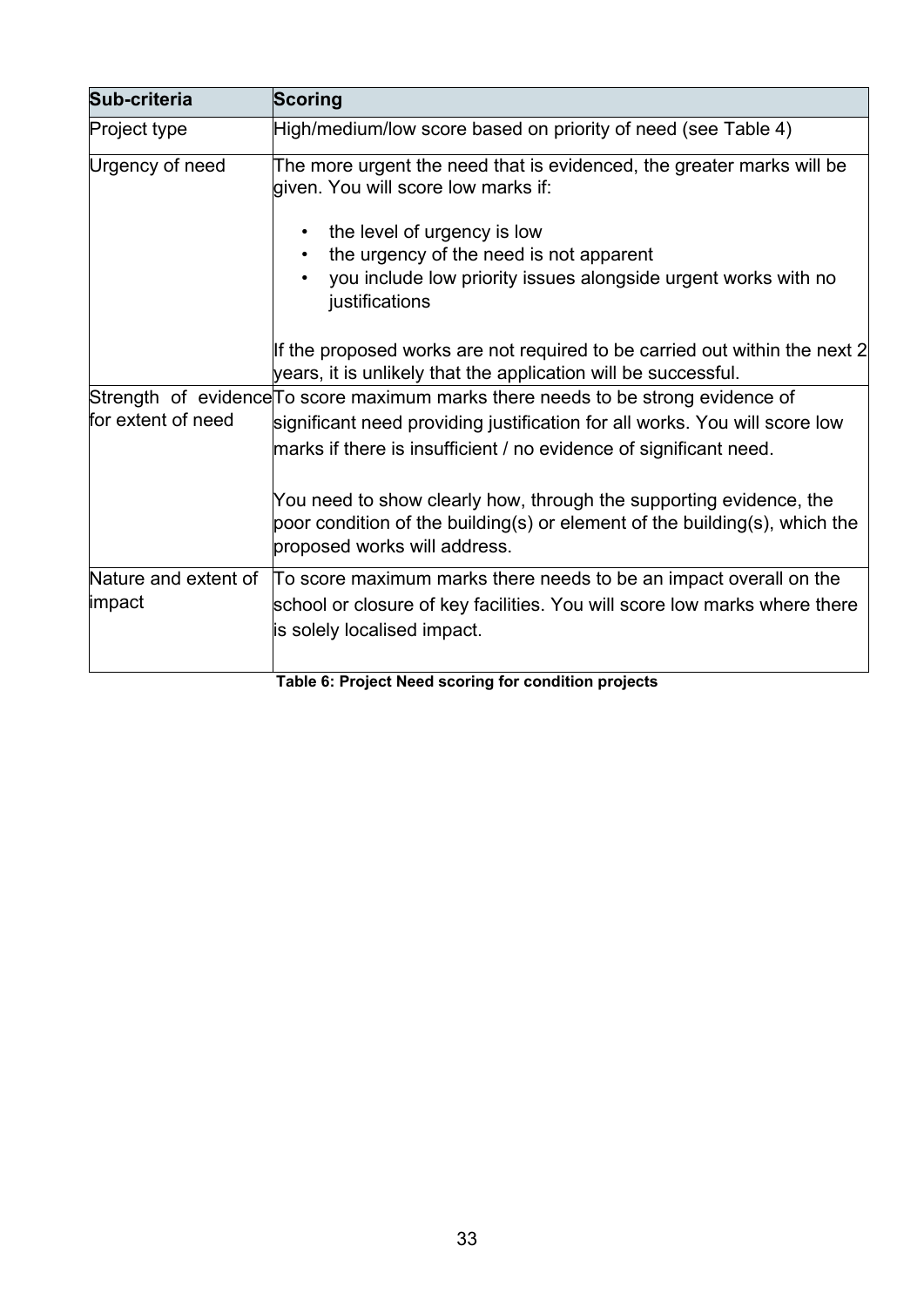| Sub-criteria         | <b>Scoring</b>                                                                                                                                                                   |  |  |
|----------------------|----------------------------------------------------------------------------------------------------------------------------------------------------------------------------------|--|--|
| <b>Project type</b>  | High/medium/low score based on priority of need (see Table 4)                                                                                                                    |  |  |
| Urgency of need      | The more urgent the need that is evidenced, the greater marks will be<br>given. You will score low marks if:                                                                     |  |  |
|                      | the level of urgency is low                                                                                                                                                      |  |  |
|                      | the urgency of the need is not apparent                                                                                                                                          |  |  |
|                      | you include low priority issues alongside urgent works with no<br>justifications                                                                                                 |  |  |
|                      | If the proposed works are not required to be carried out within the next 2<br>years, it is unlikely that the application will be successful.                                     |  |  |
|                      | Strength of evidence To score maximum marks there needs to be strong evidence of                                                                                                 |  |  |
| for extent of need   | significant need providing justification for all works. You will score low                                                                                                       |  |  |
|                      | marks if there is insufficient / no evidence of significant need.                                                                                                                |  |  |
|                      | You need to show clearly how, through the supporting evidence, the<br>poor condition of the building(s) or element of the building(s), which the<br>proposed works will address. |  |  |
| Nature and extent of | To score maximum marks there needs to be an impact overall on the                                                                                                                |  |  |
| impact               | school or closure of key facilities. You will score low marks where there                                                                                                        |  |  |
|                      | is solely localised impact.                                                                                                                                                      |  |  |
|                      | Table 6: Project Need scoring for condition projects                                                                                                                             |  |  |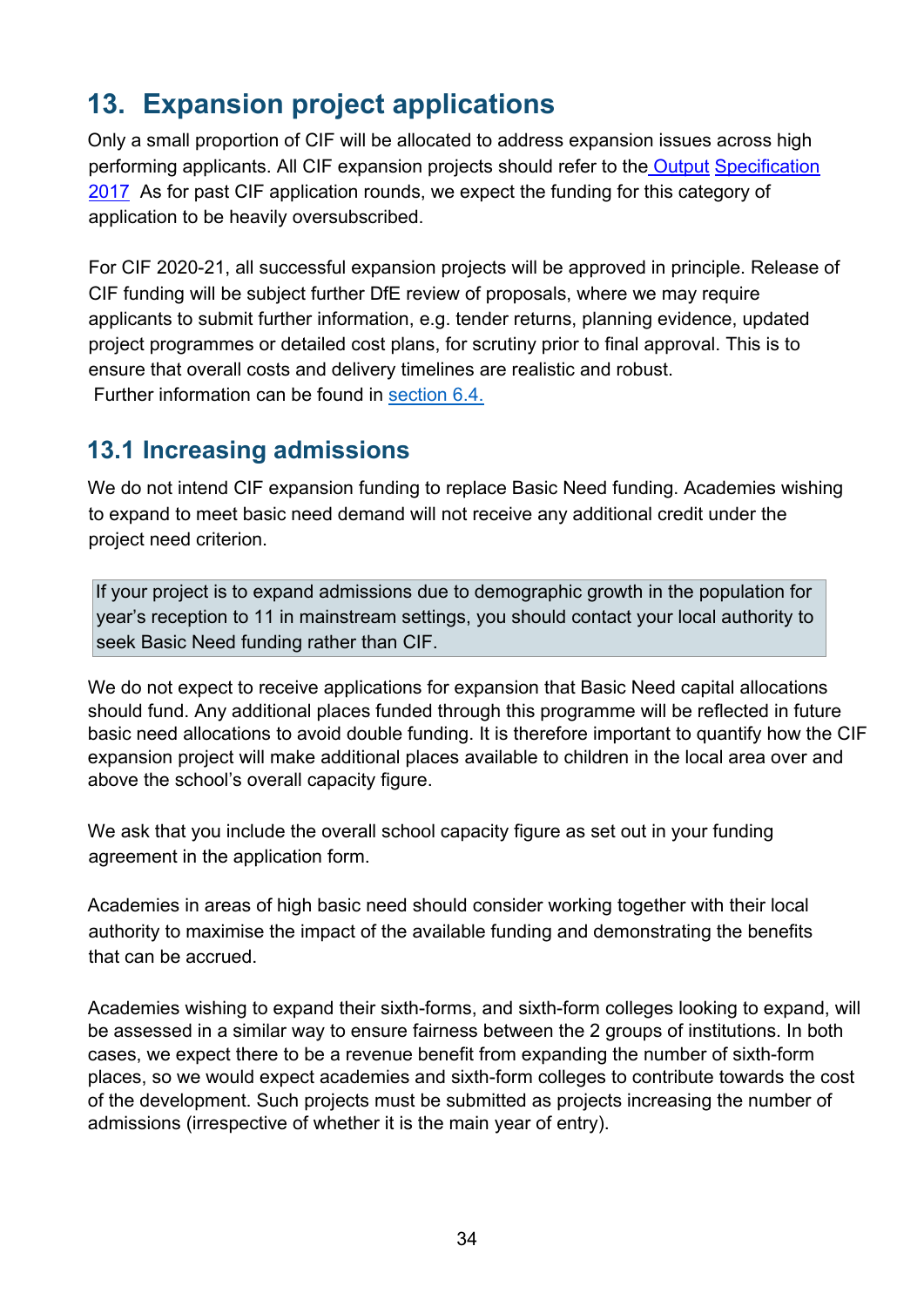# <span id="page-33-0"></span>**13. Expansion project applications**

Only a small proportion of CIF will be allocated to address expansion issues across high performing applicants. All CIF expansion projects should refer to the [Output](https://www.gov.uk/government/publications/output-specification-2017-esfa-employers-requirements-part-b) [Specification](https://www.gov.uk/government/publications/output-specification-2017-esfa-employers-requirements-part-b)  [2017](https://www.gov.uk/government/publications/output-specification-2017-esfa-employers-requirements-part-b) As for past CIF application rounds, we expect the funding for this category of application to be heavily oversubscribed.

For CIF 2020-21, all successful expansion projects will be approved in principle. Release of CIF funding will be subject further DfE review of proposals, where we may require applicants to submit further information, e.g. tender returns, planning evidence, updated project programmes or detailed cost plans, for scrutiny prior to final approval. This is to ensure that overall costs and delivery timelines are realistic and robust. Further information can be found in [section 6.4.](#page-12-1)

### <span id="page-33-1"></span>**13.1 Increasing admissions**

We do not intend CIF expansion funding to replace Basic Need funding. Academies wishing to expand to meet basic need demand will not receive any additional credit under the project need criterion.

If your project is to expand admissions due to demographic growth in the population for year's reception to 11 in mainstream settings, you should contact your local authority to seek Basic Need funding rather than CIF.

We do not expect to receive applications for expansion that Basic Need capital allocations should fund. Any additional places funded through this programme will be reflected in future basic need allocations to avoid double funding. It is therefore important to quantify how the CIF expansion project will make additional places available to children in the local area over and above the school's overall capacity figure.

We ask that you include the overall school capacity figure as set out in your funding agreement in the application form.

Academies in areas of high basic need should consider working together with their local authority to maximise the impact of the available funding and demonstrating the benefits that can be accrued.

Academies wishing to expand their sixth-forms, and sixth-form colleges looking to expand, will be assessed in a similar way to ensure fairness between the 2 groups of institutions. In both cases, we expect there to be a revenue benefit from expanding the number of sixth-form places, so we would expect academies and sixth-form colleges to contribute towards the cost of the development. Such projects must be submitted as projects increasing the number of admissions (irrespective of whether it is the main year of entry).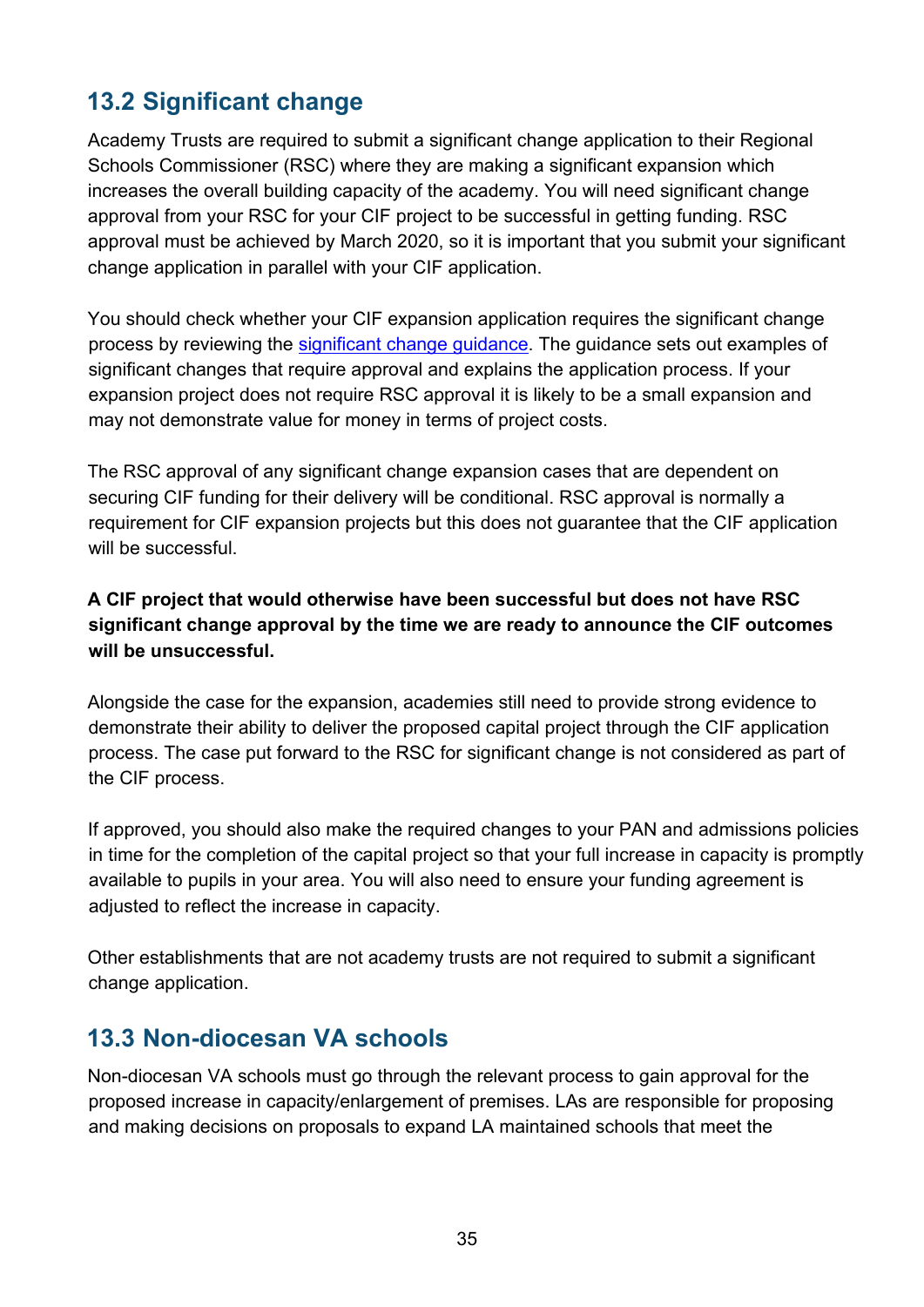# <span id="page-34-0"></span>**13.2 Significant change**

Academy Trusts are required to submit a significant change application to their Regional Schools Commissioner (RSC) where they are making a significant expansion which increases the overall building capacity of the academy. You will need significant change approval from your RSC for your CIF project to be successful in getting funding. RSC approval must be achieved by March 2020, so it is important that you submit your significant change application in parallel with your CIF application.

You should check whether your CIF expansion application requires the significant change process by reviewing the [significant change guidance.](https://www.gov.uk/government/publications/making-significant-changes-to-an-existing-academy) The guidance sets out examples of significant changes that require approval and explains the application process. If your expansion project does not require RSC approval it is likely to be a small expansion and may not demonstrate value for money in terms of project costs.

The RSC approval of any significant change expansion cases that are dependent on securing CIF funding for their delivery will be conditional. RSC approval is normally a requirement for CIF expansion projects but this does not guarantee that the CIF application will be successful.

#### **A CIF project that would otherwise have been successful but does not have RSC significant change approval by the time we are ready to announce the CIF outcomes will be unsuccessful.**

Alongside the case for the expansion, academies still need to provide strong evidence to demonstrate their ability to deliver the proposed capital project through the CIF application process. The case put forward to the RSC for significant change is not considered as part of the CIF process.

If approved, you should also make the required changes to your PAN and admissions policies in time for the completion of the capital project so that your full increase in capacity is promptly available to pupils in your area. You will also need to ensure your funding agreement is adjusted to reflect the increase in capacity.

Other establishments that are not academy trusts are not required to submit a significant change application.

### <span id="page-34-1"></span>**13.3 Non-diocesan VA schools**

Non-diocesan VA schools must go through the relevant process to gain approval for the proposed increase in capacity/enlargement of premises. LAs are responsible for proposing and making decisions on proposals to expand LA maintained schools that meet the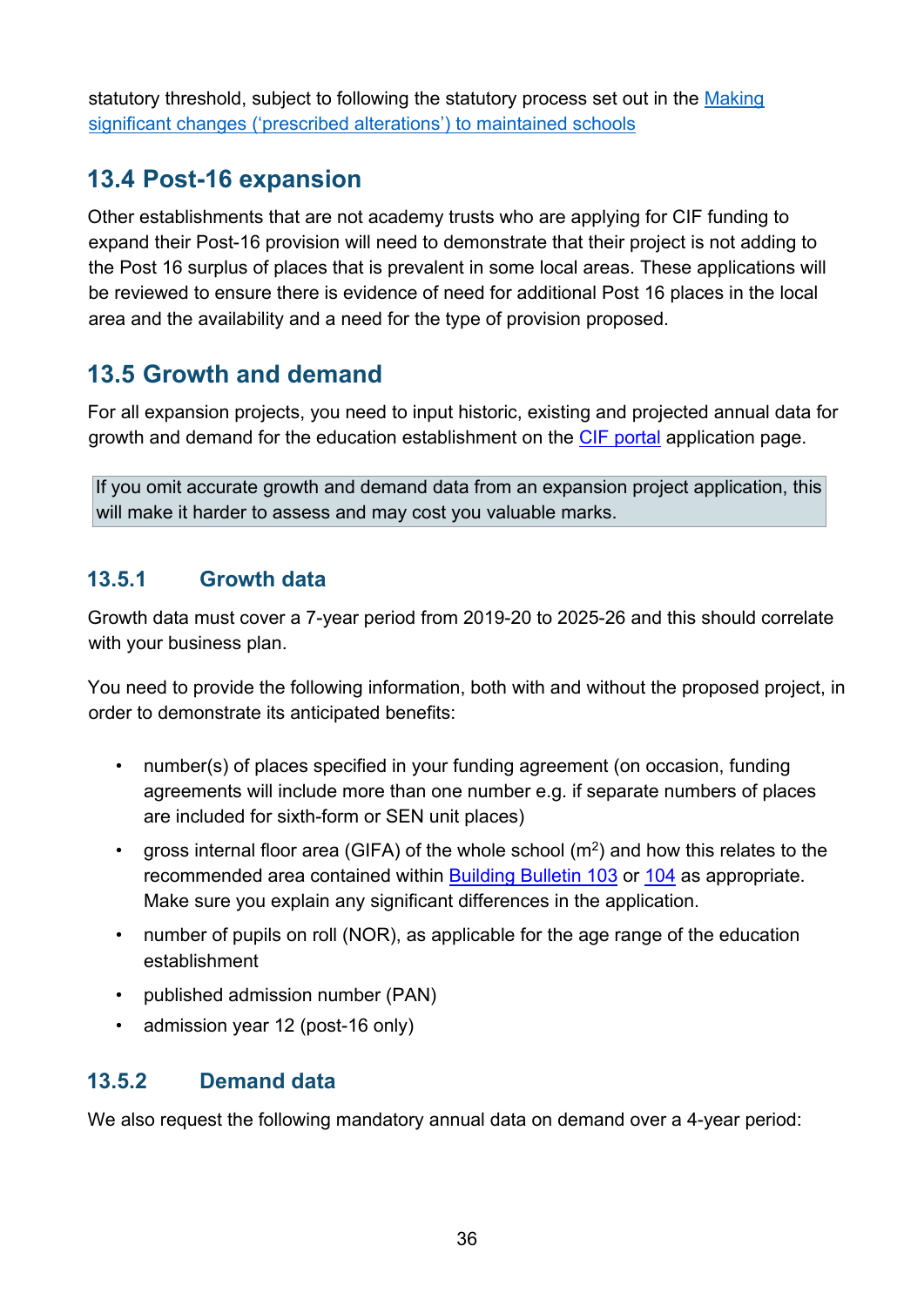statutory threshold, subject to following the statutory process set out in the Making [significant changes \('prescribed alterations'\) to maintained schools](https://assets.publishing.service.gov.uk/government/uploads/system/uploads/attachment_data/file/756572/Maintained_schools_prescribed_alterations_guidance.pdf)

### <span id="page-35-0"></span>**13.4 Post-16 expansion**

Other establishments that are not academy trusts who are applying for CIF funding to expand their Post-16 provision will need to demonstrate that their project is not adding to the Post 16 surplus of places that is prevalent in some local areas. These applications will be reviewed to ensure there is evidence of need for additional Post 16 places in the local area and the availability and a need for the type of provision proposed.

# <span id="page-35-1"></span>**13.5 Growth and demand**

For all expansion projects, you need to input historic, existing and projected annual data for growth and demand for the education establishment on the [CIF portal](https://efadatacollections.education.gov.uk/sites/CIF/Pages/passwordreminder.aspx) application page.

If you omit accurate growth and demand data from an expansion project application, this will make it harder to assess and may cost you valuable marks.

#### **13.5.1 Growth data**

Growth data must cover a 7-year period from 2019-20 to 2025-26 and this should correlate with your business plan.

You need to provide the following information, both with and without the proposed project, in order to demonstrate its anticipated benefits:

- number(s) of places specified in your funding agreement (on occasion, funding agreements will include more than one number e.g. if separate numbers of places are included for sixth-form or SEN unit places)
- gross internal floor area (GIFA) of the whole school  $(m^2)$  and how this relates to the recommended area contained within [Building Bulletin 103](https://www.gov.uk/government/publications/mainstream-schools-area-guidelines) [o](https://www.gov.uk/government/publications/mainstream-schools-area-guidelines)r [104](https://www.gov.uk/government/publications/send-and-alternative-provision-area-guidelines) as appropriate. Make sure you explain any significant differences in the application.
- number of pupils on roll (NOR), as applicable for the age range of the education establishment
- published admission number (PAN)
- admission year 12 (post-16 only)

#### **13.5.2 Demand data**

We also request the following mandatory annual data on demand over a 4-year period: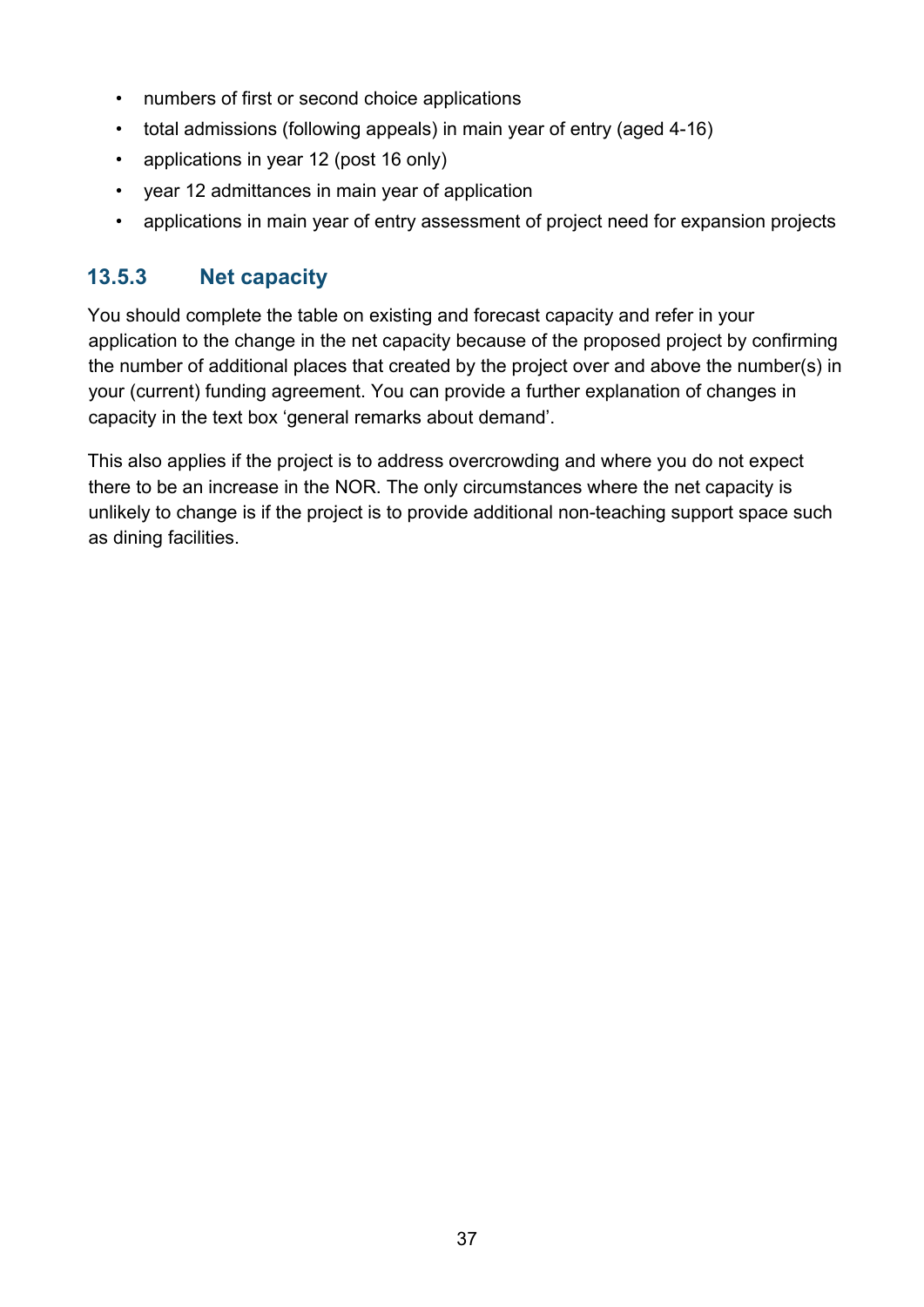- numbers of first or second choice applications
- total admissions (following appeals) in main year of entry (aged 4-16)
- applications in year 12 (post 16 only)
- year 12 admittances in main year of application
- applications in main year of entry assessment of project need for expansion projects

#### **13.5.3 Net capacity**

You should complete the table on existing and forecast capacity and refer in your application to the change in the net capacity because of the proposed project by confirming the number of additional places that created by the project over and above the number(s) in your (current) funding agreement. You can provide a further explanation of changes in capacity in the text box 'general remarks about demand'.

This also applies if the project is to address overcrowding and where you do not expect there to be an increase in the NOR. The only circumstances where the net capacity is unlikely to change is if the project is to provide additional non-teaching support space such as dining facilities.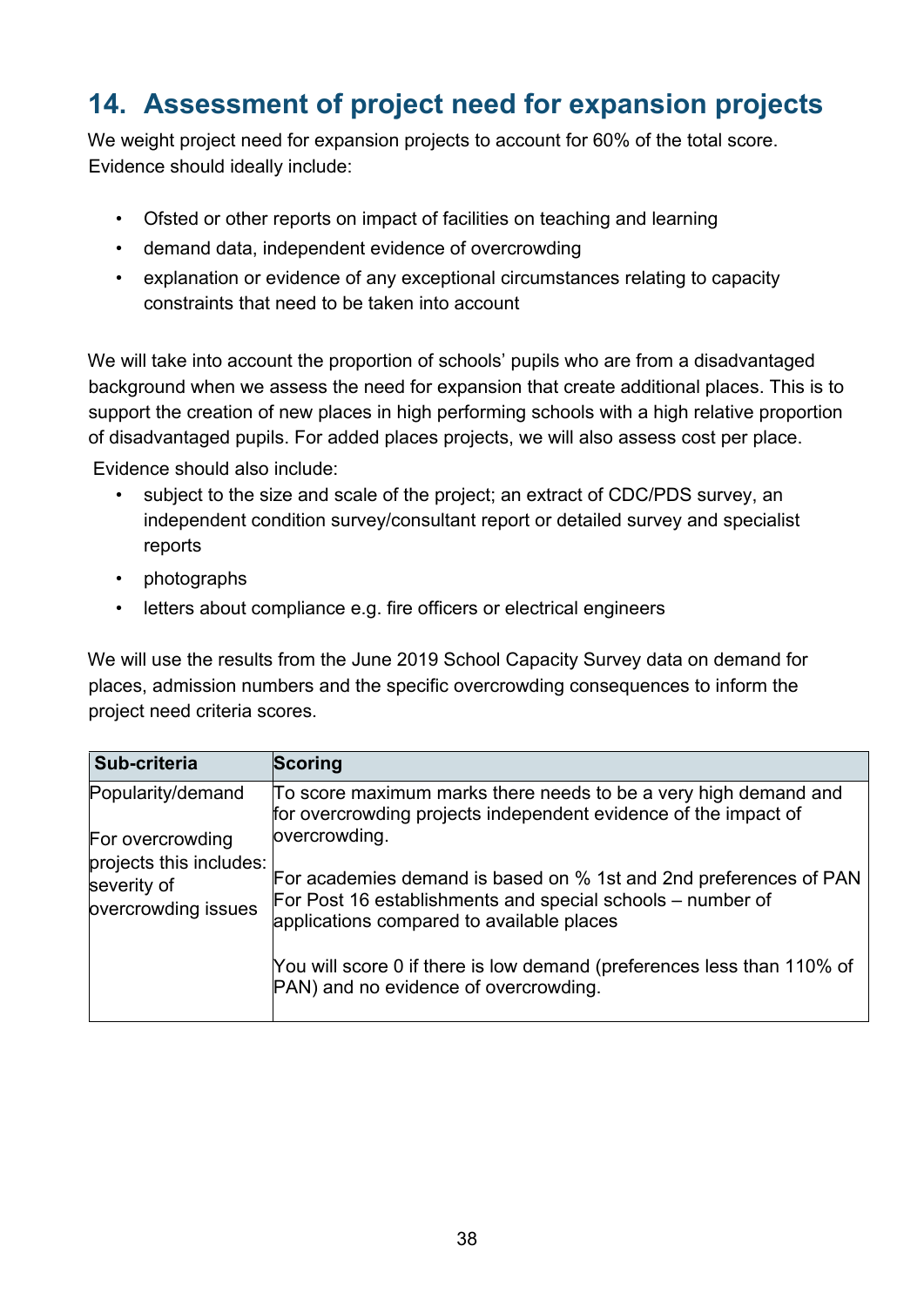# <span id="page-37-0"></span>**14. Assessment of project need for expansion projects**

We weight project need for expansion projects to account for 60% of the total score. Evidence should ideally include:

- Ofsted or other reports on impact of facilities on teaching and learning
- demand data, independent evidence of overcrowding
- explanation or evidence of any exceptional circumstances relating to capacity constraints that need to be taken into account

We will take into account the proportion of schools' pupils who are from a disadvantaged background when we assess the need for expansion that create additional places. This is to support the creation of new places in high performing schools with a high relative proportion of disadvantaged pupils. For added places projects, we will also assess cost per place.

Evidence should also include:

- subject to the size and scale of the project; an extract of CDC/PDS survey, an independent condition survey/consultant report or detailed survey and specialist reports
- photographs
- letters about compliance e.g. fire officers or electrical engineers

We will use the results from the June 2019 School Capacity Survey data on demand for places, admission numbers and the specific overcrowding consequences to inform the project need criteria scores.

| Sub-criteria                                                  | <b>Scoring</b>                                                                                                                                                               |
|---------------------------------------------------------------|------------------------------------------------------------------------------------------------------------------------------------------------------------------------------|
| Popularity/demand<br>For overcrowding                         | To score maximum marks there needs to be a very high demand and<br>for overcrowding projects independent evidence of the impact of<br>overcrowding.                          |
| projects this includes:<br>severity of<br>overcrowding issues | For academies demand is based on % 1st and 2nd preferences of PAN<br>For Post 16 establishments and special schools – number of<br>applications compared to available places |
|                                                               | You will score 0 if there is low demand (preferences less than 110% of<br>PAN) and no evidence of overcrowding.                                                              |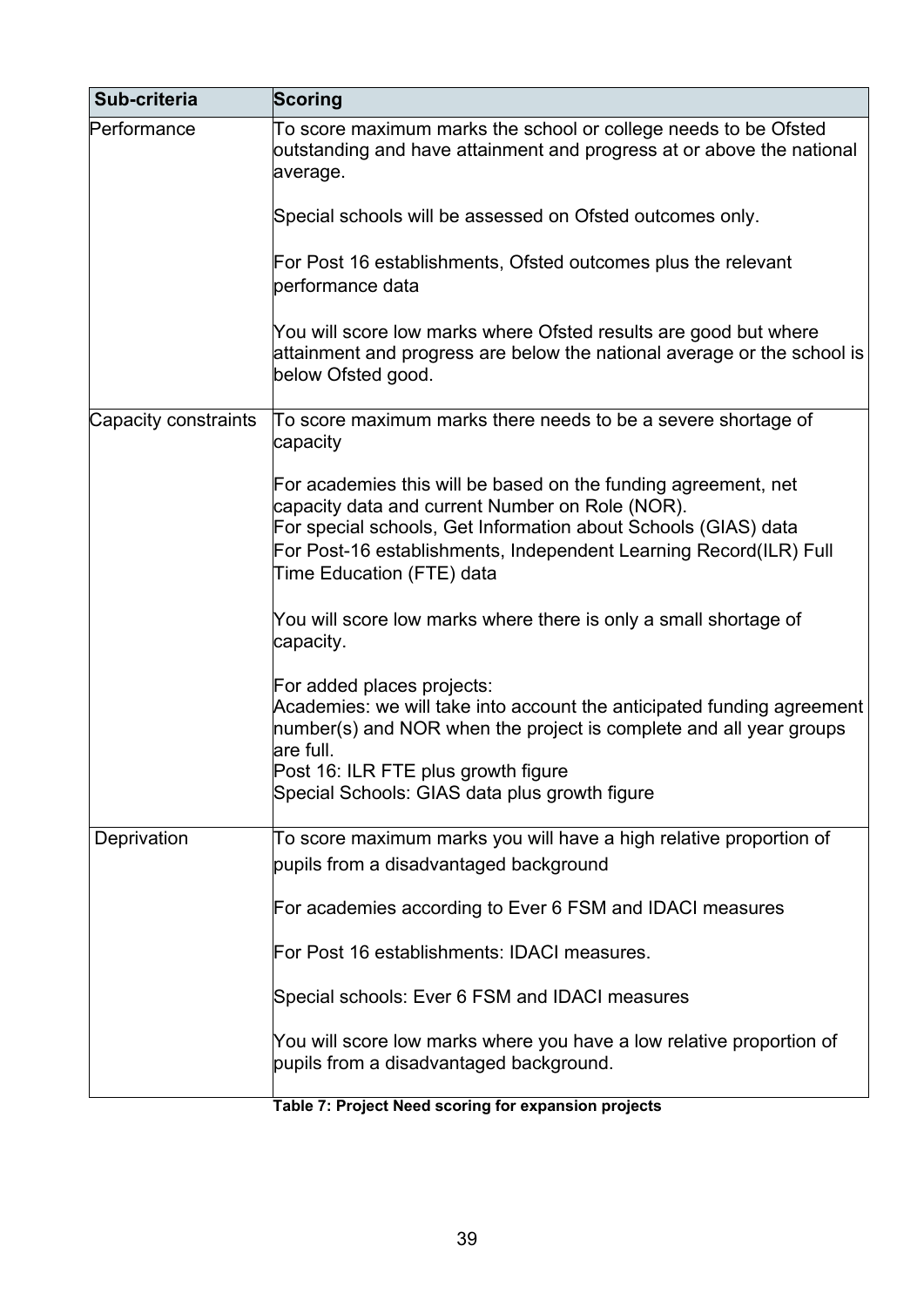| Sub-criteria         | Scoring                                                                                                                                                                                                                                                                               |
|----------------------|---------------------------------------------------------------------------------------------------------------------------------------------------------------------------------------------------------------------------------------------------------------------------------------|
| Performance          | To score maximum marks the school or college needs to be Ofsted<br>outstanding and have attainment and progress at or above the national<br>average.                                                                                                                                  |
|                      | Special schools will be assessed on Ofsted outcomes only.                                                                                                                                                                                                                             |
|                      | For Post 16 establishments, Ofsted outcomes plus the relevant<br>performance data                                                                                                                                                                                                     |
|                      | You will score low marks where Ofsted results are good but where<br>attainment and progress are below the national average or the school is<br>below Ofsted good.                                                                                                                     |
| Capacity constraints | To score maximum marks there needs to be a severe shortage of<br>capacity                                                                                                                                                                                                             |
|                      | For academies this will be based on the funding agreement, net<br>capacity data and current Number on Role (NOR).<br>For special schools, Get Information about Schools (GIAS) data<br>For Post-16 establishments, Independent Learning Record(ILR) Full<br>Time Education (FTE) data |
|                      | You will score low marks where there is only a small shortage of<br>capacity.                                                                                                                                                                                                         |
|                      | For added places projects:<br>Academies: we will take into account the anticipated funding agreement<br>number(s) and NOR when the project is complete and all year groups<br>are full.<br>Post 16: ILR FTE plus growth figure<br>Special Schools: GIAS data plus growth figure       |
| Deprivation          | To score maximum marks you will have a high relative proportion of<br>pupils from a disadvantaged background                                                                                                                                                                          |
|                      | For academies according to Ever 6 FSM and IDACI measures                                                                                                                                                                                                                              |
|                      | For Post 16 establishments: IDACI measures.                                                                                                                                                                                                                                           |
|                      | Special schools: Ever 6 FSM and IDACI measures                                                                                                                                                                                                                                        |
|                      | You will score low marks where you have a low relative proportion of<br>pupils from a disadvantaged background.                                                                                                                                                                       |
|                      | Toble 7: Droject Need cooring for expension projects                                                                                                                                                                                                                                  |

#### **Table 7: Project Need scoring for expansion projects**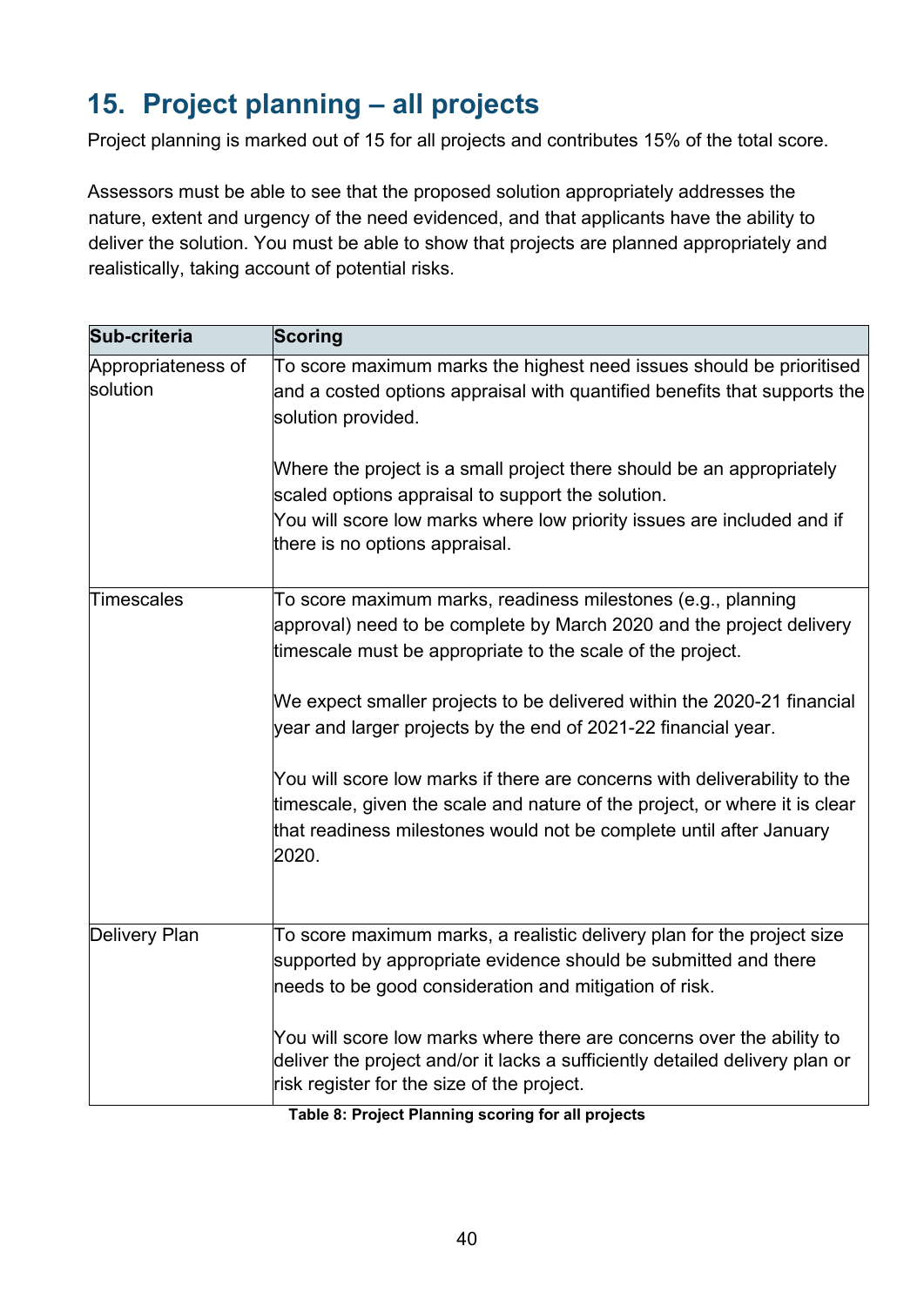# <span id="page-39-0"></span>**15. Project planning – all projects**

Project planning is marked out of 15 for all projects and contributes 15% of the total score.

Assessors must be able to see that the proposed solution appropriately addresses the nature, extent and urgency of the need evidenced, and that applicants have the ability to deliver the solution. You must be able to show that projects are planned appropriately and realistically, taking account of potential risks.

| Sub-criteria                   | <b>Scoring</b>                                                                                                                                                                                                                          |
|--------------------------------|-----------------------------------------------------------------------------------------------------------------------------------------------------------------------------------------------------------------------------------------|
| Appropriateness of<br>solution | To score maximum marks the highest need issues should be prioritised<br>and a costed options appraisal with quantified benefits that supports the<br>solution provided.                                                                 |
|                                | Where the project is a small project there should be an appropriately<br>scaled options appraisal to support the solution.<br>You will score low marks where low priority issues are included and if<br>there is no options appraisal.  |
| Timescales                     | To score maximum marks, readiness milestones (e.g., planning<br>approval) need to be complete by March 2020 and the project delivery<br>timescale must be appropriate to the scale of the project.                                      |
|                                | We expect smaller projects to be delivered within the 2020-21 financial<br>year and larger projects by the end of 2021-22 financial year.                                                                                               |
|                                | You will score low marks if there are concerns with deliverability to the<br>timescale, given the scale and nature of the project, or where it is clear<br>that readiness milestones would not be complete until after January<br>2020. |
| <b>Delivery Plan</b>           | To score maximum marks, a realistic delivery plan for the project size<br>supported by appropriate evidence should be submitted and there<br>needs to be good consideration and mitigation of risk.                                     |
|                                | You will score low marks where there are concerns over the ability to<br>deliver the project and/or it lacks a sufficiently detailed delivery plan or<br>risk register for the size of the project.                                     |

**Table 8: Project Planning scoring for all projects**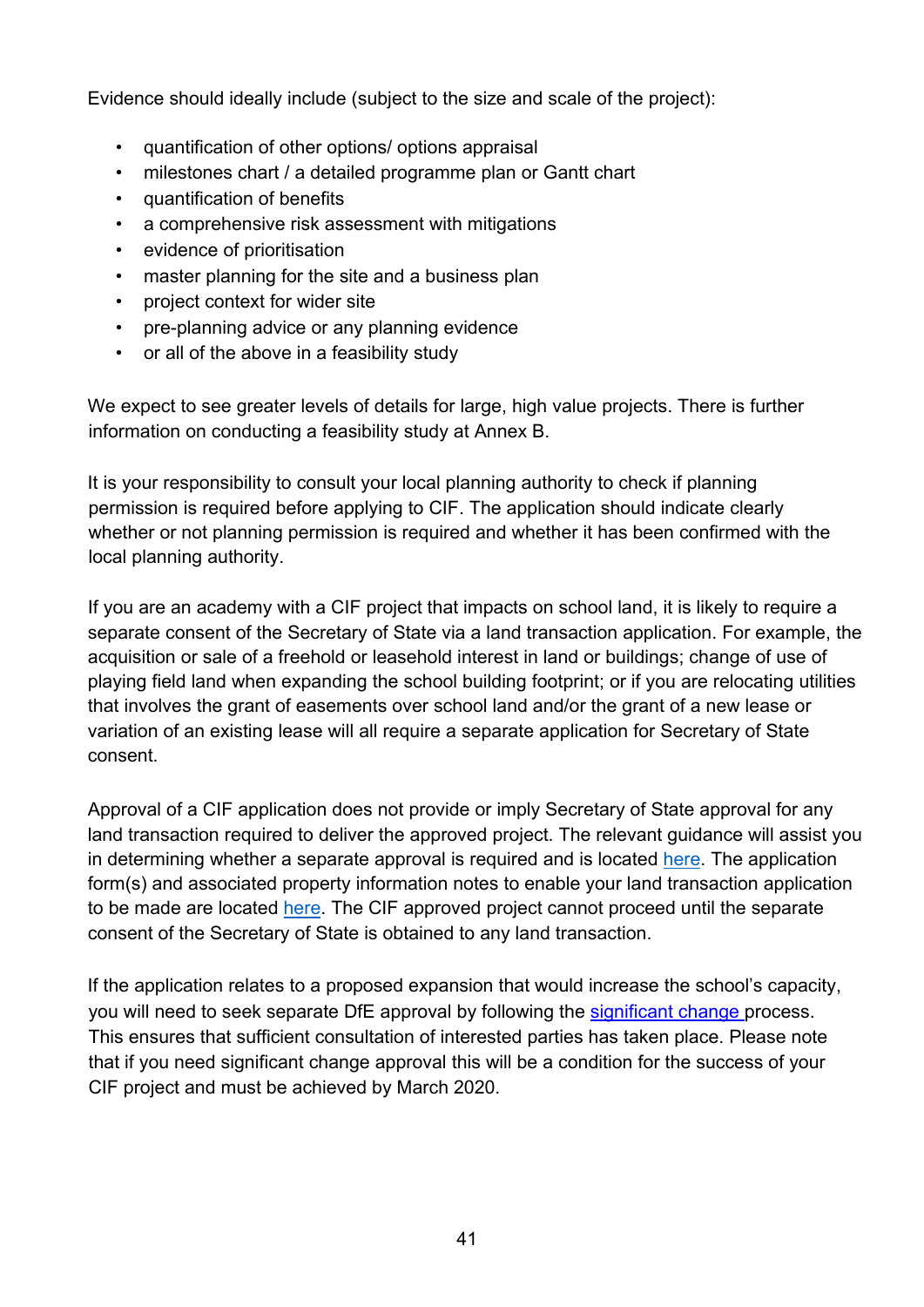Evidence should ideally include (subject to the size and scale of the project):

- quantification of other options/ options appraisal
- milestones chart / a detailed programme plan or Gantt chart
- quantification of benefits
- a comprehensive risk assessment with mitigations
- evidence of prioritisation
- master planning for the site and a business plan
- project context for wider site
- pre-planning advice or any planning evidence
- or all of the above in a feasibility study

We expect to see greater levels of details for large, high value projects. There is further information on conducting a feasibility study at Annex B.

It is your responsibility to consult your local planning authority to check if planning permission is required before applying to CIF. The application should indicate clearly whether or not planning permission is required and whether it has been confirmed with the local planning authority.

If you are an academy with a CIF project that impacts on school land, it is likely to require a separate consent of the Secretary of State via a land transaction application. For example, the acquisition or sale of a freehold or leasehold interest in land or buildings; change of use of playing field land when expanding the school building footprint; or if you are relocating utilities that involves the grant of easements over school land and/or the grant of a new lease or variation of an existing lease will all require a separate application for Secretary of State consent.

Approval of a CIF application does not provide or imply Secretary of State approval for any land transaction required to deliver the approved project. The relevant guidance will assist you in determining whether a separate approval is required and is located [here.](https://www.gov.uk/guidance/school-land-and-property-protection-transfer-and-disposal) The application form(s) and associated property information notes to enable your land transaction application to be made are located [here.](https://www.gov.uk/government/publications/academy-property-transactions-advice-and-forms) The CIF approved project cannot proceed until the separate consent of the Secretary of State is obtained to any land transaction.

If the application relates to a proposed expansion that would increase the school's capacity, you will need to seek separate DfE approval by following the [significant change pr](https://www.gov.uk/government/publications/making-significant-changes-to-an-existing-academy)ocess. This ensures that sufficient consultation of interested parties has taken place. Please note that if you need significant change approval this will be a condition for the success of your CIF project and must be achieved by March 2020.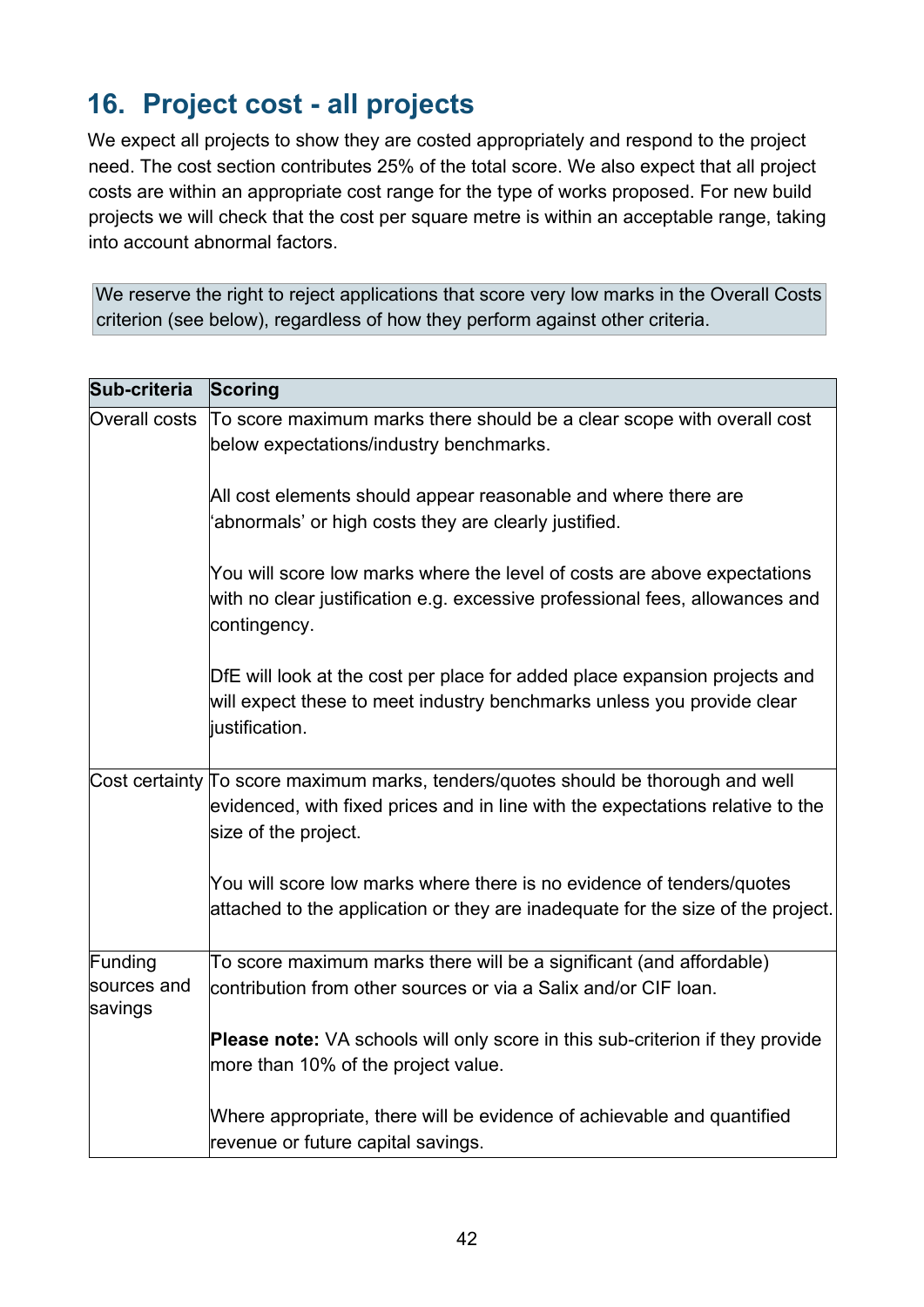# <span id="page-41-0"></span>**16. Project cost - all projects**

We expect all projects to show they are costed appropriately and respond to the project need. The cost section contributes 25% of the total score. We also expect that all project costs are within an appropriate cost range for the type of works proposed. For new build projects we will check that the cost per square metre is within an acceptable range, taking into account abnormal factors.

We reserve the right to reject applications that score very low marks in the Overall Costs criterion (see below), regardless of how they perform against other criteria.

| Sub-criteria                      | <b>Scoring</b>                                                                                                                                                                              |
|-----------------------------------|---------------------------------------------------------------------------------------------------------------------------------------------------------------------------------------------|
| Overall costs                     | To score maximum marks there should be a clear scope with overall cost<br>below expectations/industry benchmarks.                                                                           |
|                                   | All cost elements should appear reasonable and where there are<br>'abnormals' or high costs they are clearly justified.                                                                     |
|                                   | You will score low marks where the level of costs are above expectations<br>with no clear justification e.g. excessive professional fees, allowances and<br>contingency.                    |
|                                   | DfE will look at the cost per place for added place expansion projects and<br>will expect these to meet industry benchmarks unless you provide clear<br>justification.                      |
|                                   | Cost certainty To score maximum marks, tenders/quotes should be thorough and well<br>evidenced, with fixed prices and in line with the expectations relative to the<br>size of the project. |
|                                   | You will score low marks where there is no evidence of tenders/quotes<br>attached to the application or they are inadequate for the size of the project.                                    |
| Funding<br>sources and<br>savings | To score maximum marks there will be a significant (and affordable)<br>contribution from other sources or via a Salix and/or CIF loan.                                                      |
|                                   | <b>Please note:</b> VA schools will only score in this sub-criterion if they provide<br>more than 10% of the project value.                                                                 |
|                                   | Where appropriate, there will be evidence of achievable and quantified<br>revenue or future capital savings.                                                                                |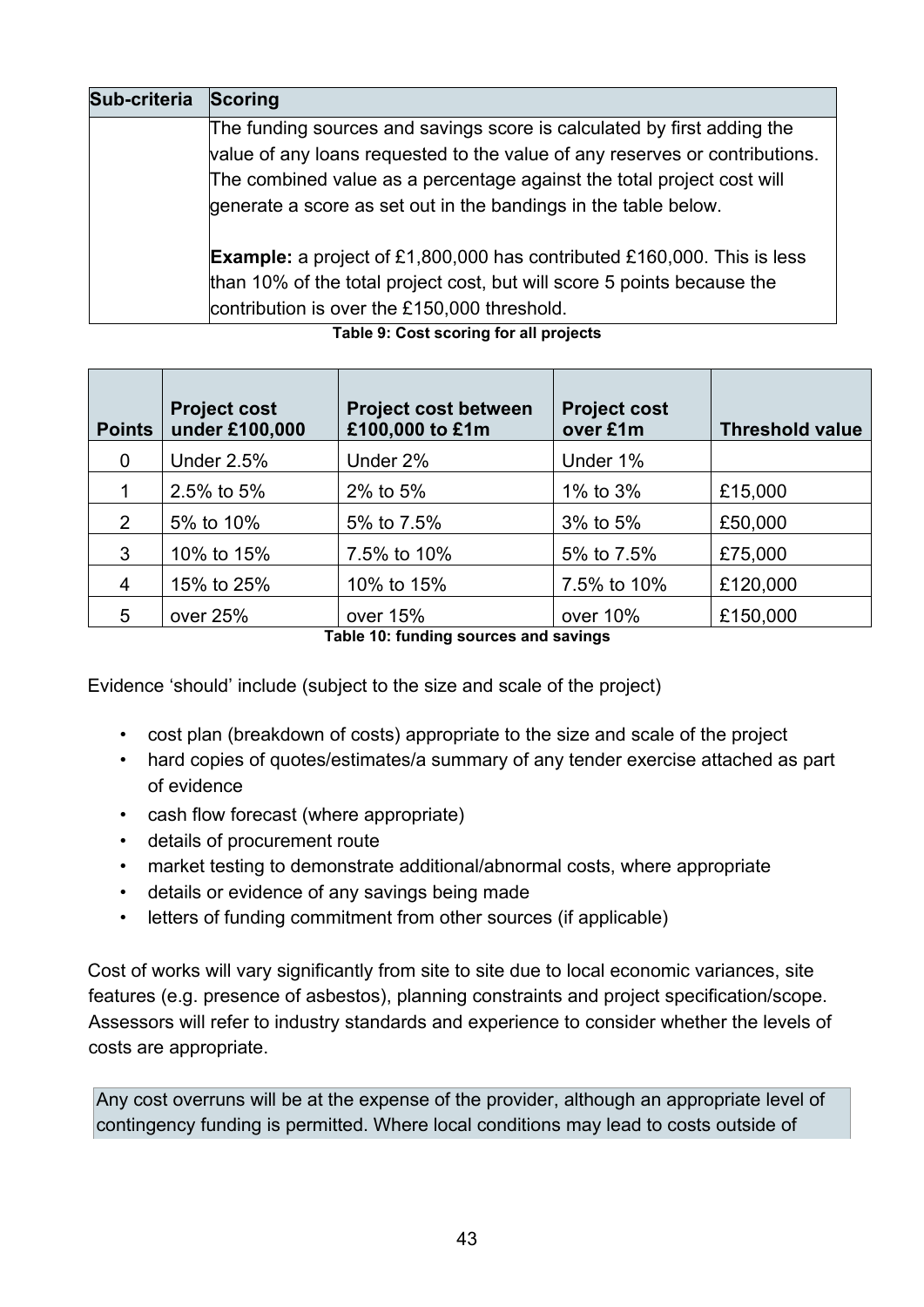| Sub-criteria | Scoring                                                                        |  |  |  |
|--------------|--------------------------------------------------------------------------------|--|--|--|
|              | The funding sources and savings score is calculated by first adding the        |  |  |  |
|              | value of any loans requested to the value of any reserves or contributions.    |  |  |  |
|              | The combined value as a percentage against the total project cost will         |  |  |  |
|              | generate a score as set out in the bandings in the table below.                |  |  |  |
|              | <b>Example:</b> a project of £1,800,000 has contributed £160,000. This is less |  |  |  |
|              | than 10% of the total project cost, but will score 5 points because the        |  |  |  |
|              | contribution is over the £150,000 threshold.                                   |  |  |  |

#### **Table 9: Cost scoring for all projects**

| <b>Points</b>  | <b>Project cost</b><br>under £100,000 | <b>Project cost between</b><br>£100,000 to £1m                                                                                | <b>Project cost</b><br>over £1m | <b>Threshold value</b> |
|----------------|---------------------------------------|-------------------------------------------------------------------------------------------------------------------------------|---------------------------------|------------------------|
| $\mathbf 0$    | <b>Under 2.5%</b>                     | Under 2%                                                                                                                      | Under 1%                        |                        |
|                | 2.5% to 5%                            | 2% to 5%                                                                                                                      | 1% to 3%                        | £15,000                |
| $\overline{2}$ | 5% to 10%                             | 5% to 7.5%                                                                                                                    | 3% to 5%                        | £50,000                |
| 3              | 10% to 15%                            | 7.5% to 10%                                                                                                                   | 5% to 7.5%                      | £75,000                |
| 4              | 15% to 25%                            | 10% to 15%                                                                                                                    | 7.5% to 10%                     | £120,000               |
| 5              | over 25%                              | over 15%<br>The ball of Alberta and the contract and construction of the second contract of the second contract of the second | over 10%                        | £150,000               |

**Table 10: funding sources and savings**

Evidence 'should' include (subject to the size and scale of the project)

- cost plan (breakdown of costs) appropriate to the size and scale of the project
- hard copies of quotes/estimates/a summary of any tender exercise attached as part of evidence
- cash flow forecast (where appropriate)
- details of procurement route
- market testing to demonstrate additional/abnormal costs, where appropriate
- details or evidence of any savings being made
- letters of funding commitment from other sources (if applicable)

Cost of works will vary significantly from site to site due to local economic variances, site features (e.g. presence of asbestos), planning constraints and project specification/scope. Assessors will refer to industry standards and experience to consider whether the levels of costs are appropriate.

Any cost overruns will be at the expense of the provider, although an appropriate level of contingency funding is permitted. Where local conditions may lead to costs outside of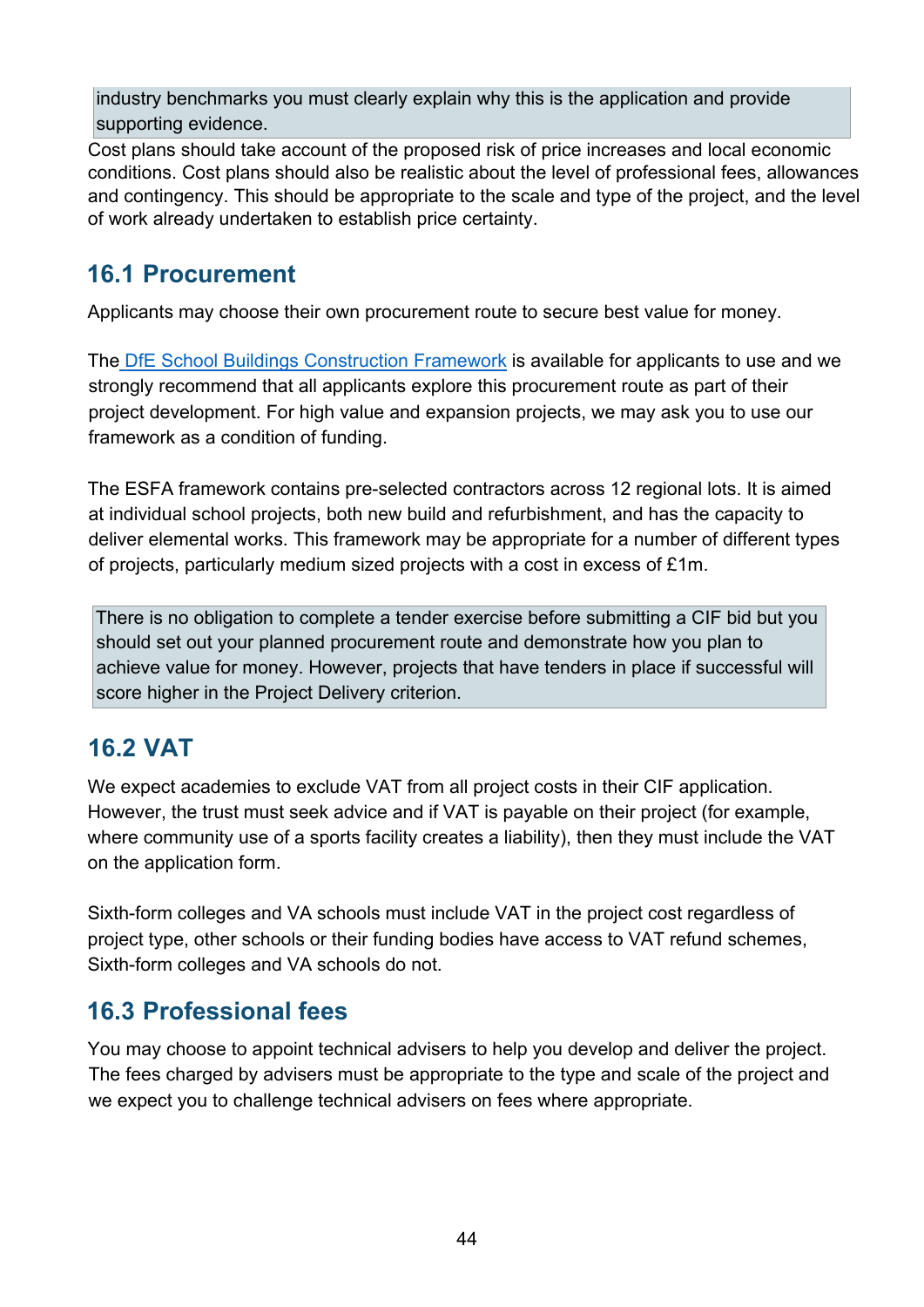industry benchmarks you must clearly explain why this is the application and provide supporting evidence.

Cost plans should take account of the proposed risk of price increases and local economic conditions. Cost plans should also be realistic about the level of professional fees, allowances and contingency. This should be appropriate to the scale and type of the project, and the level of work already undertaken to establish price certainty.

### <span id="page-43-0"></span>**16.1 Procurement**

Applicants may choose their own procurement route to secure best value for money.

The [DfE School Buildings Construction Framework](https://www.gov.uk/government/publications/school-buildings-construction-framework/construction-framework-handbook) is available for applicants to use and we strongly recommend that all applicants explore this procurement route as part of their project development. For high value and expansion projects, we may ask you to use our framework as a condition of funding.

The ESFA framework contains pre-selected contractors across 12 regional lots. It is aimed at individual school projects, both new build and refurbishment, and has the capacity to deliver elemental works. This framework may be appropriate for a number of different types of projects, particularly medium sized projects with a cost in excess of £1m.

There is no obligation to complete a tender exercise before submitting a CIF bid but you should set out your planned procurement route and demonstrate how you plan to achieve value for money. However, projects that have tenders in place if successful will score higher in the Project Delivery criterion.

### <span id="page-43-1"></span>**16.2 VAT**

We expect academies to exclude VAT from all project costs in their CIF application. However, the trust must seek advice and if VAT is payable on their project (for example, where community use of a sports facility creates a liability), then they must include the VAT on the application form.

Sixth-form colleges and VA schools must include VAT in the project cost regardless of project type, other schools or their funding bodies have access to VAT refund schemes, Sixth-form colleges and VA schools do not.

### <span id="page-43-2"></span>**16.3 Professional fees**

You may choose to appoint technical advisers to help you develop and deliver the project. The fees charged by advisers must be appropriate to the type and scale of the project and we expect you to challenge technical advisers on fees where appropriate.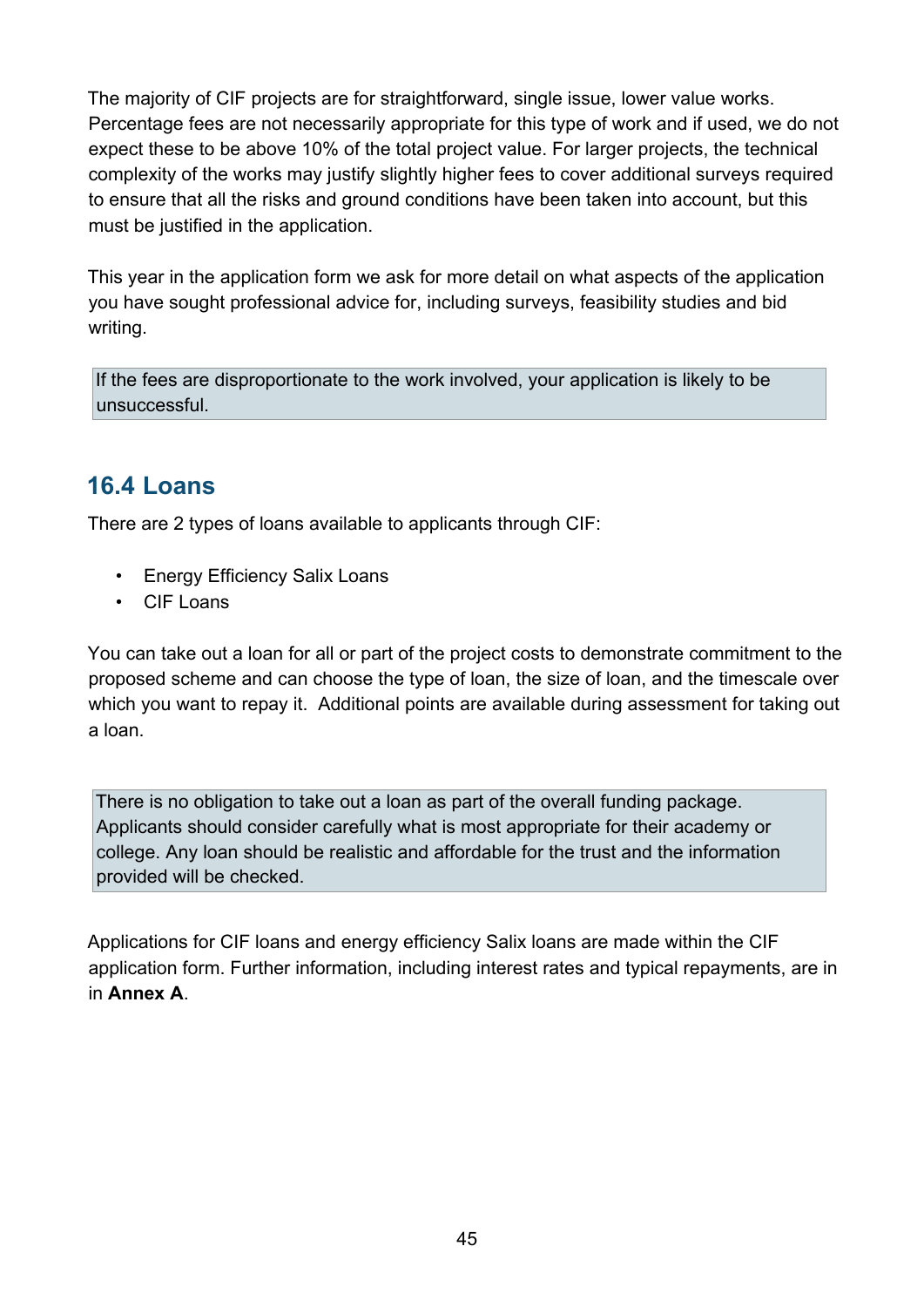The majority of CIF projects are for straightforward, single issue, lower value works. Percentage fees are not necessarily appropriate for this type of work and if used, we do not expect these to be above 10% of the total project value. For larger projects, the technical complexity of the works may justify slightly higher fees to cover additional surveys required to ensure that all the risks and ground conditions have been taken into account, but this must be justified in the application.

This year in the application form we ask for more detail on what aspects of the application you have sought professional advice for, including surveys, feasibility studies and bid writing.

If the fees are disproportionate to the work involved, your application is likely to be unsuccessful.

# <span id="page-44-0"></span>**16.4 Loans**

There are 2 types of loans available to applicants through CIF:

- Energy Efficiency Salix Loans
- CIF Loans

You can take out a loan for all or part of the project costs to demonstrate commitment to the proposed scheme and can choose the type of loan, the size of loan, and the timescale over which you want to repay it. Additional points are available during assessment for taking out a loan.

There is no obligation to take out a loan as part of the overall funding package. Applicants should consider carefully what is most appropriate for their academy or college. Any loan should be realistic and affordable for the trust and the information provided will be checked.

Applications for CIF loans and energy efficiency Salix loans are made within the CIF application form. Further information, including interest rates and typical repayments, are in in **Annex A**.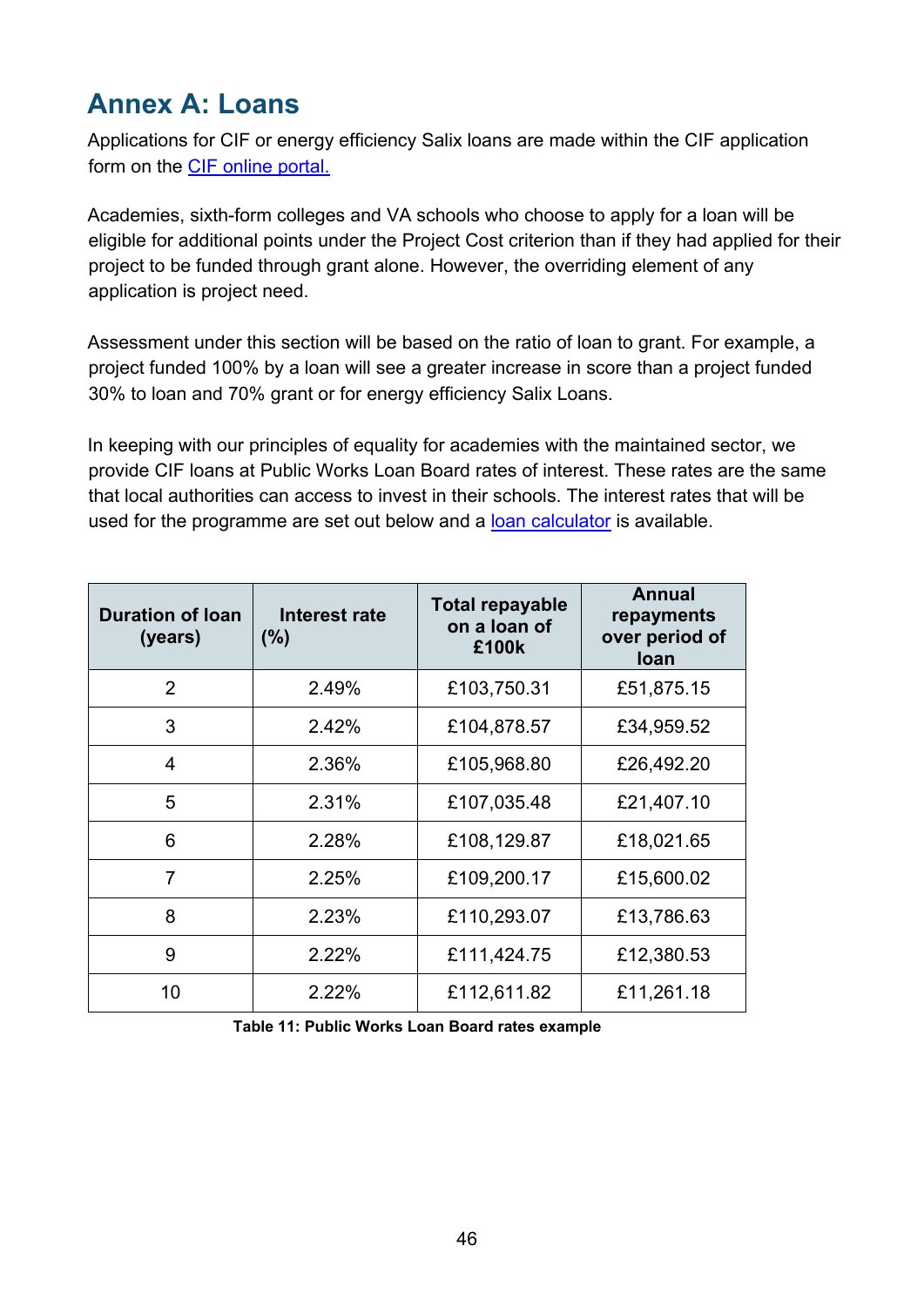# <span id="page-45-0"></span>**Annex A: Loans**

Applications for CIF or energy efficiency Salix loans are made within the CIF application form on the [CIF online portal.](https://efadatacollections.education.gov.uk/sites/CIF/Pages/welcome.aspx) 

Academies, sixth-form colleges and VA schools who choose to apply for a loan will be eligible for additional points under the Project Cost criterion than if they had applied for their project to be funded through grant alone. However, the overriding element of any application is project need.

Assessment under this section will be based on the ratio of loan to grant. For example, a project funded 100% by a loan will see a greater increase in score than a project funded 30% to loan and 70% grant or for energy efficiency Salix Loans.

In keeping with our principles of equality for academies with the maintained sector, we provide CIF loans at Public Works Loan Board rates of interest. These rates are the same that local authorities can access to invest in their schools. The interest rates that will be used for the programme are set out below and a [loan calculator](https://www.gov.uk/guidance/condition-improvement-fund) [i](https://www.gov.uk/guidance/condition-improvement-fund)s available.

| <b>Duration of loan</b><br>(years) | Interest rate<br>(% ) | Total repayable<br>on a loan of<br>£100k | Annual<br>repayments<br>over period of<br><b>loan</b> |
|------------------------------------|-----------------------|------------------------------------------|-------------------------------------------------------|
| $\mathcal{P}$                      | 2.49%                 | £103,750.31                              | £51,875.15                                            |
| 3                                  | 2.42%                 | £104,878.57                              | £34,959.52                                            |
| $\overline{4}$                     | 2.36%                 | £105,968.80                              | £26,492.20                                            |
| 5                                  | 2.31%                 | £107,035.48                              | £21,407.10                                            |
| 6                                  | 2.28%                 | £108,129.87                              | £18,021.65                                            |
| 7                                  | 2.25%                 | £109,200.17                              | £15,600.02                                            |
| 8                                  | 2.23%                 | £110,293.07                              | £13,786.63                                            |
| 9                                  | 2.22%                 | £111,424.75                              | £12,380.53                                            |
| 10                                 | 2.22%                 | £112,611.82                              | £11,261.18                                            |

**Table 11: Public Works Loan Board rates example**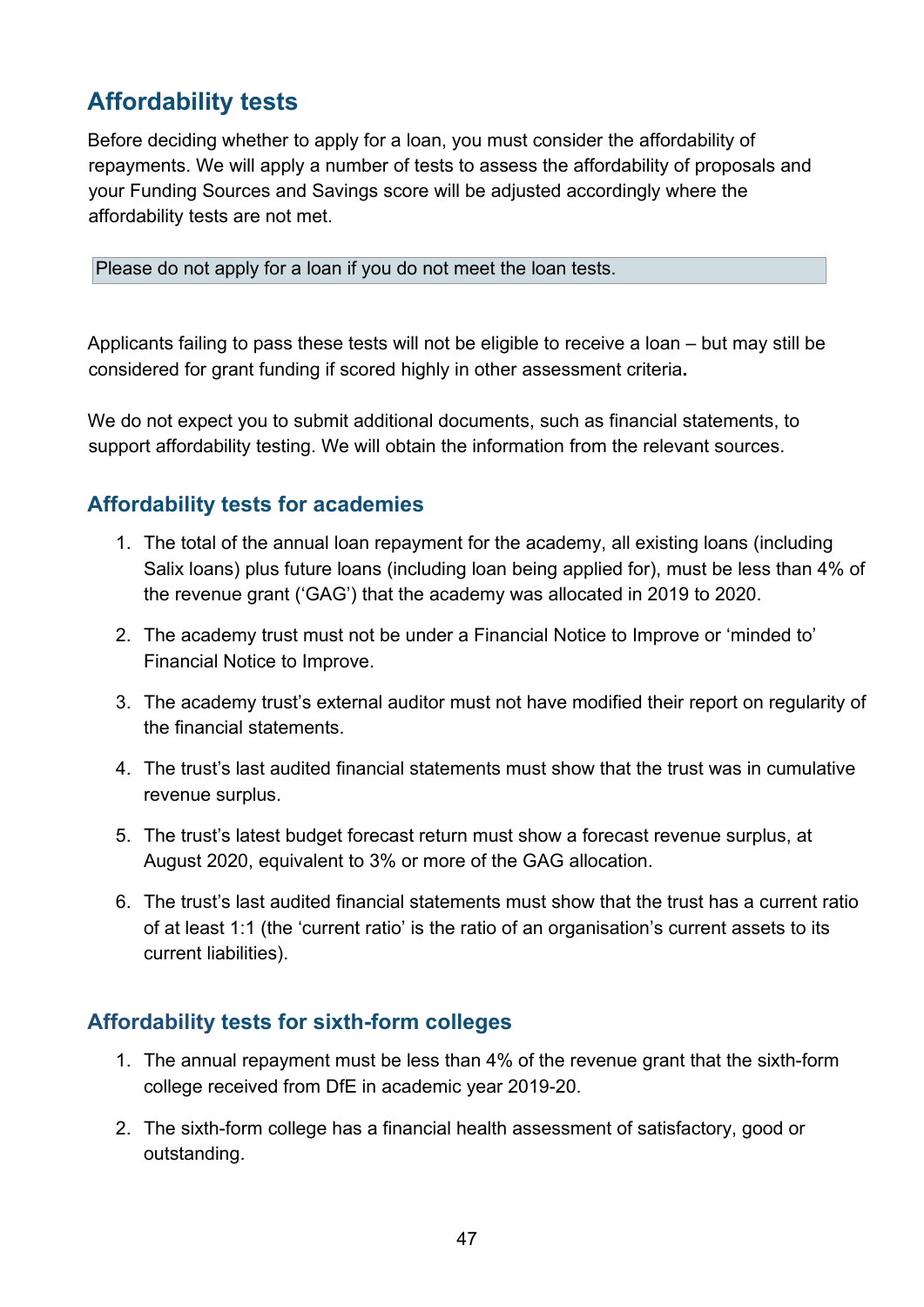# <span id="page-46-0"></span>**Affordability tests**

Before deciding whether to apply for a loan, you must consider the affordability of repayments. We will apply a number of tests to assess the affordability of proposals and your Funding Sources and Savings score will be adjusted accordingly where the affordability tests are not met.

Please do not apply for a loan if you do not meet the loan tests.

Applicants failing to pass these tests will not be eligible to receive a loan – but may still be considered for grant funding if scored highly in other assessment criteria**.** 

We do not expect you to submit additional documents, such as financial statements, to support affordability testing. We will obtain the information from the relevant sources.

#### **Affordability tests for academies**

- 1. The total of the annual loan repayment for the academy, all existing loans (including Salix loans) plus future loans (including loan being applied for), must be less than 4% of the revenue grant ('GAG') that the academy was allocated in 2019 to 2020.
- 2. The academy trust must not be under a Financial Notice to Improve or 'minded to' Financial Notice to Improve.
- 3. The academy trust's external auditor must not have modified their report on regularity of the financial statements.
- 4. The trust's last audited financial statements must show that the trust was in cumulative revenue surplus.
- 5. The trust's latest budget forecast return must show a forecast revenue surplus, at August 2020, equivalent to 3% or more of the GAG allocation.
- 6. The trust's last audited financial statements must show that the trust has a current ratio of at least 1:1 (the 'current ratio' is the ratio of an organisation's current assets to its current liabilities).

#### **Affordability tests for sixth-form colleges**

- 1. The annual repayment must be less than 4% of the revenue grant that the sixth-form college received from DfE in academic year 2019-20.
- 2. The sixth-form college has a financial health assessment of satisfactory, good or outstanding.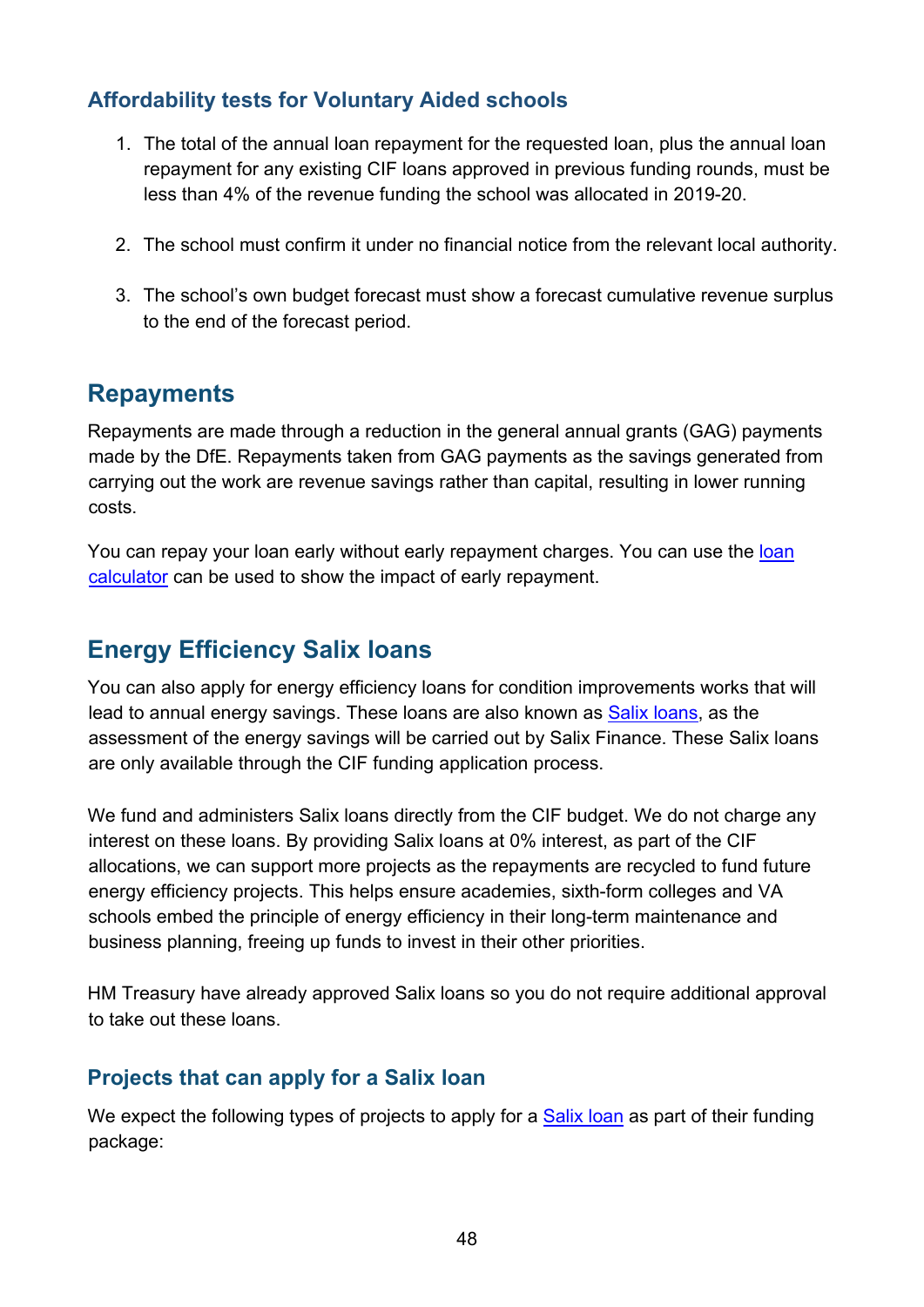#### **Affordability tests for Voluntary Aided schools**

- 1. The total of the annual loan repayment for the requested loan, plus the annual loan repayment for any existing CIF loans approved in previous funding rounds, must be less than 4% of the revenue funding the school was allocated in 2019-20.
- 2. The school must confirm it under no financial notice from the relevant local authority.
- 3. The school's own budget forecast must show a forecast cumulative revenue surplus to the end of the forecast period.

#### <span id="page-47-0"></span>**Repayments**

Repayments are made through a reduction in the general annual grants (GAG) payments made by the DfE. Repayments taken from GAG payments as the savings generated from carrying out the work are revenue savings rather than capital, resulting in lower running costs.

You can repay your [loan](https://www.gov.uk/guidance/condition-improvement-fund) early without early repayment charges. You can use the loan [calculator](https://www.gov.uk/guidance/condition-improvement-fund) can be used to show the impact of early repayment.

### <span id="page-47-1"></span>**Energy Efficiency Salix loans**

You can also apply for energy efficiency loans for condition improvements works that will lead to annual energy savings. These loans are also known as [Salix loans,](http://salixfinance.co.uk/loans/CIF) as the assessment of the energy savings will be carried out by Salix Finance. These Salix loans are only available through the CIF funding application process.

We fund and administers Salix loans directly from the CIF budget. We do not charge any interest on these loans. By providing Salix loans at 0% interest, as part of the CIF allocations, we can support more projects as the repayments are recycled to fund future energy efficiency projects. This helps ensure academies, sixth-form colleges and VA schools embed the principle of energy efficiency in their long-term maintenance and business planning, freeing up funds to invest in their other priorities.

HM Treasury have already approved Salix loans so you do not require additional approval to take out these loans.

#### **Projects that can apply for a Salix loan**

We expect the following types of projects to apply for a [Salix loan](http://salixfinance.co.uk/loans/CIF) [a](http://salixfinance.co.uk/loans/CIF)s part of their funding package: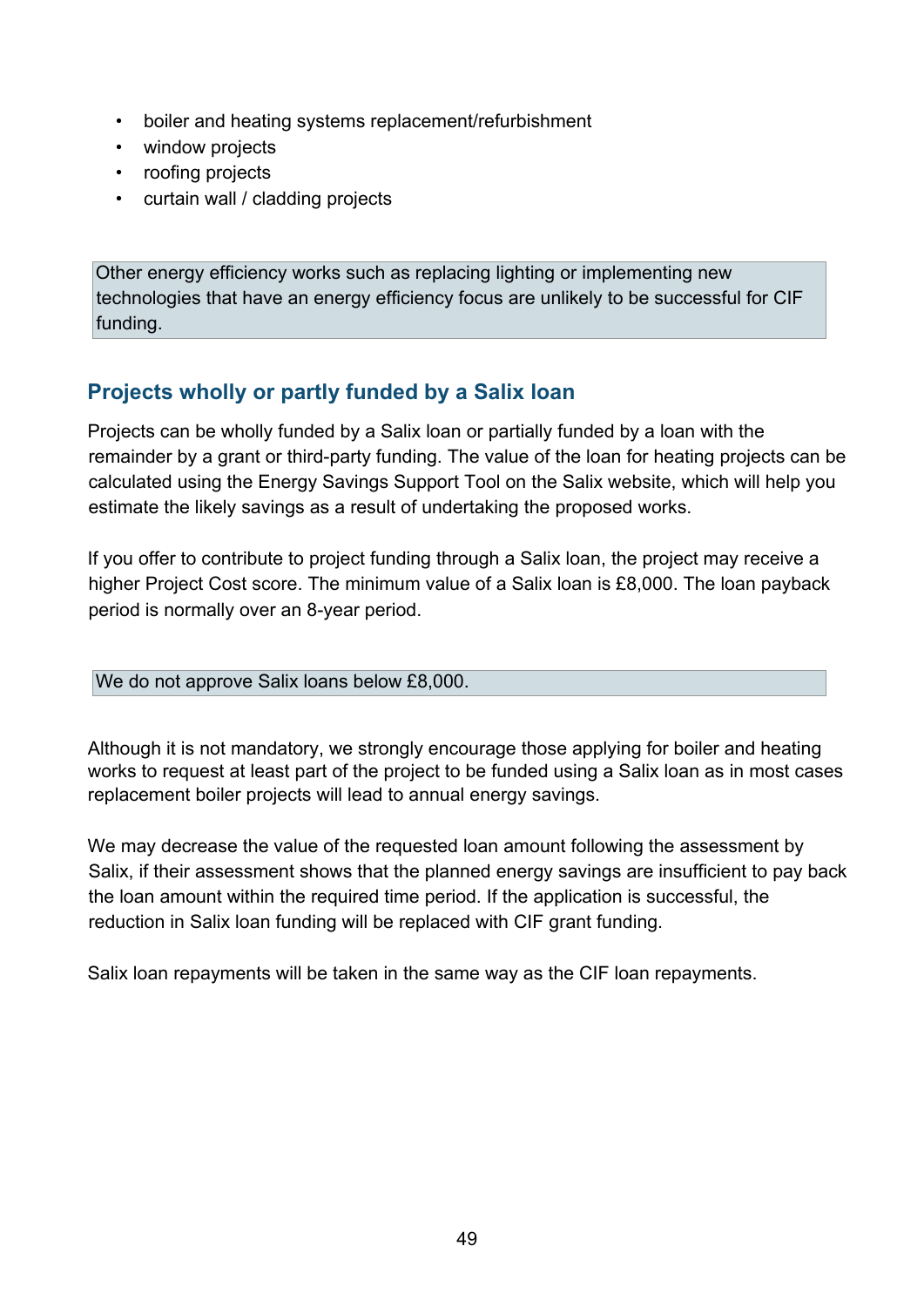- boiler and heating systems replacement/refurbishment
- window projects
- roofing projects
- curtain wall / cladding projects

Other energy efficiency works such as replacing lighting or implementing new technologies that have an energy efficiency focus are unlikely to be successful for CIF funding.

#### **Projects wholly or partly funded by a Salix loan**

Projects can be wholly funded by a Salix loan or partially funded by a loan with the remainder by a grant or third-party funding. The value of the loan for heating projects can be calculated using the Energy Savings Support Tool on the Salix website, which will help you estimate the likely savings as a result of undertaking the proposed works.

If you offer to contribute to project funding through a Salix loan, the project may receive a higher Project Cost score. The minimum value of a Salix loan is £8,000. The loan payback period is normally over an 8-year period.

We do not approve Salix loans below £8,000.

Although it is not mandatory, we strongly encourage those applying for boiler and heating works to request at least part of the project to be funded using a Salix loan as in most cases replacement boiler projects will lead to annual energy savings.

We may decrease the value of the requested loan amount following the assessment by Salix, if their assessment shows that the planned energy savings are insufficient to pay back the loan amount within the required time period. If the application is successful, the reduction in Salix loan funding will be replaced with CIF grant funding.

Salix loan repayments will be taken in the same way as the CIF loan repayments.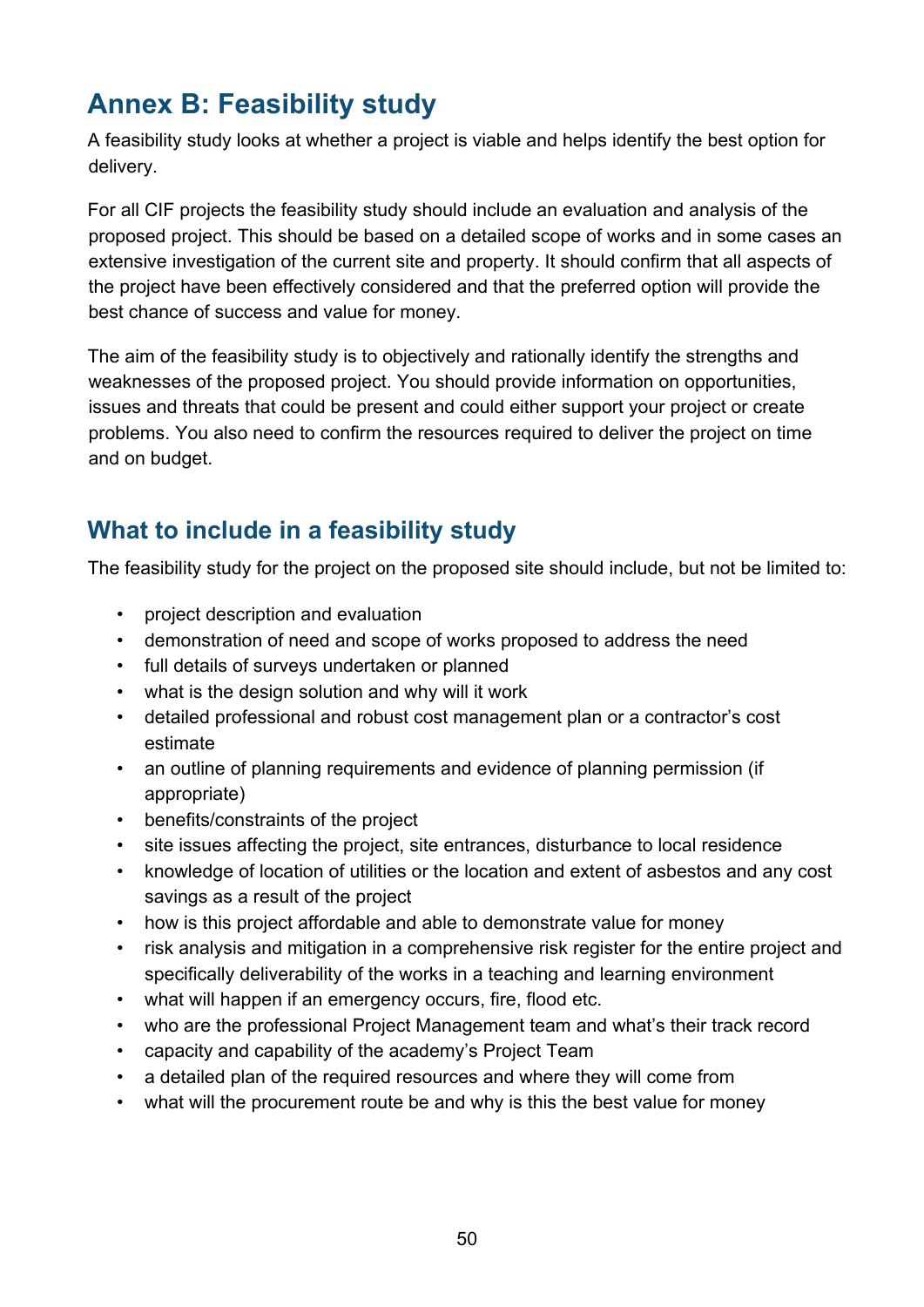# <span id="page-49-0"></span>**Annex B: Feasibility study**

A feasibility study looks at whether a project is viable and helps identify the best option for delivery.

For all CIF projects the feasibility study should include an evaluation and analysis of the proposed project. This should be based on a detailed scope of works and in some cases an extensive investigation of the current site and property. It should confirm that all aspects of the project have been effectively considered and that the preferred option will provide the best chance of success and value for money.

The aim of the feasibility study is to objectively and rationally identify the strengths and weaknesses of the proposed project. You should provide information on opportunities, issues and threats that could be present and could either support your project or create problems. You also need to confirm the resources required to deliver the project on time and on budget.

# <span id="page-49-1"></span>**What to include in a feasibility study**

The feasibility study for the project on the proposed site should include, but not be limited to:

- project description and evaluation
- demonstration of need and scope of works proposed to address the need
- full details of surveys undertaken or planned
- what is the design solution and why will it work
- detailed professional and robust cost management plan or a contractor's cost estimate
- an outline of planning requirements and evidence of planning permission (if appropriate)
- benefits/constraints of the project
- site issues affecting the project, site entrances, disturbance to local residence
- knowledge of location of utilities or the location and extent of asbestos and any cost savings as a result of the project
- how is this project affordable and able to demonstrate value for money
- risk analysis and mitigation in a comprehensive risk register for the entire project and specifically deliverability of the works in a teaching and learning environment
- what will happen if an emergency occurs, fire, flood etc.
- who are the professional Project Management team and what's their track record
- capacity and capability of the academy's Project Team
- a detailed plan of the required resources and where they will come from
- what will the procurement route be and why is this the best value for money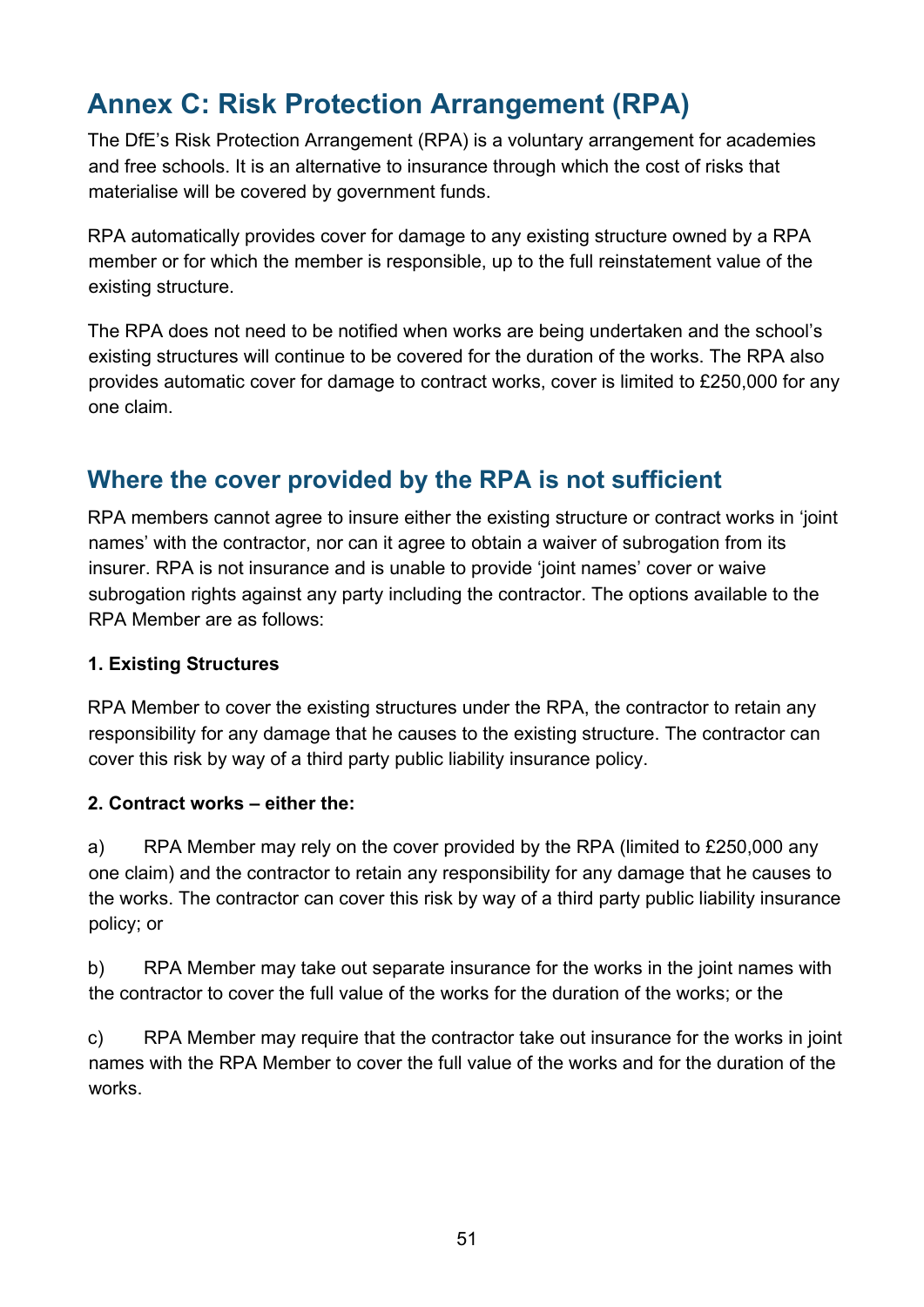# <span id="page-50-0"></span>**Annex C: Risk Protection Arrangement (RPA)**

The DfE's Risk Protection Arrangement (RPA) is a voluntary arrangement for academies and free schools. It is an alternative to insurance through which the cost of risks that materialise will be covered by government funds.

RPA automatically provides cover for damage to any existing structure owned by a RPA member or for which the member is responsible, up to the full reinstatement value of the existing structure.

The RPA does not need to be notified when works are being undertaken and the school's existing structures will continue to be covered for the duration of the works. The RPA also provides automatic cover for damage to contract works, cover is limited to £250,000 for any one claim.

### <span id="page-50-1"></span>**Where the cover provided by the RPA is not sufficient**

RPA members cannot agree to insure either the existing structure or contract works in 'joint names' with the contractor, nor can it agree to obtain a waiver of subrogation from its insurer. RPA is not insurance and is unable to provide 'joint names' cover or waive subrogation rights against any party including the contractor. The options available to the RPA Member are as follows:

#### **1. Existing Structures**

RPA Member to cover the existing structures under the RPA, the contractor to retain any responsibility for any damage that he causes to the existing structure. The contractor can cover this risk by way of a third party public liability insurance policy.

#### **2. Contract works – either the:**

a) RPA Member may rely on the cover provided by the RPA (limited to £250,000 any one claim) and the contractor to retain any responsibility for any damage that he causes to the works. The contractor can cover this risk by way of a third party public liability insurance policy; or

b) RPA Member may take out separate insurance for the works in the joint names with the contractor to cover the full value of the works for the duration of the works; or the

c) RPA Member may require that the contractor take out insurance for the works in joint names with the RPA Member to cover the full value of the works and for the duration of the works.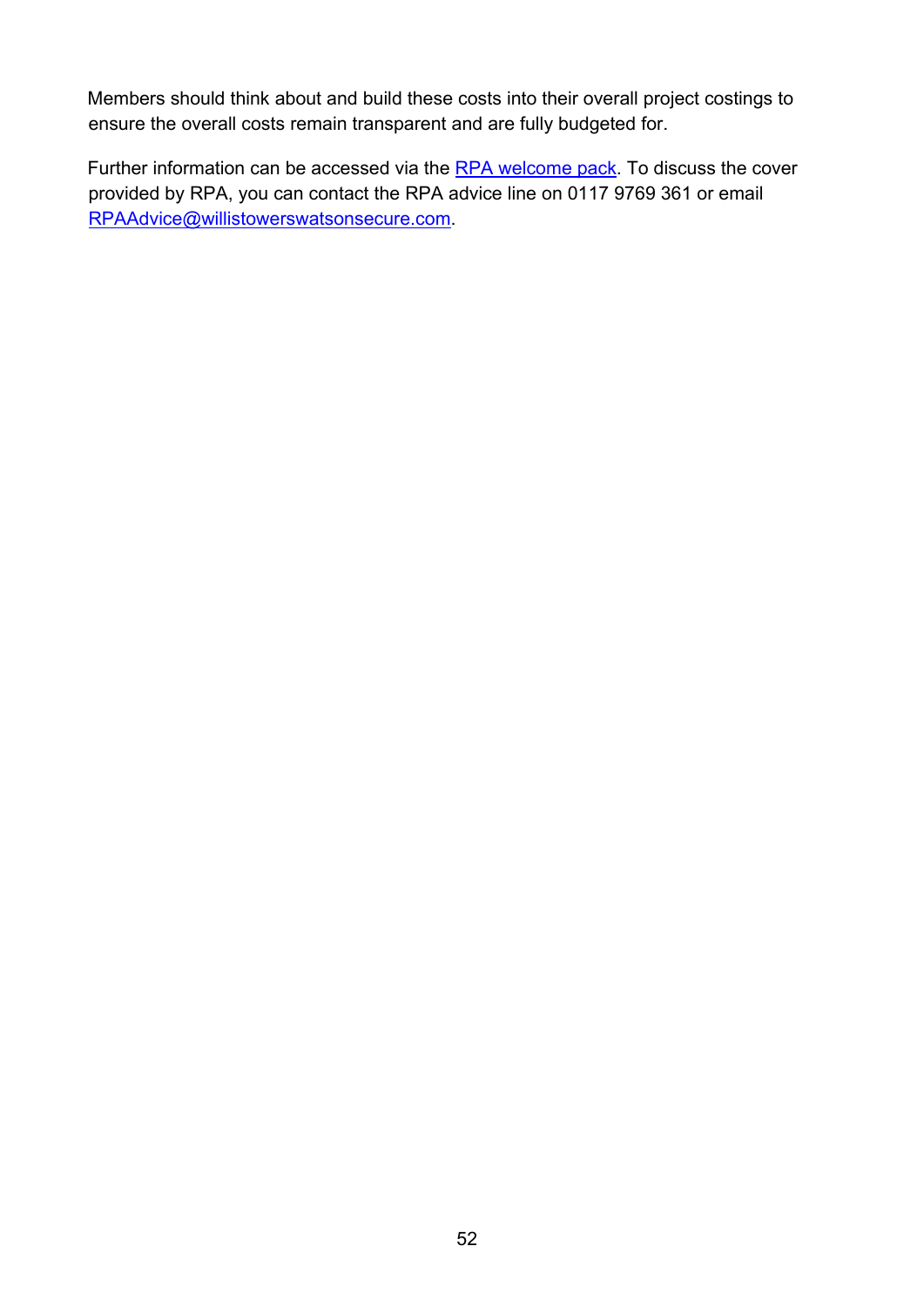Members should think about and build these costs into their overall project costings to ensure the overall costs remain transparent and are fully budgeted for.

Further information can be accessed via the [RPA welcome pack.](https://www.rpaclaimforms.co.uk/membership-information-page/) To discuss the cover provided by RPA, you can contact the RPA advice line on 0117 9769 361 or email RPAAdvice@willistowerswatsonsecure.com.